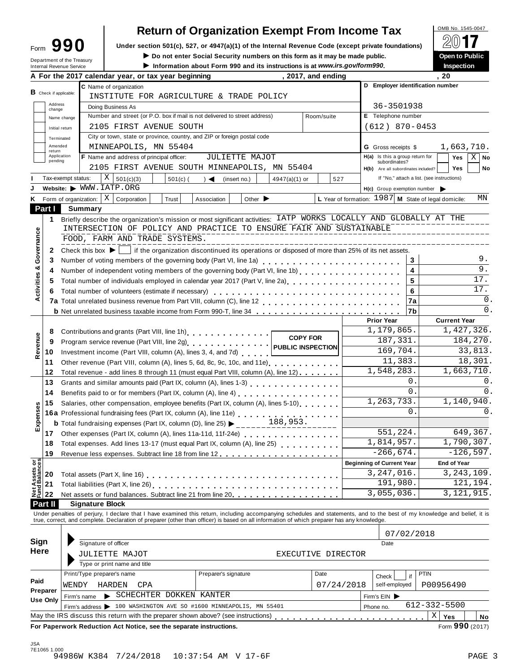| Form                       | 990 |  |
|----------------------------|-----|--|
| Department of the Treasury |     |  |

# **Return of Organization Exempt From Income Tax**<br>section 501(c), 527, or 4947(a)(1) of the Internal Revenue Code (except private foundations)

Form  $\mathbf{990}$  Under section 501(c), 527, or 4947(a)(1) of the Internal Revenue Code (except private foundations)  $\Box$  **EVIII** 

I **Do not enter Social Security numbers on this form as it may be made public. Open to Public**

| <b>Inspection</b> |
|-------------------|
|-------------------|

|                                |                               | Department of the Treasury<br>Internal Revenue Service |                                      |                                                     |       |            | $\blacktriangleright$ Do not enter Social Security numbers on this form as it may be made public.<br>Information about Form 990 and its instructions is at www.irs.gov/form990.                                                |                             |                 |                 |                    |                                                        |            |                                            | Open to Public<br>Inspection |                |
|--------------------------------|-------------------------------|--------------------------------------------------------|--------------------------------------|-----------------------------------------------------|-------|------------|--------------------------------------------------------------------------------------------------------------------------------------------------------------------------------------------------------------------------------|-----------------------------|-----------------|-----------------|--------------------|--------------------------------------------------------|------------|--------------------------------------------|------------------------------|----------------|
|                                |                               |                                                        |                                      | A For the 2017 calendar year, or tax year beginning |       |            |                                                                                                                                                                                                                                |                             |                 |                 | , 2017, and ending |                                                        |            | . 20                                       |                              |                |
|                                |                               |                                                        |                                      | C Name of organization                              |       |            |                                                                                                                                                                                                                                |                             |                 |                 |                    | D Employer identification number                       |            |                                            |                              |                |
|                                | <b>B</b> Check if applicable: |                                                        |                                      |                                                     |       |            | INSTITUTE FOR AGRICULTURE & TRADE POLICY                                                                                                                                                                                       |                             |                 |                 |                    |                                                        |            |                                            |                              |                |
|                                | Address                       |                                                        | Doing Business As                    |                                                     |       |            |                                                                                                                                                                                                                                |                             |                 |                 |                    | 36-3501938                                             |            |                                            |                              |                |
|                                | change                        |                                                        |                                      |                                                     |       |            | Number and street (or P.O. box if mail is not delivered to street address)                                                                                                                                                     |                             |                 |                 | Room/suite         | E Telephone number                                     |            |                                            |                              |                |
|                                |                               | Name change                                            |                                      | 2105 FIRST AVENUE SOUTH                             |       |            |                                                                                                                                                                                                                                |                             |                 |                 |                    | $(612)$ 870-0453                                       |            |                                            |                              |                |
|                                | Initial return                |                                                        |                                      |                                                     |       |            | City or town, state or province, country, and ZIP or foreign postal code                                                                                                                                                       |                             |                 |                 |                    |                                                        |            |                                            |                              |                |
|                                | Terminated<br>Amended         |                                                        |                                      | MINNEAPOLIS, MN 55404                               |       |            |                                                                                                                                                                                                                                |                             |                 |                 |                    | <b>G</b> Gross receipts \$                             |            |                                            | 1,663,710.                   |                |
|                                | return<br>Application         |                                                        |                                      | F Name and address of principal officer:            |       |            | JULIETTE MAJOT                                                                                                                                                                                                                 |                             |                 |                 |                    | H(a) Is this a group return for                        |            |                                            | Yes                          | $X \mid$ No    |
|                                | pending                       |                                                        |                                      |                                                     |       |            | 2105 FIRST AVENUE SOUTH MINNEAPOLIS, MN 55404                                                                                                                                                                                  |                             |                 |                 |                    | subordinates?                                          |            |                                            |                              |                |
|                                |                               |                                                        | $\mathbf{X}$                         |                                                     |       |            |                                                                                                                                                                                                                                |                             |                 |                 |                    | H(b) Are all subordinates included?                    |            | If "No," attach a list. (see instructions) | <b>Yes</b>                   | No             |
|                                |                               | Tax-exempt status:                                     | Website: WWW.IATP.ORG                | 501(c)(3)                                           |       | $501(c)$ ( | $\rightarrow$<br>(insert no.)                                                                                                                                                                                                  |                             | $4947(a)(1)$ or |                 | 527                |                                                        |            |                                            |                              |                |
|                                |                               |                                                        |                                      |                                                     |       |            |                                                                                                                                                                                                                                |                             |                 |                 |                    | $H(c)$ Group exemption number                          |            |                                            |                              |                |
| Κ                              |                               | Form of organization:                                  | ΧI                                   | Corporation                                         | Trust |            | Association                                                                                                                                                                                                                    | Other $\blacktriangleright$ |                 |                 |                    | L Year of formation: $1987$ M State of legal domicile: |            |                                            |                              | ΜN             |
|                                | Part I                        |                                                        | <b>Summary</b>                       |                                                     |       |            |                                                                                                                                                                                                                                |                             |                 |                 |                    |                                                        |            |                                            |                              |                |
|                                | 1                             |                                                        |                                      |                                                     |       |            | Briefly describe the organization's mission or most significant activities: IATP WORKS LOCALLY AND GLOBALLY AT THE                                                                                                             |                             |                 |                 |                    |                                                        |            |                                            |                              |                |
|                                |                               |                                                        |                                      |                                                     |       |            | INTERSECTION OF POLICY AND PRACTICE TO ENSURE FAIR AND SUSTAINABLE                                                                                                                                                             |                             |                 |                 |                    |                                                        |            |                                            |                              |                |
| Governance                     |                               |                                                        |                                      | FOOD, FARM AND TRADE SYSTEMS.                       |       |            |                                                                                                                                                                                                                                |                             |                 |                 |                    |                                                        |            |                                            |                              |                |
|                                | 2                             |                                                        | Check this box $\blacktriangleright$ |                                                     |       |            | if the organization discontinued its operations or disposed of more than 25% of its net assets.                                                                                                                                |                             |                 |                 |                    |                                                        |            |                                            |                              |                |
|                                | 3                             |                                                        |                                      |                                                     |       |            | Number of voting members of the governing body (Part VI, line 1a)<br>                                                                                                                                                          |                             |                 |                 |                    |                                                        | 3          |                                            |                              | 9.             |
|                                | 4                             |                                                        |                                      |                                                     |       |            | Number of independent voting members of the governing body (Part VI, line 1b)                                                                                                                                                  |                             |                 |                 |                    |                                                        | 4          |                                            |                              | 9.             |
|                                | 5                             |                                                        |                                      |                                                     |       |            | Total number of individuals employed in calendar year 2017 (Part V, line 2a)<br>Total number of individuals employed in calendar year 2017 (Part V, line 2a)                                                                   |                             |                 |                 |                    |                                                        | 5          |                                            |                              | 17.            |
| Activities &                   | 6                             |                                                        |                                      | Total number of volunteers (estimate if necessary)  |       |            |                                                                                                                                                                                                                                |                             |                 |                 |                    |                                                        | 6          |                                            |                              | 17.            |
|                                |                               |                                                        |                                      |                                                     |       |            |                                                                                                                                                                                                                                |                             |                 |                 |                    |                                                        | 7a         |                                            |                              | $0$ .          |
|                                |                               |                                                        |                                      |                                                     |       |            | <b>b</b> Net unrelated business taxable income from Form 990-T, line 34                                                                                                                                                        |                             |                 |                 |                    |                                                        | 7b         |                                            |                              | 0.             |
|                                |                               |                                                        |                                      |                                                     |       |            |                                                                                                                                                                                                                                |                             |                 |                 |                    | <b>Prior Year</b>                                      |            |                                            | <b>Current Year</b>          |                |
|                                | 8                             |                                                        |                                      |                                                     |       |            | Contributions and grants (Part VIII, line 1h) Contributions and grants (Part VIII, line 1h)                                                                                                                                    |                             |                 | <b>COPY FOR</b> |                    | 1,179,865.                                             |            |                                            | 1,427,326.                   |                |
|                                | 9                             |                                                        |                                      |                                                     |       |            |                                                                                                                                                                                                                                |                             |                 |                 |                    | 187,331.                                               |            |                                            | 184,270.                     |                |
| Revenue                        | 10                            |                                                        |                                      |                                                     |       |            | Investment income (Part VIII, column (A), lines 3, 4, and 7d)                                                                                                                                                                  |                             |                 |                 |                    | 169,704.                                               |            |                                            | 33,813.                      |                |
|                                | 11                            |                                                        |                                      |                                                     |       |            | Other revenue (Part VIII, column (A), lines 5, 6d, 8c, 9c, 10c, and 11e) [100]                                                                                                                                                 |                             |                 |                 |                    | 11,383.                                                |            |                                            | 18,301.                      |                |
|                                | 12                            |                                                        |                                      |                                                     |       |            | Total revenue - add lines 8 through 11 (must equal Part VIII, column (A), line 12)                                                                                                                                             |                             |                 |                 |                    | 1,548,283.                                             |            |                                            | 1,663,710.                   |                |
|                                | 13                            |                                                        |                                      |                                                     |       |            | Grants and similar amounts paid (Part IX, column (A), lines 1-3)                                                                                                                                                               |                             |                 |                 |                    |                                                        | 0.         |                                            |                              | 0.             |
|                                | 14                            |                                                        |                                      |                                                     |       |            | Benefits paid to or for members (Part IX, column (A), line 4)                                                                                                                                                                  |                             |                 |                 |                    |                                                        | $\Omega$ . |                                            |                              | $\mathbf{0}$ . |
|                                | 15                            |                                                        |                                      |                                                     |       |            | Salaries, other compensation, employee benefits (Part IX, column (A), lines 5-10)                                                                                                                                              |                             |                 |                 |                    | 1,263,733.                                             |            |                                            | 1,140,940.                   |                |
| Expenses                       |                               |                                                        |                                      |                                                     |       |            | 16a Professional fundraising fees (Part IX, column (A), line 11e)<br>16a Professional fundraising fees (Part IX, column (A), line 11e)                                                                                         |                             |                 |                 |                    |                                                        | $\Omega$ . |                                            |                              | 0.             |
|                                |                               |                                                        |                                      |                                                     |       |            | <b>b</b> Total fundraising expenses (Part IX, column (D), line 25) $\blacktriangleright$ ____                                                                                                                                  |                             | 188,953.        |                 |                    |                                                        |            |                                            |                              |                |
|                                | 17                            |                                                        |                                      |                                                     |       |            | Other expenses (Part IX, column (A), lines 11a-11d, 11f-24e)                                                                                                                                                                   |                             |                 |                 |                    | 551,224.                                               |            |                                            | 649,367.                     |                |
|                                | 18                            |                                                        |                                      |                                                     |       |            | Total expenses. Add lines 13-17 (must equal Part IX, column (A), line 25)                                                                                                                                                      |                             |                 |                 |                    | 1,814,957.                                             |            |                                            | 1,790,307.                   |                |
|                                | 19                            |                                                        |                                      |                                                     |       |            |                                                                                                                                                                                                                                |                             |                 |                 |                    | $-266, 674.$                                           |            |                                            | $-126, 597.$                 |                |
|                                |                               |                                                        |                                      |                                                     |       |            |                                                                                                                                                                                                                                |                             |                 |                 |                    | <b>Beginning of Current Year</b>                       |            |                                            | <b>End of Year</b>           |                |
| Net Assets or<br>Fund Balances | 20                            |                                                        |                                      |                                                     |       |            |                                                                                                                                                                                                                                |                             |                 |                 |                    | 3, 247, 016.                                           |            |                                            | 3, 243, 109.                 |                |
|                                | 21                            |                                                        |                                      |                                                     |       |            |                                                                                                                                                                                                                                |                             |                 |                 |                    | 191,980.                                               |            |                                            | 121,194.                     |                |
|                                | 22                            |                                                        |                                      |                                                     |       |            | Net assets or fund balances. Subtract line 21 from line 20.                                                                                                                                                                    |                             |                 |                 |                    | 3,055,036.                                             |            |                                            | 3, 121, 915.                 |                |
|                                | Part II                       |                                                        | <b>Signature Block</b>               |                                                     |       |            |                                                                                                                                                                                                                                |                             |                 |                 |                    |                                                        |            |                                            |                              |                |
|                                |                               |                                                        |                                      |                                                     |       |            | Under penalties of perjury, I declare that I have examined this return, including accompanying schedules and statements, and to the best of my knowledge and belief, it is true, correct, and complete. Declaration of prepare |                             |                 |                 |                    |                                                        |            |                                            |                              |                |
|                                |                               |                                                        |                                      |                                                     |       |            |                                                                                                                                                                                                                                |                             |                 |                 |                    |                                                        |            |                                            |                              |                |
|                                |                               |                                                        |                                      |                                                     |       |            |                                                                                                                                                                                                                                |                             |                 |                 |                    | 07/02/2018                                             |            |                                            |                              |                |
| Sign                           |                               |                                                        | Signature of officer                 |                                                     |       |            |                                                                                                                                                                                                                                |                             |                 |                 |                    | Date                                                   |            |                                            |                              |                |
| Here                           |                               |                                                        |                                      | JULIETTE MAJOT                                      |       |            |                                                                                                                                                                                                                                |                             |                 |                 | EXECUTIVE DIRECTOR |                                                        |            |                                            |                              |                |
|                                |                               |                                                        |                                      | Type or print name and title                        |       |            |                                                                                                                                                                                                                                |                             |                 |                 |                    |                                                        |            |                                            |                              |                |
|                                |                               |                                                        | Print/Type preparer's name           |                                                     |       |            | Preparer's signature                                                                                                                                                                                                           |                             |                 |                 | Date               | Check                                                  | if         | <b>PTIN</b>                                |                              |                |
| Paid                           |                               | WENDY                                                  |                                      | HARDEN<br>CPA                                       |       |            |                                                                                                                                                                                                                                |                             |                 |                 | 07/24/2018         | self-employed                                          |            | P00956490                                  |                              |                |
|                                | Preparer                      | Firm's name                                            |                                      | SCHECHTER DOKKEN KANTER                             |       |            |                                                                                                                                                                                                                                |                             |                 |                 |                    | Firm's $EIN$                                           |            |                                            |                              |                |
|                                | Use Only                      |                                                        |                                      |                                                     |       |            | Firm's address > 100 WASHINGTON AVE SO #1600 MINNEAPOLIS, MN 55401                                                                                                                                                             |                             |                 |                 |                    |                                                        |            | 612-332-5500                               |                              |                |
|                                |                               |                                                        |                                      |                                                     |       |            | May the IRS discuss this return with the preparer shown above? (see instructions)                                                                                                                                              |                             |                 |                 |                    | Phone no.                                              |            | Χ<br>Yes                                   |                              |                |
|                                |                               |                                                        |                                      |                                                     |       |            | For Paperwork Reduction Act Notice, see the separate instructions.                                                                                                                                                             |                             |                 |                 |                    |                                                        |            |                                            | Form 990 (2017)              | No             |
|                                |                               |                                                        |                                      |                                                     |       |            |                                                                                                                                                                                                                                |                             |                 |                 |                    |                                                        |            |                                            |                              |                |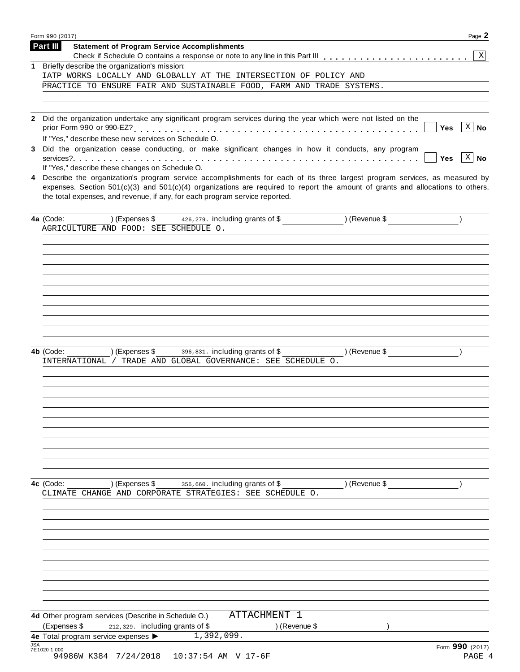|              | Form 990 (2017)                                                                                                                                                                                                                                                                                                                                 | Page 2                    |
|--------------|-------------------------------------------------------------------------------------------------------------------------------------------------------------------------------------------------------------------------------------------------------------------------------------------------------------------------------------------------|---------------------------|
|              | Part III<br><b>Statement of Program Service Accomplishments</b>                                                                                                                                                                                                                                                                                 |                           |
|              |                                                                                                                                                                                                                                                                                                                                                 |                           |
|              | 1 Briefly describe the organization's mission:<br>IATP WORKS LOCALLY AND GLOBALLY AT THE INTERSECTION OF POLICY AND                                                                                                                                                                                                                             |                           |
|              | PRACTICE TO ENSURE FAIR AND SUSTAINABLE FOOD, FARM AND TRADE SYSTEMS.                                                                                                                                                                                                                                                                           |                           |
|              |                                                                                                                                                                                                                                                                                                                                                 |                           |
|              |                                                                                                                                                                                                                                                                                                                                                 |                           |
| $\mathbf{2}$ | Did the organization undertake any significant program services during the year which were not listed on the<br>Yes                                                                                                                                                                                                                             | $\lceil x \rceil$ No      |
| 3            | If "Yes," describe these new services on Schedule O.<br>Did the organization cease conducting, or make significant changes in how it conducts, any program                                                                                                                                                                                      |                           |
|              | Yes<br>If "Yes," describe these changes on Schedule O.                                                                                                                                                                                                                                                                                          | $ X $ No                  |
| 4            | Describe the organization's program service accomplishments for each of its three largest program services, as measured by<br>expenses. Section $501(c)(3)$ and $501(c)(4)$ organizations are required to report the amount of grants and allocations to others,<br>the total expenses, and revenue, if any, for each program service reported. |                           |
|              | (Expenses \$1426, 279. including grants of \$100 m $($ Revenue \$100 m $($ Revenue \$100 m $)$<br>4a (Code:                                                                                                                                                                                                                                     |                           |
|              | AGRICULTURE AND FOOD: SEE SCHEDULE O.                                                                                                                                                                                                                                                                                                           |                           |
|              |                                                                                                                                                                                                                                                                                                                                                 |                           |
|              |                                                                                                                                                                                                                                                                                                                                                 |                           |
|              |                                                                                                                                                                                                                                                                                                                                                 |                           |
|              |                                                                                                                                                                                                                                                                                                                                                 |                           |
|              |                                                                                                                                                                                                                                                                                                                                                 |                           |
|              |                                                                                                                                                                                                                                                                                                                                                 |                           |
|              |                                                                                                                                                                                                                                                                                                                                                 |                           |
|              |                                                                                                                                                                                                                                                                                                                                                 |                           |
|              |                                                                                                                                                                                                                                                                                                                                                 |                           |
|              | $($ Revenue \$ $)$<br>(Express \$<br>396,831. including grants of \$<br>4b (Code:                                                                                                                                                                                                                                                               |                           |
|              | INTERNATIONAL / TRADE AND GLOBAL GOVERNANCE: SEE SCHEDULE O.                                                                                                                                                                                                                                                                                    |                           |
|              |                                                                                                                                                                                                                                                                                                                                                 |                           |
|              |                                                                                                                                                                                                                                                                                                                                                 |                           |
|              |                                                                                                                                                                                                                                                                                                                                                 |                           |
|              |                                                                                                                                                                                                                                                                                                                                                 |                           |
|              |                                                                                                                                                                                                                                                                                                                                                 |                           |
|              |                                                                                                                                                                                                                                                                                                                                                 |                           |
|              |                                                                                                                                                                                                                                                                                                                                                 |                           |
|              |                                                                                                                                                                                                                                                                                                                                                 |                           |
|              |                                                                                                                                                                                                                                                                                                                                                 |                           |
|              | 356,660. including grants of \$<br>4c (Code:<br>) (Expenses \$<br>) (Revenue \$                                                                                                                                                                                                                                                                 |                           |
|              | CLIMATE CHANGE AND CORPORATE STRATEGIES: SEE SCHEDULE O.                                                                                                                                                                                                                                                                                        |                           |
|              |                                                                                                                                                                                                                                                                                                                                                 |                           |
|              |                                                                                                                                                                                                                                                                                                                                                 |                           |
|              |                                                                                                                                                                                                                                                                                                                                                 |                           |
|              |                                                                                                                                                                                                                                                                                                                                                 |                           |
|              |                                                                                                                                                                                                                                                                                                                                                 |                           |
|              |                                                                                                                                                                                                                                                                                                                                                 |                           |
|              |                                                                                                                                                                                                                                                                                                                                                 |                           |
|              |                                                                                                                                                                                                                                                                                                                                                 |                           |
|              |                                                                                                                                                                                                                                                                                                                                                 |                           |
|              |                                                                                                                                                                                                                                                                                                                                                 |                           |
|              | ATTACHMENT 1<br>4d Other program services (Describe in Schedule O.)                                                                                                                                                                                                                                                                             |                           |
|              | (Expenses \$<br>212,329. including grants of \$<br>) (Revenue \$                                                                                                                                                                                                                                                                                |                           |
| <b>JSA</b>   | 1,392,099.<br>4e Total program service expenses ▶                                                                                                                                                                                                                                                                                               |                           |
|              | 7E1020 1.000<br>94986W K384 7/24/2018<br>$10:37:54$ AM V $17-6F$                                                                                                                                                                                                                                                                                | Form 990 (2017)<br>PAGE 4 |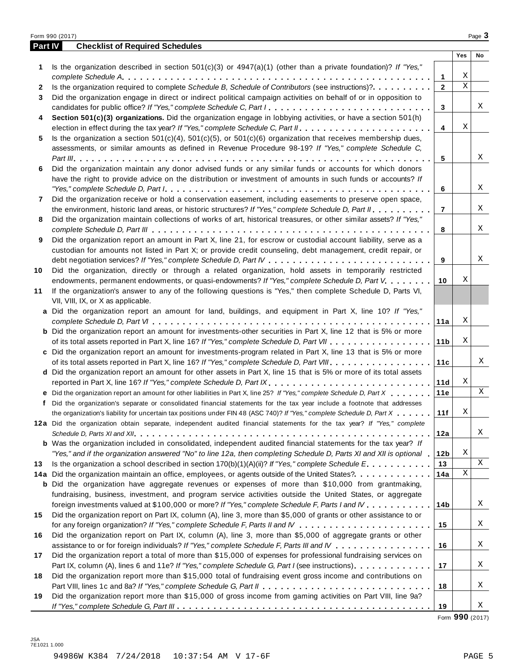|         | Form 990 (2017)                                                                                                           |                 |             | Page 3 |
|---------|---------------------------------------------------------------------------------------------------------------------------|-----------------|-------------|--------|
| Part IV | <b>Checklist of Required Schedules</b>                                                                                    |                 |             |        |
|         |                                                                                                                           |                 | Yes         | No     |
| 1       | Is the organization described in section $501(c)(3)$ or $4947(a)(1)$ (other than a private foundation)? If "Yes,"         |                 |             |        |
|         |                                                                                                                           | 1               | Χ           |        |
| 2       | Is the organization required to complete Schedule B, Schedule of Contributors (see instructions)?.                        | $\overline{2}$  | $\mathbf X$ |        |
| 3       | Did the organization engage in direct or indirect political campaign activities on behalf of or in opposition to          |                 |             |        |
|         | candidates for public office? If "Yes," complete Schedule C, Part I.                                                      | 3               |             | Χ      |
| 4       | Section 501(c)(3) organizations. Did the organization engage in lobbying activities, or have a section 501(h)             |                 |             |        |
|         |                                                                                                                           | 4               | Χ           |        |
| 5       | Is the organization a section $501(c)(4)$ , $501(c)(5)$ , or $501(c)(6)$ organization that receives membership dues,      |                 |             |        |
|         | assessments, or similar amounts as defined in Revenue Procedure 98-19? If "Yes," complete Schedule C,                     |                 |             |        |
|         |                                                                                                                           | 5               |             | Χ      |
| 6       | Did the organization maintain any donor advised funds or any similar funds or accounts for which donors                   |                 |             |        |
|         | have the right to provide advice on the distribution or investment of amounts in such funds or accounts? If               |                 |             |        |
|         |                                                                                                                           | 6               |             | Χ      |
| 7       | Did the organization receive or hold a conservation easement, including easements to preserve open space,                 |                 |             |        |
|         | the environment, historic land areas, or historic structures? If "Yes," complete Schedule D, Part II.                     | $\overline{7}$  |             | Χ      |
| 8       | Did the organization maintain collections of works of art, historical treasures, or other similar assets? If "Yes,"       |                 |             |        |
|         |                                                                                                                           | 8               |             | Χ      |
| 9       | Did the organization report an amount in Part X, line 21, for escrow or custodial account liability, serve as a           |                 |             |        |
|         | custodian for amounts not listed in Part X; or provide credit counseling, debt management, credit repair, or              |                 |             |        |
|         |                                                                                                                           | 9               |             | Χ      |
| 10      | Did the organization, directly or through a related organization, hold assets in temporarily restricted                   |                 |             |        |
|         | endowments, permanent endowments, or quasi-endowments? If "Yes," complete Schedule D, Part V.                             | 10              | Χ           |        |
| 11      | If the organization's answer to any of the following questions is "Yes," then complete Schedule D, Parts VI,              |                 |             |        |
|         | VII, VIII, IX, or X as applicable.                                                                                        |                 |             |        |
|         | a Did the organization report an amount for land, buildings, and equipment in Part X, line 10? If "Yes,"                  |                 |             |        |
|         |                                                                                                                           | 11a             | Χ           |        |
|         | <b>b</b> Did the organization report an amount for investments-other securities in Part X, line 12 that is 5% or more     |                 |             |        |
|         |                                                                                                                           | 11 <sub>b</sub> | Χ           |        |
|         | c Did the organization report an amount for investments-program related in Part X, line 13 that is 5% or more             |                 |             |        |
|         |                                                                                                                           | 11c             |             | Χ      |
|         | d Did the organization report an amount for other assets in Part X, line 15 that is 5% or more of its total assets        |                 |             |        |
|         | reported in Part X, line 16? If "Yes," complete Schedule D, Part IX.                                                      | 11d             | Χ           |        |
|         | e Did the organization report an amount for other liabilities in Part X, line 25? If "Yes," complete Schedule D, Part X   | 11e             |             | X      |
|         | f Did the organization's separate or consolidated financial statements for the tax year include a footnote that addresses |                 |             |        |
|         | the organization's liability for uncertain tax positions under FIN 48 (ASC 740)? If "Yes," complete Schedule D, Part X    | 11f             | $\mathbf X$ |        |
|         | 12a Did the organization obtain separate, independent audited financial statements for the tax year? If "Yes," complete   |                 |             |        |
|         |                                                                                                                           | 12a             |             | Χ      |
|         | <b>b</b> Was the organization included in consolidated, independent audited financial statements for the tax year? If     |                 |             |        |
|         | "Yes," and if the organization answered "No" to line 12a, then completing Schedule D, Parts XI and XII is optional        | 12 <sub>b</sub> | Χ           |        |
| 13      | Is the organization a school described in section $170(b)(1)(A)(ii)?$ If "Yes," complete Schedule E.                      | 13              |             | X      |
|         | 14a Did the organization maintain an office, employees, or agents outside of the United States?.                          | 14a             | Χ           |        |
|         | <b>b</b> Did the organization have aggregate revenues or expenses of more than \$10,000 from grantmaking,                 |                 |             |        |
|         | fundraising, business, investment, and program service activities outside the United States, or aggregate                 |                 |             |        |
|         | foreign investments valued at \$100,000 or more? If "Yes," complete Schedule F, Parts I and IV                            | 14b             |             | Χ      |
| 15      | Did the organization report on Part IX, column (A), line 3, more than \$5,000 of grants or other assistance to or         |                 |             |        |
|         |                                                                                                                           | 15              |             | Χ      |
| 16      | Did the organization report on Part IX, column (A), line 3, more than \$5,000 of aggregate grants or other                |                 |             |        |
|         | assistance to or for foreign individuals? If "Yes," complete Schedule F, Parts III and IV                                 | 16              |             | Χ      |
| 17      | Did the organization report a total of more than \$15,000 of expenses for professional fundraising services on            |                 |             |        |
|         | Part IX, column (A), lines 6 and 11e? If "Yes," complete Schedule G, Part I (see instructions)                            | 17              |             | Χ      |
| 18      | Did the organization report more than \$15,000 total of fundraising event gross income and contributions on               |                 |             |        |
|         |                                                                                                                           | 18              |             | Χ      |
| 19      | Did the organization report more than \$15,000 of gross income from gaming activities on Part VIII, line 9a?              |                 |             |        |
|         |                                                                                                                           | 19              |             | Χ      |
|         |                                                                                                                           |                 |             |        |

Form **990** (2017)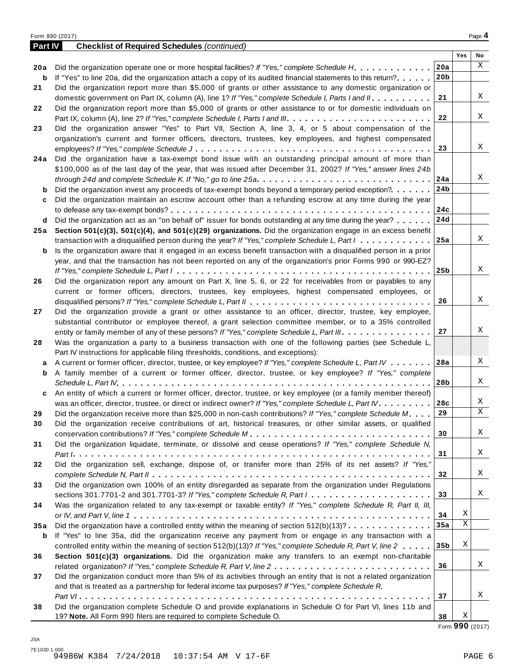|         | Form 990 (2017)                                                                                                                         |                 |     | Page 4 |
|---------|-----------------------------------------------------------------------------------------------------------------------------------------|-----------------|-----|--------|
| Part IV | <b>Checklist of Required Schedules (continued)</b>                                                                                      |                 |     |        |
|         |                                                                                                                                         |                 | Yes | No     |
| 20 a    | Did the organization operate one or more hospital facilities? If "Yes," complete Schedule H.                                            | 20a             |     | X      |
| b       | If "Yes" to line 20a, did the organization attach a copy of its audited financial statements to this return?                            | 20b             |     |        |
| 21      | Did the organization report more than \$5,000 of grants or other assistance to any domestic organization or                             |                 |     |        |
|         | domestic government on Part IX, column (A), line 1? If "Yes," complete Schedule I, Parts I and II.                                      | 21              |     | X      |
| 22      | Did the organization report more than \$5,000 of grants or other assistance to or for domestic individuals on                           |                 |     |        |
|         |                                                                                                                                         | 22              |     | Χ      |
| 23      | Did the organization answer "Yes" to Part VII, Section A, line 3, 4, or 5 about compensation of the                                     |                 |     |        |
|         | organization's current and former officers, directors, trustees, key employees, and highest compensated                                 |                 |     |        |
|         |                                                                                                                                         | 23              |     | Χ      |
| 24 a    | Did the organization have a tax-exempt bond issue with an outstanding principal amount of more than                                     |                 |     |        |
|         | \$100,000 as of the last day of the year, that was issued after December 31, 2002? If "Yes," answer lines 24b                           |                 |     |        |
|         | through 24d and complete Schedule K. If "No," go to line 25a. $\dots \dots \dots \dots \dots \dots \dots \dots \dots \dots \dots \dots$ | 24a             |     | Χ      |
| b       | Did the organization invest any proceeds of tax-exempt bonds beyond a temporary period exception?                                       | 24b             |     |        |
| C       | Did the organization maintain an escrow account other than a refunding escrow at any time during the year                               |                 |     |        |
|         |                                                                                                                                         | 24c             |     |        |
| d       | Did the organization act as an "on behalf of" issuer for bonds outstanding at any time during the year?                                 | 24d             |     |        |
|         | 25a Section 501(c)(3), 501(c)(4), and 501(c)(29) organizations. Did the organization engage in an excess benefit                        |                 |     | Χ      |
|         | transaction with a disqualified person during the year? If "Yes," complete Schedule L, Part $1, \ldots, \ldots, \ldots$                 | 25a             |     |        |
| b       | Is the organization aware that it engaged in an excess benefit transaction with a disqualified person in a prior                        |                 |     |        |
|         | year, and that the transaction has not been reported on any of the organization's prior Forms 990 or 990-EZ?                            |                 |     | Χ      |
|         |                                                                                                                                         | 25 <sub>b</sub> |     |        |
| 26      | Did the organization report any amount on Part X, line 5, 6, or 22 for receivables from or payables to any                              |                 |     |        |
|         | current or former officers, directors, trustees, key employees, highest compensated employees, or                                       |                 |     | Χ      |
|         |                                                                                                                                         | 26              |     |        |
| 27      | Did the organization provide a grant or other assistance to an officer, director, trustee, key employee,                                |                 |     |        |
|         | substantial contributor or employee thereof, a grant selection committee member, or to a 35% controlled                                 |                 |     | Χ      |
|         | entity or family member of any of these persons? If "Yes," complete Schedule L, Part III.                                               | 27              |     |        |
| 28      | Was the organization a party to a business transaction with one of the following parties (see Schedule L,                               |                 |     |        |
|         | Part IV instructions for applicable filing thresholds, conditions, and exceptions):                                                     |                 |     | Χ      |
| а       | A current or former officer, director, trustee, or key employee? If "Yes," complete Schedule L, Part IV                                 | 28a             |     |        |
|         | <b>b</b> A family member of a current or former officer, director, trustee, or key employee? If "Yes," complete                         |                 |     | Χ      |
|         |                                                                                                                                         | 28b             |     |        |
|         | c An entity of which a current or former officer, director, trustee, or key employee (or a family member thereof)                       |                 |     | Χ      |
|         | was an officer, director, trustee, or direct or indirect owner? If "Yes," complete Schedule L, Part IV.                                 | 28c             |     | X      |
| 29      | Did the organization receive more than \$25,000 in non-cash contributions? If "Yes," complete Schedule M.                               | 29              |     |        |
| 30      | Did the organization receive contributions of art, historical treasures, or other similar assets, or qualified                          |                 |     | Χ      |
|         |                                                                                                                                         | 30              |     |        |
| 31      | Did the organization liquidate, terminate, or dissolve and cease operations? If "Yes," complete Schedule N,                             |                 |     | Χ      |
|         |                                                                                                                                         | 31              |     |        |
| 32      | Did the organization sell, exchange, dispose of, or transfer more than 25% of its net assets? If "Yes,"                                 | 32              |     | Χ      |
|         | Did the organization own 100% of an entity disregarded as separate from the organization under Regulations                              |                 |     |        |
| 33      |                                                                                                                                         | 33              |     | Χ      |
|         | sections 301.7701-2 and 301.7701-3? If "Yes," complete Schedule R, Part $1, \ldots, \ldots, \ldots, \ldots, \ldots, \ldots$             |                 |     |        |
| 34      | Was the organization related to any tax-exempt or taxable entity? If "Yes," complete Schedule R, Part II, III,                          |                 | Χ   |        |
|         |                                                                                                                                         | 34              | Χ   |        |
| 35a     | Did the organization have a controlled entity within the meaning of section $512(b)(13)? \ldots \ldots \ldots \ldots$                   | 35a             |     |        |
| b       | If "Yes" to line 35a, did the organization receive any payment from or engage in any transaction with a                                 |                 | Χ   |        |
|         | controlled entity within the meaning of section 512(b)(13)? If "Yes," complete Schedule R, Part V, line 2                               | 35b             |     |        |
| 36      | Section 501(c)(3) organizations. Did the organization make any transfers to an exempt non-charitable                                    |                 |     | Χ      |
|         |                                                                                                                                         | 36              |     |        |
| 37      | Did the organization conduct more than 5% of its activities through an entity that is not a related organization                        |                 |     |        |
|         | and that is treated as a partnership for federal income tax purposes? If "Yes," complete Schedule R,                                    |                 |     | Χ      |
|         |                                                                                                                                         | 37              |     |        |
| 38      | Did the organization complete Schedule O and provide explanations in Schedule O for Part VI, lines 11b and                              |                 | Χ   |        |
|         | 19? Note. All Form 990 filers are required to complete Schedule O.                                                                      | 38              |     |        |

Form **990** (2017)

JSA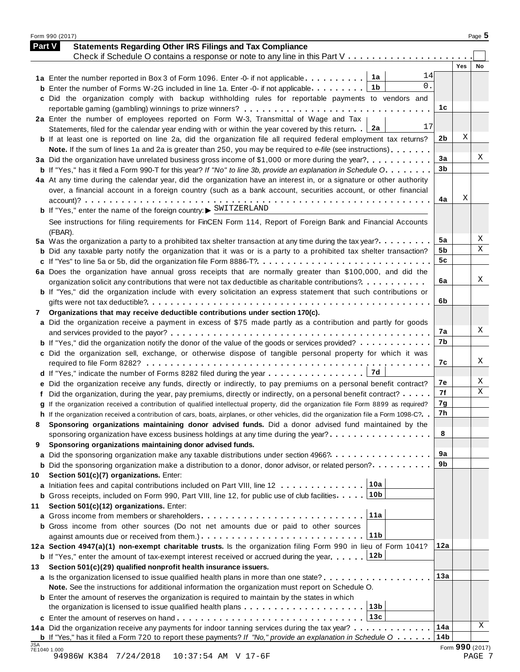|     | Form 990 (2017)                                                                                                                                                                                                                           |            | Page 5 |
|-----|-------------------------------------------------------------------------------------------------------------------------------------------------------------------------------------------------------------------------------------------|------------|--------|
|     | Part V<br><b>Statements Regarding Other IRS Filings and Tax Compliance</b>                                                                                                                                                                |            |        |
|     | Check if Schedule O contains a response or note to any line in this Part $V_1, \ldots, V_k, \ldots, V_k$                                                                                                                                  |            |        |
|     |                                                                                                                                                                                                                                           | <b>Yes</b> | No     |
|     | 14<br>1a<br>1a Enter the number reported in Box 3 of Form 1096. Enter -0- if not applicable                                                                                                                                               |            |        |
|     | 0.<br>1b<br><b>b</b> Enter the number of Forms W-2G included in line 1a. Enter -0- if not applicable                                                                                                                                      |            |        |
|     | c Did the organization comply with backup withholding rules for reportable payments to vendors and                                                                                                                                        |            |        |
|     | 1с                                                                                                                                                                                                                                        |            |        |
|     | 2a Enter the number of employees reported on Form W-3, Transmittal of Wage and Tax<br>17                                                                                                                                                  |            |        |
|     | 2a<br>Statements, filed for the calendar year ending with or within the year covered by this return.                                                                                                                                      |            |        |
|     | 2b<br><b>b</b> If at least one is reported on line 2a, did the organization file all required federal employment tax returns?                                                                                                             | Χ          |        |
|     | Note. If the sum of lines 1a and 2a is greater than 250, you may be required to e-file (see instructions)                                                                                                                                 |            | Χ      |
|     | 3a<br>3a Did the organization have unrelated business gross income of \$1,000 or more during the year?                                                                                                                                    |            |        |
|     | 3b<br><b>b</b> If "Yes," has it filed a Form 990-T for this year? If "No" to line 3b, provide an explanation in Schedule O.                                                                                                               |            |        |
|     | 4a At any time during the calendar year, did the organization have an interest in, or a signature or other authority                                                                                                                      |            |        |
|     | over, a financial account in a foreign country (such as a bank account, securities account, or other financial                                                                                                                            | Χ          |        |
|     | 4a                                                                                                                                                                                                                                        |            |        |
|     | <b>b</b> If "Yes," enter the name of the foreign country: $\triangleright$ $\frac{\text{SWITZERLAND}}{\text{SWIT}}$                                                                                                                       |            |        |
|     | See instructions for filing requirements for FinCEN Form 114, Report of Foreign Bank and Financial Accounts                                                                                                                               |            |        |
|     | (FBAR).                                                                                                                                                                                                                                   |            | Χ      |
|     | 5a<br>5a Was the organization a party to a prohibited tax shelter transaction at any time during the tax year?<br>5b                                                                                                                      |            | Χ      |
|     | <b>b</b> Did any taxable party notify the organization that it was or is a party to a prohibited tax shelter transaction?<br>5c                                                                                                           |            |        |
|     | c If "Yes" to line 5a or 5b, did the organization file Form 8886-T?                                                                                                                                                                       |            |        |
|     | 6a Does the organization have annual gross receipts that are normally greater than \$100,000, and did the<br>6a                                                                                                                           |            | Χ      |
|     |                                                                                                                                                                                                                                           |            |        |
|     | <b>b</b> If "Yes," did the organization include with every solicitation an express statement that such contributions or<br>6b                                                                                                             |            |        |
|     |                                                                                                                                                                                                                                           |            |        |
| 7   | Organizations that may receive deductible contributions under section 170(c).                                                                                                                                                             |            |        |
|     | a Did the organization receive a payment in excess of \$75 made partly as a contribution and partly for goods<br>7а                                                                                                                       |            | Χ      |
|     | 7b                                                                                                                                                                                                                                        |            |        |
|     | <b>b</b> If "Yes," did the organization notify the donor of the value of the goods or services provided?                                                                                                                                  |            |        |
|     | c Did the organization sell, exchange, or otherwise dispose of tangible personal property for which it was<br>7с                                                                                                                          |            | Χ      |
|     | 7d<br>d If "Yes," indicate the number of Forms 8282 filed during the year                                                                                                                                                                 |            |        |
|     | 7е                                                                                                                                                                                                                                        |            | Χ      |
|     | e Did the organization receive any funds, directly or indirectly, to pay premiums on a personal benefit contract?<br>7f<br>f Did the organization, during the year, pay premiums, directly or indirectly, on a personal benefit contract? |            | Χ      |
|     | 7g<br>g If the organization received a contribution of qualified intellectual property, did the organization file Form 8899 as required?                                                                                                  |            |        |
|     | 7h<br>h If the organization received a contribution of cars, boats, airplanes, or other vehicles, did the organization file a Form 1098-C?                                                                                                |            |        |
| 8   | Sponsoring organizations maintaining donor advised funds. Did a donor advised fund maintained by the                                                                                                                                      |            |        |
|     | 8<br>sponsoring organization have excess business holdings at any time during the year?                                                                                                                                                   |            |        |
| 9   | Sponsoring organizations maintaining donor advised funds.                                                                                                                                                                                 |            |        |
|     | 9а<br>a Did the sponsoring organization make any taxable distributions under section 4966?                                                                                                                                                |            |        |
|     | 9b<br><b>b</b> Did the sponsoring organization make a distribution to a donor, donor advisor, or related person?                                                                                                                          |            |        |
| 10  | Section 501(c)(7) organizations. Enter:                                                                                                                                                                                                   |            |        |
|     | 10a<br><b>a</b> Initiation fees and capital contributions included on Part VIII, line 12 <b>.</b>                                                                                                                                         |            |        |
|     | 10b<br><b>b</b> Gross receipts, included on Form 990, Part VIII, line 12, for public use of club facilities.                                                                                                                              |            |        |
| 11  | Section 501(c)(12) organizations. Enter:                                                                                                                                                                                                  |            |        |
|     | 11a<br><b>a</b> Gross income from members or shareholders <b>entity of the state of contact of Gross</b> income from members or shareholders <b>and Cross</b>                                                                             |            |        |
|     | b Gross income from other sources (Do not net amounts due or paid to other sources                                                                                                                                                        |            |        |
|     | 11b                                                                                                                                                                                                                                       |            |        |
|     | 12a<br>12a Section 4947(a)(1) non-exempt charitable trusts. Is the organization filing Form 990 in lieu of Form 1041?                                                                                                                     |            |        |
|     | 12b<br><b>b</b> If "Yes," enter the amount of tax-exempt interest received or accrued during the year                                                                                                                                     |            |        |
| 13. | Section 501(c)(29) qualified nonprofit health insurance issuers.                                                                                                                                                                          |            |        |
|     | 13а<br><b>a</b> Is the organization licensed to issue qualified health plans in more than one state?                                                                                                                                      |            |        |
|     | Note. See the instructions for additional information the organization must report on Schedule O.                                                                                                                                         |            |        |
|     | <b>b</b> Enter the amount of reserves the organization is required to maintain by the states in which                                                                                                                                     |            |        |
|     | 13b<br>the organization is licensed to issue qualified health plans $\ldots \ldots \ldots \ldots \ldots \ldots \ldots$                                                                                                                    |            |        |
|     | 13c<br>c Enter the amount of reserves on hand enterprised in the enterprise on $\mathbf{c}$ for example $\mathbf{c}$                                                                                                                      |            |        |
|     |                                                                                                                                                                                                                                           |            | Χ      |
|     | 14a<br>14a Did the organization receive any payments for indoor tanning services during the tax year?                                                                                                                                     |            |        |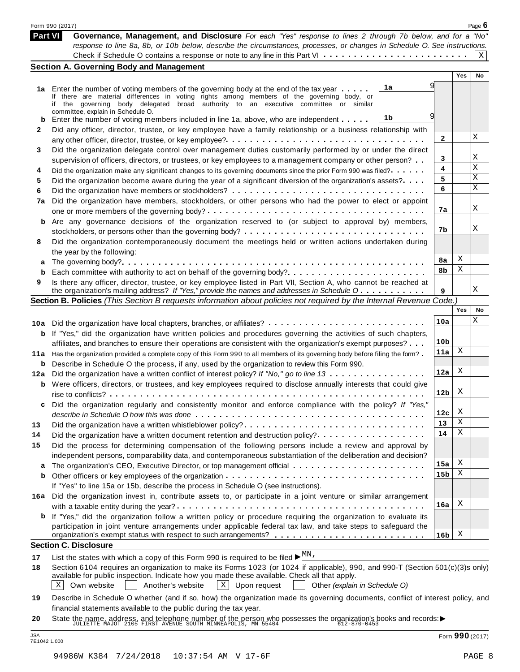|                                                                                                                                                                                                                                                                                                                                                                                                                                                                                                                                                                                                                                                                                                                                                                                                                                                                                                                                                                                                                                                                                                                                                                                                                                                                                                                                                                                                                                                                                                                                                                                                                                                                                                                                                                                                                                                                                                                                                                                                                                                                                                                                                                                                                                                                                                                                                                                                                                                                                                                                                                                                                                                                                                                                                                                                                                                                                                                                                                                                                                                                                                                                                                                                                                                                                                                                                                                                                                                                                                                                                                                                                                                                                                                                                                                                                                                                                                                                                                                                                                                                                                                                                                                |                                                                                                                                 |                 | Yes | No |
|--------------------------------------------------------------------------------------------------------------------------------------------------------------------------------------------------------------------------------------------------------------------------------------------------------------------------------------------------------------------------------------------------------------------------------------------------------------------------------------------------------------------------------------------------------------------------------------------------------------------------------------------------------------------------------------------------------------------------------------------------------------------------------------------------------------------------------------------------------------------------------------------------------------------------------------------------------------------------------------------------------------------------------------------------------------------------------------------------------------------------------------------------------------------------------------------------------------------------------------------------------------------------------------------------------------------------------------------------------------------------------------------------------------------------------------------------------------------------------------------------------------------------------------------------------------------------------------------------------------------------------------------------------------------------------------------------------------------------------------------------------------------------------------------------------------------------------------------------------------------------------------------------------------------------------------------------------------------------------------------------------------------------------------------------------------------------------------------------------------------------------------------------------------------------------------------------------------------------------------------------------------------------------------------------------------------------------------------------------------------------------------------------------------------------------------------------------------------------------------------------------------------------------------------------------------------------------------------------------------------------------------------------------------------------------------------------------------------------------------------------------------------------------------------------------------------------------------------------------------------------------------------------------------------------------------------------------------------------------------------------------------------------------------------------------------------------------------------------------------------------------------------------------------------------------------------------------------------------------------------------------------------------------------------------------------------------------------------------------------------------------------------------------------------------------------------------------------------------------------------------------------------------------------------------------------------------------------------------------------------------------------------------------------------------------------------------------------------------------------------------------------------------------------------------------------------------------------------------------------------------------------------------------------------------------------------------------------------------------------------------------------------------------------------------------------------------------------------------------------------------------------------------------------------------------|---------------------------------------------------------------------------------------------------------------------------------|-----------------|-----|----|
|                                                                                                                                                                                                                                                                                                                                                                                                                                                                                                                                                                                                                                                                                                                                                                                                                                                                                                                                                                                                                                                                                                                                                                                                                                                                                                                                                                                                                                                                                                                                                                                                                                                                                                                                                                                                                                                                                                                                                                                                                                                                                                                                                                                                                                                                                                                                                                                                                                                                                                                                                                                                                                                                                                                                                                                                                                                                                                                                                                                                                                                                                                                                                                                                                                                                                                                                                                                                                                                                                                                                                                                                                                                                                                                                                                                                                                                                                                                                                                                                                                                                                                                                                                                |                                                                                                                                 |                 |     |    |
|                                                                                                                                                                                                                                                                                                                                                                                                                                                                                                                                                                                                                                                                                                                                                                                                                                                                                                                                                                                                                                                                                                                                                                                                                                                                                                                                                                                                                                                                                                                                                                                                                                                                                                                                                                                                                                                                                                                                                                                                                                                                                                                                                                                                                                                                                                                                                                                                                                                                                                                                                                                                                                                                                                                                                                                                                                                                                                                                                                                                                                                                                                                                                                                                                                                                                                                                                                                                                                                                                                                                                                                                                                                                                                                                                                                                                                                                                                                                                                                                                                                                                                                                                                                | If there are material differences in voting rights among members of the governing body, or                                      |                 |     |    |
|                                                                                                                                                                                                                                                                                                                                                                                                                                                                                                                                                                                                                                                                                                                                                                                                                                                                                                                                                                                                                                                                                                                                                                                                                                                                                                                                                                                                                                                                                                                                                                                                                                                                                                                                                                                                                                                                                                                                                                                                                                                                                                                                                                                                                                                                                                                                                                                                                                                                                                                                                                                                                                                                                                                                                                                                                                                                                                                                                                                                                                                                                                                                                                                                                                                                                                                                                                                                                                                                                                                                                                                                                                                                                                                                                                                                                                                                                                                                                                                                                                                                                                                                                                                | if the governing body delegated broad authority to an executive committee or similar                                            |                 |     |    |
|                                                                                                                                                                                                                                                                                                                                                                                                                                                                                                                                                                                                                                                                                                                                                                                                                                                                                                                                                                                                                                                                                                                                                                                                                                                                                                                                                                                                                                                                                                                                                                                                                                                                                                                                                                                                                                                                                                                                                                                                                                                                                                                                                                                                                                                                                                                                                                                                                                                                                                                                                                                                                                                                                                                                                                                                                                                                                                                                                                                                                                                                                                                                                                                                                                                                                                                                                                                                                                                                                                                                                                                                                                                                                                                                                                                                                                                                                                                                                                                                                                                                                                                                                                                |                                                                                                                                 |                 |     |    |
|                                                                                                                                                                                                                                                                                                                                                                                                                                                                                                                                                                                                                                                                                                                                                                                                                                                                                                                                                                                                                                                                                                                                                                                                                                                                                                                                                                                                                                                                                                                                                                                                                                                                                                                                                                                                                                                                                                                                                                                                                                                                                                                                                                                                                                                                                                                                                                                                                                                                                                                                                                                                                                                                                                                                                                                                                                                                                                                                                                                                                                                                                                                                                                                                                                                                                                                                                                                                                                                                                                                                                                                                                                                                                                                                                                                                                                                                                                                                                                                                                                                                                                                                                                                |                                                                                                                                 |                 |     |    |
|                                                                                                                                                                                                                                                                                                                                                                                                                                                                                                                                                                                                                                                                                                                                                                                                                                                                                                                                                                                                                                                                                                                                                                                                                                                                                                                                                                                                                                                                                                                                                                                                                                                                                                                                                                                                                                                                                                                                                                                                                                                                                                                                                                                                                                                                                                                                                                                                                                                                                                                                                                                                                                                                                                                                                                                                                                                                                                                                                                                                                                                                                                                                                                                                                                                                                                                                                                                                                                                                                                                                                                                                                                                                                                                                                                                                                                                                                                                                                                                                                                                                                                                                                                                |                                                                                                                                 |                 |     | Χ  |
|                                                                                                                                                                                                                                                                                                                                                                                                                                                                                                                                                                                                                                                                                                                                                                                                                                                                                                                                                                                                                                                                                                                                                                                                                                                                                                                                                                                                                                                                                                                                                                                                                                                                                                                                                                                                                                                                                                                                                                                                                                                                                                                                                                                                                                                                                                                                                                                                                                                                                                                                                                                                                                                                                                                                                                                                                                                                                                                                                                                                                                                                                                                                                                                                                                                                                                                                                                                                                                                                                                                                                                                                                                                                                                                                                                                                                                                                                                                                                                                                                                                                                                                                                                                |                                                                                                                                 |                 |     |    |
|                                                                                                                                                                                                                                                                                                                                                                                                                                                                                                                                                                                                                                                                                                                                                                                                                                                                                                                                                                                                                                                                                                                                                                                                                                                                                                                                                                                                                                                                                                                                                                                                                                                                                                                                                                                                                                                                                                                                                                                                                                                                                                                                                                                                                                                                                                                                                                                                                                                                                                                                                                                                                                                                                                                                                                                                                                                                                                                                                                                                                                                                                                                                                                                                                                                                                                                                                                                                                                                                                                                                                                                                                                                                                                                                                                                                                                                                                                                                                                                                                                                                                                                                                                                |                                                                                                                                 |                 |     | Χ  |
|                                                                                                                                                                                                                                                                                                                                                                                                                                                                                                                                                                                                                                                                                                                                                                                                                                                                                                                                                                                                                                                                                                                                                                                                                                                                                                                                                                                                                                                                                                                                                                                                                                                                                                                                                                                                                                                                                                                                                                                                                                                                                                                                                                                                                                                                                                                                                                                                                                                                                                                                                                                                                                                                                                                                                                                                                                                                                                                                                                                                                                                                                                                                                                                                                                                                                                                                                                                                                                                                                                                                                                                                                                                                                                                                                                                                                                                                                                                                                                                                                                                                                                                                                                                |                                                                                                                                 | 4               |     | X  |
|                                                                                                                                                                                                                                                                                                                                                                                                                                                                                                                                                                                                                                                                                                                                                                                                                                                                                                                                                                                                                                                                                                                                                                                                                                                                                                                                                                                                                                                                                                                                                                                                                                                                                                                                                                                                                                                                                                                                                                                                                                                                                                                                                                                                                                                                                                                                                                                                                                                                                                                                                                                                                                                                                                                                                                                                                                                                                                                                                                                                                                                                                                                                                                                                                                                                                                                                                                                                                                                                                                                                                                                                                                                                                                                                                                                                                                                                                                                                                                                                                                                                                                                                                                                |                                                                                                                                 | 5               |     | X  |
|                                                                                                                                                                                                                                                                                                                                                                                                                                                                                                                                                                                                                                                                                                                                                                                                                                                                                                                                                                                                                                                                                                                                                                                                                                                                                                                                                                                                                                                                                                                                                                                                                                                                                                                                                                                                                                                                                                                                                                                                                                                                                                                                                                                                                                                                                                                                                                                                                                                                                                                                                                                                                                                                                                                                                                                                                                                                                                                                                                                                                                                                                                                                                                                                                                                                                                                                                                                                                                                                                                                                                                                                                                                                                                                                                                                                                                                                                                                                                                                                                                                                                                                                                                                |                                                                                                                                 | 6               |     | X  |
|                                                                                                                                                                                                                                                                                                                                                                                                                                                                                                                                                                                                                                                                                                                                                                                                                                                                                                                                                                                                                                                                                                                                                                                                                                                                                                                                                                                                                                                                                                                                                                                                                                                                                                                                                                                                                                                                                                                                                                                                                                                                                                                                                                                                                                                                                                                                                                                                                                                                                                                                                                                                                                                                                                                                                                                                                                                                                                                                                                                                                                                                                                                                                                                                                                                                                                                                                                                                                                                                                                                                                                                                                                                                                                                                                                                                                                                                                                                                                                                                                                                                                                                                                                                |                                                                                                                                 |                 |     |    |
|                                                                                                                                                                                                                                                                                                                                                                                                                                                                                                                                                                                                                                                                                                                                                                                                                                                                                                                                                                                                                                                                                                                                                                                                                                                                                                                                                                                                                                                                                                                                                                                                                                                                                                                                                                                                                                                                                                                                                                                                                                                                                                                                                                                                                                                                                                                                                                                                                                                                                                                                                                                                                                                                                                                                                                                                                                                                                                                                                                                                                                                                                                                                                                                                                                                                                                                                                                                                                                                                                                                                                                                                                                                                                                                                                                                                                                                                                                                                                                                                                                                                                                                                                                                |                                                                                                                                 | 7a              |     | Χ  |
|                                                                                                                                                                                                                                                                                                                                                                                                                                                                                                                                                                                                                                                                                                                                                                                                                                                                                                                                                                                                                                                                                                                                                                                                                                                                                                                                                                                                                                                                                                                                                                                                                                                                                                                                                                                                                                                                                                                                                                                                                                                                                                                                                                                                                                                                                                                                                                                                                                                                                                                                                                                                                                                                                                                                                                                                                                                                                                                                                                                                                                                                                                                                                                                                                                                                                                                                                                                                                                                                                                                                                                                                                                                                                                                                                                                                                                                                                                                                                                                                                                                                                                                                                                                |                                                                                                                                 |                 |     |    |
|                                                                                                                                                                                                                                                                                                                                                                                                                                                                                                                                                                                                                                                                                                                                                                                                                                                                                                                                                                                                                                                                                                                                                                                                                                                                                                                                                                                                                                                                                                                                                                                                                                                                                                                                                                                                                                                                                                                                                                                                                                                                                                                                                                                                                                                                                                                                                                                                                                                                                                                                                                                                                                                                                                                                                                                                                                                                                                                                                                                                                                                                                                                                                                                                                                                                                                                                                                                                                                                                                                                                                                                                                                                                                                                                                                                                                                                                                                                                                                                                                                                                                                                                                                                |                                                                                                                                 | 7b              |     | Χ  |
|                                                                                                                                                                                                                                                                                                                                                                                                                                                                                                                                                                                                                                                                                                                                                                                                                                                                                                                                                                                                                                                                                                                                                                                                                                                                                                                                                                                                                                                                                                                                                                                                                                                                                                                                                                                                                                                                                                                                                                                                                                                                                                                                                                                                                                                                                                                                                                                                                                                                                                                                                                                                                                                                                                                                                                                                                                                                                                                                                                                                                                                                                                                                                                                                                                                                                                                                                                                                                                                                                                                                                                                                                                                                                                                                                                                                                                                                                                                                                                                                                                                                                                                                                                                |                                                                                                                                 |                 |     |    |
|                                                                                                                                                                                                                                                                                                                                                                                                                                                                                                                                                                                                                                                                                                                                                                                                                                                                                                                                                                                                                                                                                                                                                                                                                                                                                                                                                                                                                                                                                                                                                                                                                                                                                                                                                                                                                                                                                                                                                                                                                                                                                                                                                                                                                                                                                                                                                                                                                                                                                                                                                                                                                                                                                                                                                                                                                                                                                                                                                                                                                                                                                                                                                                                                                                                                                                                                                                                                                                                                                                                                                                                                                                                                                                                                                                                                                                                                                                                                                                                                                                                                                                                                                                                |                                                                                                                                 |                 |     |    |
|                                                                                                                                                                                                                                                                                                                                                                                                                                                                                                                                                                                                                                                                                                                                                                                                                                                                                                                                                                                                                                                                                                                                                                                                                                                                                                                                                                                                                                                                                                                                                                                                                                                                                                                                                                                                                                                                                                                                                                                                                                                                                                                                                                                                                                                                                                                                                                                                                                                                                                                                                                                                                                                                                                                                                                                                                                                                                                                                                                                                                                                                                                                                                                                                                                                                                                                                                                                                                                                                                                                                                                                                                                                                                                                                                                                                                                                                                                                                                                                                                                                                                                                                                                                |                                                                                                                                 | 8а              | Χ   |    |
|                                                                                                                                                                                                                                                                                                                                                                                                                                                                                                                                                                                                                                                                                                                                                                                                                                                                                                                                                                                                                                                                                                                                                                                                                                                                                                                                                                                                                                                                                                                                                                                                                                                                                                                                                                                                                                                                                                                                                                                                                                                                                                                                                                                                                                                                                                                                                                                                                                                                                                                                                                                                                                                                                                                                                                                                                                                                                                                                                                                                                                                                                                                                                                                                                                                                                                                                                                                                                                                                                                                                                                                                                                                                                                                                                                                                                                                                                                                                                                                                                                                                                                                                                                                |                                                                                                                                 | 8b              | Χ   |    |
|                                                                                                                                                                                                                                                                                                                                                                                                                                                                                                                                                                                                                                                                                                                                                                                                                                                                                                                                                                                                                                                                                                                                                                                                                                                                                                                                                                                                                                                                                                                                                                                                                                                                                                                                                                                                                                                                                                                                                                                                                                                                                                                                                                                                                                                                                                                                                                                                                                                                                                                                                                                                                                                                                                                                                                                                                                                                                                                                                                                                                                                                                                                                                                                                                                                                                                                                                                                                                                                                                                                                                                                                                                                                                                                                                                                                                                                                                                                                                                                                                                                                                                                                                                                |                                                                                                                                 |                 |     | Χ  |
|                                                                                                                                                                                                                                                                                                                                                                                                                                                                                                                                                                                                                                                                                                                                                                                                                                                                                                                                                                                                                                                                                                                                                                                                                                                                                                                                                                                                                                                                                                                                                                                                                                                                                                                                                                                                                                                                                                                                                                                                                                                                                                                                                                                                                                                                                                                                                                                                                                                                                                                                                                                                                                                                                                                                                                                                                                                                                                                                                                                                                                                                                                                                                                                                                                                                                                                                                                                                                                                                                                                                                                                                                                                                                                                                                                                                                                                                                                                                                                                                                                                                                                                                                                                |                                                                                                                                 |                 |     |    |
|                                                                                                                                                                                                                                                                                                                                                                                                                                                                                                                                                                                                                                                                                                                                                                                                                                                                                                                                                                                                                                                                                                                                                                                                                                                                                                                                                                                                                                                                                                                                                                                                                                                                                                                                                                                                                                                                                                                                                                                                                                                                                                                                                                                                                                                                                                                                                                                                                                                                                                                                                                                                                                                                                                                                                                                                                                                                                                                                                                                                                                                                                                                                                                                                                                                                                                                                                                                                                                                                                                                                                                                                                                                                                                                                                                                                                                                                                                                                                                                                                                                                                                                                                                                |                                                                                                                                 |                 | Yes |    |
|                                                                                                                                                                                                                                                                                                                                                                                                                                                                                                                                                                                                                                                                                                                                                                                                                                                                                                                                                                                                                                                                                                                                                                                                                                                                                                                                                                                                                                                                                                                                                                                                                                                                                                                                                                                                                                                                                                                                                                                                                                                                                                                                                                                                                                                                                                                                                                                                                                                                                                                                                                                                                                                                                                                                                                                                                                                                                                                                                                                                                                                                                                                                                                                                                                                                                                                                                                                                                                                                                                                                                                                                                                                                                                                                                                                                                                                                                                                                                                                                                                                                                                                                                                                |                                                                                                                                 | 10a             |     | Χ  |
|                                                                                                                                                                                                                                                                                                                                                                                                                                                                                                                                                                                                                                                                                                                                                                                                                                                                                                                                                                                                                                                                                                                                                                                                                                                                                                                                                                                                                                                                                                                                                                                                                                                                                                                                                                                                                                                                                                                                                                                                                                                                                                                                                                                                                                                                                                                                                                                                                                                                                                                                                                                                                                                                                                                                                                                                                                                                                                                                                                                                                                                                                                                                                                                                                                                                                                                                                                                                                                                                                                                                                                                                                                                                                                                                                                                                                                                                                                                                                                                                                                                                                                                                                                                |                                                                                                                                 |                 |     |    |
|                                                                                                                                                                                                                                                                                                                                                                                                                                                                                                                                                                                                                                                                                                                                                                                                                                                                                                                                                                                                                                                                                                                                                                                                                                                                                                                                                                                                                                                                                                                                                                                                                                                                                                                                                                                                                                                                                                                                                                                                                                                                                                                                                                                                                                                                                                                                                                                                                                                                                                                                                                                                                                                                                                                                                                                                                                                                                                                                                                                                                                                                                                                                                                                                                                                                                                                                                                                                                                                                                                                                                                                                                                                                                                                                                                                                                                                                                                                                                                                                                                                                                                                                                                                |                                                                                                                                 | 10 <sub>b</sub> |     |    |
|                                                                                                                                                                                                                                                                                                                                                                                                                                                                                                                                                                                                                                                                                                                                                                                                                                                                                                                                                                                                                                                                                                                                                                                                                                                                                                                                                                                                                                                                                                                                                                                                                                                                                                                                                                                                                                                                                                                                                                                                                                                                                                                                                                                                                                                                                                                                                                                                                                                                                                                                                                                                                                                                                                                                                                                                                                                                                                                                                                                                                                                                                                                                                                                                                                                                                                                                                                                                                                                                                                                                                                                                                                                                                                                                                                                                                                                                                                                                                                                                                                                                                                                                                                                |                                                                                                                                 | 11a             | Χ   |    |
|                                                                                                                                                                                                                                                                                                                                                                                                                                                                                                                                                                                                                                                                                                                                                                                                                                                                                                                                                                                                                                                                                                                                                                                                                                                                                                                                                                                                                                                                                                                                                                                                                                                                                                                                                                                                                                                                                                                                                                                                                                                                                                                                                                                                                                                                                                                                                                                                                                                                                                                                                                                                                                                                                                                                                                                                                                                                                                                                                                                                                                                                                                                                                                                                                                                                                                                                                                                                                                                                                                                                                                                                                                                                                                                                                                                                                                                                                                                                                                                                                                                                                                                                                                                |                                                                                                                                 |                 |     |    |
|                                                                                                                                                                                                                                                                                                                                                                                                                                                                                                                                                                                                                                                                                                                                                                                                                                                                                                                                                                                                                                                                                                                                                                                                                                                                                                                                                                                                                                                                                                                                                                                                                                                                                                                                                                                                                                                                                                                                                                                                                                                                                                                                                                                                                                                                                                                                                                                                                                                                                                                                                                                                                                                                                                                                                                                                                                                                                                                                                                                                                                                                                                                                                                                                                                                                                                                                                                                                                                                                                                                                                                                                                                                                                                                                                                                                                                                                                                                                                                                                                                                                                                                                                                                |                                                                                                                                 | 12a             | X   |    |
|                                                                                                                                                                                                                                                                                                                                                                                                                                                                                                                                                                                                                                                                                                                                                                                                                                                                                                                                                                                                                                                                                                                                                                                                                                                                                                                                                                                                                                                                                                                                                                                                                                                                                                                                                                                                                                                                                                                                                                                                                                                                                                                                                                                                                                                                                                                                                                                                                                                                                                                                                                                                                                                                                                                                                                                                                                                                                                                                                                                                                                                                                                                                                                                                                                                                                                                                                                                                                                                                                                                                                                                                                                                                                                                                                                                                                                                                                                                                                                                                                                                                                                                                                                                |                                                                                                                                 |                 |     |    |
|                                                                                                                                                                                                                                                                                                                                                                                                                                                                                                                                                                                                                                                                                                                                                                                                                                                                                                                                                                                                                                                                                                                                                                                                                                                                                                                                                                                                                                                                                                                                                                                                                                                                                                                                                                                                                                                                                                                                                                                                                                                                                                                                                                                                                                                                                                                                                                                                                                                                                                                                                                                                                                                                                                                                                                                                                                                                                                                                                                                                                                                                                                                                                                                                                                                                                                                                                                                                                                                                                                                                                                                                                                                                                                                                                                                                                                                                                                                                                                                                                                                                                                                                                                                |                                                                                                                                 | 12 <sub>b</sub> | X   |    |
|                                                                                                                                                                                                                                                                                                                                                                                                                                                                                                                                                                                                                                                                                                                                                                                                                                                                                                                                                                                                                                                                                                                                                                                                                                                                                                                                                                                                                                                                                                                                                                                                                                                                                                                                                                                                                                                                                                                                                                                                                                                                                                                                                                                                                                                                                                                                                                                                                                                                                                                                                                                                                                                                                                                                                                                                                                                                                                                                                                                                                                                                                                                                                                                                                                                                                                                                                                                                                                                                                                                                                                                                                                                                                                                                                                                                                                                                                                                                                                                                                                                                                                                                                                                |                                                                                                                                 |                 |     |    |
|                                                                                                                                                                                                                                                                                                                                                                                                                                                                                                                                                                                                                                                                                                                                                                                                                                                                                                                                                                                                                                                                                                                                                                                                                                                                                                                                                                                                                                                                                                                                                                                                                                                                                                                                                                                                                                                                                                                                                                                                                                                                                                                                                                                                                                                                                                                                                                                                                                                                                                                                                                                                                                                                                                                                                                                                                                                                                                                                                                                                                                                                                                                                                                                                                                                                                                                                                                                                                                                                                                                                                                                                                                                                                                                                                                                                                                                                                                                                                                                                                                                                                                                                                                                |                                                                                                                                 | 12c             | X   |    |
|                                                                                                                                                                                                                                                                                                                                                                                                                                                                                                                                                                                                                                                                                                                                                                                                                                                                                                                                                                                                                                                                                                                                                                                                                                                                                                                                                                                                                                                                                                                                                                                                                                                                                                                                                                                                                                                                                                                                                                                                                                                                                                                                                                                                                                                                                                                                                                                                                                                                                                                                                                                                                                                                                                                                                                                                                                                                                                                                                                                                                                                                                                                                                                                                                                                                                                                                                                                                                                                                                                                                                                                                                                                                                                                                                                                                                                                                                                                                                                                                                                                                                                                                                                                |                                                                                                                                 | 13              | Χ   |    |
|                                                                                                                                                                                                                                                                                                                                                                                                                                                                                                                                                                                                                                                                                                                                                                                                                                                                                                                                                                                                                                                                                                                                                                                                                                                                                                                                                                                                                                                                                                                                                                                                                                                                                                                                                                                                                                                                                                                                                                                                                                                                                                                                                                                                                                                                                                                                                                                                                                                                                                                                                                                                                                                                                                                                                                                                                                                                                                                                                                                                                                                                                                                                                                                                                                                                                                                                                                                                                                                                                                                                                                                                                                                                                                                                                                                                                                                                                                                                                                                                                                                                                                                                                                                |                                                                                                                                 | 14              | Χ   |    |
|                                                                                                                                                                                                                                                                                                                                                                                                                                                                                                                                                                                                                                                                                                                                                                                                                                                                                                                                                                                                                                                                                                                                                                                                                                                                                                                                                                                                                                                                                                                                                                                                                                                                                                                                                                                                                                                                                                                                                                                                                                                                                                                                                                                                                                                                                                                                                                                                                                                                                                                                                                                                                                                                                                                                                                                                                                                                                                                                                                                                                                                                                                                                                                                                                                                                                                                                                                                                                                                                                                                                                                                                                                                                                                                                                                                                                                                                                                                                                                                                                                                                                                                                                                                |                                                                                                                                 |                 |     |    |
|                                                                                                                                                                                                                                                                                                                                                                                                                                                                                                                                                                                                                                                                                                                                                                                                                                                                                                                                                                                                                                                                                                                                                                                                                                                                                                                                                                                                                                                                                                                                                                                                                                                                                                                                                                                                                                                                                                                                                                                                                                                                                                                                                                                                                                                                                                                                                                                                                                                                                                                                                                                                                                                                                                                                                                                                                                                                                                                                                                                                                                                                                                                                                                                                                                                                                                                                                                                                                                                                                                                                                                                                                                                                                                                                                                                                                                                                                                                                                                                                                                                                                                                                                                                |                                                                                                                                 |                 |     |    |
|                                                                                                                                                                                                                                                                                                                                                                                                                                                                                                                                                                                                                                                                                                                                                                                                                                                                                                                                                                                                                                                                                                                                                                                                                                                                                                                                                                                                                                                                                                                                                                                                                                                                                                                                                                                                                                                                                                                                                                                                                                                                                                                                                                                                                                                                                                                                                                                                                                                                                                                                                                                                                                                                                                                                                                                                                                                                                                                                                                                                                                                                                                                                                                                                                                                                                                                                                                                                                                                                                                                                                                                                                                                                                                                                                                                                                                                                                                                                                                                                                                                                                                                                                                                |                                                                                                                                 | 15a             |     |    |
|                                                                                                                                                                                                                                                                                                                                                                                                                                                                                                                                                                                                                                                                                                                                                                                                                                                                                                                                                                                                                                                                                                                                                                                                                                                                                                                                                                                                                                                                                                                                                                                                                                                                                                                                                                                                                                                                                                                                                                                                                                                                                                                                                                                                                                                                                                                                                                                                                                                                                                                                                                                                                                                                                                                                                                                                                                                                                                                                                                                                                                                                                                                                                                                                                                                                                                                                                                                                                                                                                                                                                                                                                                                                                                                                                                                                                                                                                                                                                                                                                                                                                                                                                                                |                                                                                                                                 | 15b             |     |    |
|                                                                                                                                                                                                                                                                                                                                                                                                                                                                                                                                                                                                                                                                                                                                                                                                                                                                                                                                                                                                                                                                                                                                                                                                                                                                                                                                                                                                                                                                                                                                                                                                                                                                                                                                                                                                                                                                                                                                                                                                                                                                                                                                                                                                                                                                                                                                                                                                                                                                                                                                                                                                                                                                                                                                                                                                                                                                                                                                                                                                                                                                                                                                                                                                                                                                                                                                                                                                                                                                                                                                                                                                                                                                                                                                                                                                                                                                                                                                                                                                                                                                                                                                                                                | If "Yes" to line 15a or 15b, describe the process in Schedule O (see instructions).                                             |                 |     |    |
|                                                                                                                                                                                                                                                                                                                                                                                                                                                                                                                                                                                                                                                                                                                                                                                                                                                                                                                                                                                                                                                                                                                                                                                                                                                                                                                                                                                                                                                                                                                                                                                                                                                                                                                                                                                                                                                                                                                                                                                                                                                                                                                                                                                                                                                                                                                                                                                                                                                                                                                                                                                                                                                                                                                                                                                                                                                                                                                                                                                                                                                                                                                                                                                                                                                                                                                                                                                                                                                                                                                                                                                                                                                                                                                                                                                                                                                                                                                                                                                                                                                                                                                                                                                |                                                                                                                                 |                 |     |    |
|                                                                                                                                                                                                                                                                                                                                                                                                                                                                                                                                                                                                                                                                                                                                                                                                                                                                                                                                                                                                                                                                                                                                                                                                                                                                                                                                                                                                                                                                                                                                                                                                                                                                                                                                                                                                                                                                                                                                                                                                                                                                                                                                                                                                                                                                                                                                                                                                                                                                                                                                                                                                                                                                                                                                                                                                                                                                                                                                                                                                                                                                                                                                                                                                                                                                                                                                                                                                                                                                                                                                                                                                                                                                                                                                                                                                                                                                                                                                                                                                                                                                                                                                                                                |                                                                                                                                 |                 |     |    |
|                                                                                                                                                                                                                                                                                                                                                                                                                                                                                                                                                                                                                                                                                                                                                                                                                                                                                                                                                                                                                                                                                                                                                                                                                                                                                                                                                                                                                                                                                                                                                                                                                                                                                                                                                                                                                                                                                                                                                                                                                                                                                                                                                                                                                                                                                                                                                                                                                                                                                                                                                                                                                                                                                                                                                                                                                                                                                                                                                                                                                                                                                                                                                                                                                                                                                                                                                                                                                                                                                                                                                                                                                                                                                                                                                                                                                                                                                                                                                                                                                                                                                                                                                                                |                                                                                                                                 |                 |     |    |
|                                                                                                                                                                                                                                                                                                                                                                                                                                                                                                                                                                                                                                                                                                                                                                                                                                                                                                                                                                                                                                                                                                                                                                                                                                                                                                                                                                                                                                                                                                                                                                                                                                                                                                                                                                                                                                                                                                                                                                                                                                                                                                                                                                                                                                                                                                                                                                                                                                                                                                                                                                                                                                                                                                                                                                                                                                                                                                                                                                                                                                                                                                                                                                                                                                                                                                                                                                                                                                                                                                                                                                                                                                                                                                                                                                                                                                                                                                                                                                                                                                                                                                                                                                                |                                                                                                                                 |                 |     |    |
|                                                                                                                                                                                                                                                                                                                                                                                                                                                                                                                                                                                                                                                                                                                                                                                                                                                                                                                                                                                                                                                                                                                                                                                                                                                                                                                                                                                                                                                                                                                                                                                                                                                                                                                                                                                                                                                                                                                                                                                                                                                                                                                                                                                                                                                                                                                                                                                                                                                                                                                                                                                                                                                                                                                                                                                                                                                                                                                                                                                                                                                                                                                                                                                                                                                                                                                                                                                                                                                                                                                                                                                                                                                                                                                                                                                                                                                                                                                                                                                                                                                                                                                                                                                |                                                                                                                                 |                 |     |    |
|                                                                                                                                                                                                                                                                                                                                                                                                                                                                                                                                                                                                                                                                                                                                                                                                                                                                                                                                                                                                                                                                                                                                                                                                                                                                                                                                                                                                                                                                                                                                                                                                                                                                                                                                                                                                                                                                                                                                                                                                                                                                                                                                                                                                                                                                                                                                                                                                                                                                                                                                                                                                                                                                                                                                                                                                                                                                                                                                                                                                                                                                                                                                                                                                                                                                                                                                                                                                                                                                                                                                                                                                                                                                                                                                                                                                                                                                                                                                                                                                                                                                                                                                                                                |                                                                                                                                 |                 |     |    |
|                                                                                                                                                                                                                                                                                                                                                                                                                                                                                                                                                                                                                                                                                                                                                                                                                                                                                                                                                                                                                                                                                                                                                                                                                                                                                                                                                                                                                                                                                                                                                                                                                                                                                                                                                                                                                                                                                                                                                                                                                                                                                                                                                                                                                                                                                                                                                                                                                                                                                                                                                                                                                                                                                                                                                                                                                                                                                                                                                                                                                                                                                                                                                                                                                                                                                                                                                                                                                                                                                                                                                                                                                                                                                                                                                                                                                                                                                                                                                                                                                                                                                                                                                                                |                                                                                                                                 |                 |     |    |
| 18                                                                                                                                                                                                                                                                                                                                                                                                                                                                                                                                                                                                                                                                                                                                                                                                                                                                                                                                                                                                                                                                                                                                                                                                                                                                                                                                                                                                                                                                                                                                                                                                                                                                                                                                                                                                                                                                                                                                                                                                                                                                                                                                                                                                                                                                                                                                                                                                                                                                                                                                                                                                                                                                                                                                                                                                                                                                                                                                                                                                                                                                                                                                                                                                                                                                                                                                                                                                                                                                                                                                                                                                                                                                                                                                                                                                                                                                                                                                                                                                                                                                                                                                                                             |                                                                                                                                 |                 |     |    |
|                                                                                                                                                                                                                                                                                                                                                                                                                                                                                                                                                                                                                                                                                                                                                                                                                                                                                                                                                                                                                                                                                                                                                                                                                                                                                                                                                                                                                                                                                                                                                                                                                                                                                                                                                                                                                                                                                                                                                                                                                                                                                                                                                                                                                                                                                                                                                                                                                                                                                                                                                                                                                                                                                                                                                                                                                                                                                                                                                                                                                                                                                                                                                                                                                                                                                                                                                                                                                                                                                                                                                                                                                                                                                                                                                                                                                                                                                                                                                                                                                                                                                                                                                                                |                                                                                                                                 |                 |     |    |
| Form 990 (2017)<br>Page $6$<br>Part VI<br>Governance, Management, and Disclosure For each "Yes" response to lines 2 through 7b below, and for a "No"<br>response to line 8a, 8b, or 10b below, describe the circumstances, processes, or changes in Schedule O. See instructions.<br>Χ<br><b>Section A. Governing Body and Management</b><br>1a<br>1a Enter the number of voting members of the governing body at the end of the tax year<br>committee, explain in Schedule O.<br>1b<br>Enter the number of voting members included in line 1a, above, who are independent<br>b<br>Did any officer, director, trustee, or key employee have a family relationship or a business relationship with<br>2<br>2<br>Did the organization delegate control over management duties customarily performed by or under the direct<br>3<br>3<br>supervision of officers, directors, or trustees, or key employees to a management company or other person?<br>Did the organization make any significant changes to its governing documents since the prior Form 990 was filed?<br>4<br>Did the organization become aware during the year of a significant diversion of the organization's assets?<br>5<br>6<br>Did the organization have members, stockholders, or other persons who had the power to elect or appoint<br>7a<br><b>b</b> Are any governance decisions of the organization reserved to (or subject to approval by) members,<br>Did the organization contemporaneously document the meetings held or written actions undertaken during<br>8<br>the year by the following:<br>а<br>Is there any officer, director, trustee, or key employee listed in Part VII, Section A, who cannot be reached at<br>9<br>the organization's mailing address? If "Yes," provide the names and addresses in Schedule O<br>9<br>Section B. Policies (This Section B requests information about policies not required by the Internal Revenue Code.)<br>No<br>10a Did the organization have local chapters, branches, or affiliates?<br><b>b</b> If "Yes," did the organization have written policies and procedures governing the activities of such chapters,<br>affiliates, and branches to ensure their operations are consistent with the organization's exempt purposes?<br>Has the organization provided a complete copy of this Form 990 to all members of its governing body before filing the form?<br>11 a<br>Describe in Schedule O the process, if any, used by the organization to review this Form 990.<br>b<br>Did the organization have a written conflict of interest policy? If "No," go to line 13<br>12a<br><b>b</b> Were officers, directors, or trustees, and key employees required to disclose annually interests that could give<br>Did the organization regularly and consistently monitor and enforce compliance with the policy? If "Yes,<br>Did the organization have a written whistleblower policy?<br>13<br>Did the organization have a written document retention and destruction policy?<br>14<br>Did the process for determining compensation of the following persons include a review and approval by<br>15<br>independent persons, comparability data, and contemporaneous substantiation of the deliberation and decision?<br>Χ<br>a<br>Χ<br>b<br>16a Did the organization invest in, contribute assets to, or participate in a joint venture or similar arrangement<br>X<br>16a<br><b>b</b> If "Yes," did the organization follow a written policy or procedure requiring the organization to evaluate its<br>participation in joint venture arrangements under applicable federal tax law, and take steps to safeguard the<br>X<br>16 <sub>b</sub><br><b>Section C. Disclosure</b><br>List the states with which a copy of this Form 990 is required to be filed $\blacktriangleright \frac{MN}{N}$ .<br>17<br>Section 6104 requires an organization to make its Forms 1023 (or 1024 if applicable), 990, and 990-T (Section 501(c)(3)s only)<br>available for public inspection. Indicate how you made these available. Check all that apply.<br>Own website<br>$X$ Upon request<br>X<br>Another's website<br>Other (explain in Schedule O)<br>19 |                                                                                                                                 |                 |     |    |
|                                                                                                                                                                                                                                                                                                                                                                                                                                                                                                                                                                                                                                                                                                                                                                                                                                                                                                                                                                                                                                                                                                                                                                                                                                                                                                                                                                                                                                                                                                                                                                                                                                                                                                                                                                                                                                                                                                                                                                                                                                                                                                                                                                                                                                                                                                                                                                                                                                                                                                                                                                                                                                                                                                                                                                                                                                                                                                                                                                                                                                                                                                                                                                                                                                                                                                                                                                                                                                                                                                                                                                                                                                                                                                                                                                                                                                                                                                                                                                                                                                                                                                                                                                                | Describe in Schedule O whether (and if so, how) the organization made its governing documents, conflict of interest policy, and |                 |     |    |
|                                                                                                                                                                                                                                                                                                                                                                                                                                                                                                                                                                                                                                                                                                                                                                                                                                                                                                                                                                                                                                                                                                                                                                                                                                                                                                                                                                                                                                                                                                                                                                                                                                                                                                                                                                                                                                                                                                                                                                                                                                                                                                                                                                                                                                                                                                                                                                                                                                                                                                                                                                                                                                                                                                                                                                                                                                                                                                                                                                                                                                                                                                                                                                                                                                                                                                                                                                                                                                                                                                                                                                                                                                                                                                                                                                                                                                                                                                                                                                                                                                                                                                                                                                                | financial statements available to the public during the tax year.                                                               |                 |     |    |

**20** nnancial statements available to the public during the tax year.<br>State the name, address, and telephone number of the person who possesses the organization's books and records:<br><sup>JULIETTE</sup> MAJOT 2105 FIRST AVENUE SOUTH MINN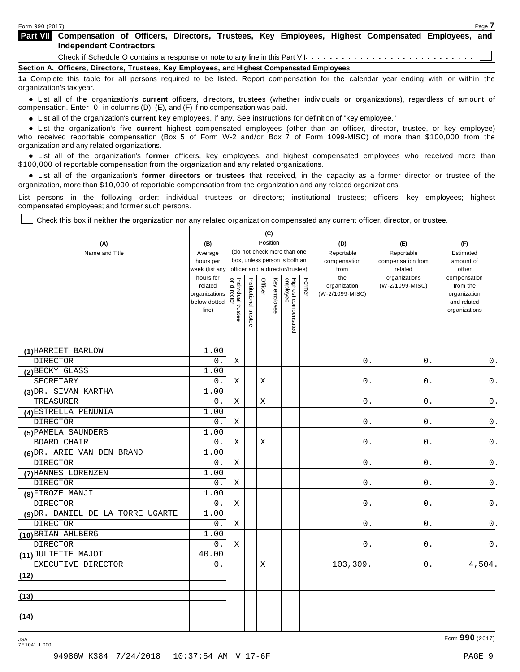Form 990 (2017) Page  $7$ 

|  |                                |  |  |  |                                                                                            |  | <b>Part VIII</b> Compensation of Officers, Directors, Trustees, Key Employees, Highest Compensated Employees, and                 |  |  |
|--|--------------------------------|--|--|--|--------------------------------------------------------------------------------------------|--|-----------------------------------------------------------------------------------------------------------------------------------|--|--|
|  | <b>Independent Contractors</b> |  |  |  |                                                                                            |  |                                                                                                                                   |  |  |
|  |                                |  |  |  |                                                                                            |  |                                                                                                                                   |  |  |
|  |                                |  |  |  | Section A. Officers, Directors, Trustees, Key Employees, and Highest Compensated Employees |  |                                                                                                                                   |  |  |
|  |                                |  |  |  |                                                                                            |  | 1a Complete this table for all persons required to be listed. Report compensation for the calendar year ending with or within the |  |  |

organization's tax year.

anization's lax year.<br>● List all of the organization's **current** officers, directors, trustees (whether individuals or organizations), regardless of amount of<br>nnensation Enter -0- in columns (D) (E) and (E) if no compensa compensation. Enter -0- in columns (D), (E), and (F) if no compensation was paid.

• List all of the organization's **current** key employees, if any. See instructions for definition of "key employee."<br>● List the experientials five expect highest expressed explores (other than an efficer director of

**Example in the organization's current** key employees, if any. See instructions for definition of key employee.<br>• List the organization's five **current** highest compensated employees (other than an officer, director, trust who received reportable compensation (Box 5 of Form W-2 and/or Box 7 of Form 1099-MISC) of more than \$100,000 from the

organization and any related organizations.<br>• List all of the organization's **former** officers, key employees, and highest compensated employees who received more than<br>\$1.00.000 of reportable componention from the erganiza \$100,000 of reportable compensation from the organization and any related organizations.

% List all of the organization's **former directors or trustees** that received, in the capacity as a former director or trustee of the organization, more than \$10,000 of reportable compensation from the organization and any related organizations.

List persons in the following order: individual trustees or directors; institutional trustees; officers; key employees; highest compensated employees; and former such persons.

Check this box if neither the organization nor any related organization compensated any current officer, director, or trustee.

|                                   |                               |                                   |                       |             | (C)          |                                                                  |        |                 |                          |                             |
|-----------------------------------|-------------------------------|-----------------------------------|-----------------------|-------------|--------------|------------------------------------------------------------------|--------|-----------------|--------------------------|-----------------------------|
| (A)                               | (B)                           |                                   |                       |             | Position     |                                                                  |        | (D)             | (E)                      | (F)                         |
| Name and Title                    | Average                       |                                   |                       |             |              | (do not check more than one                                      |        | Reportable      | Reportable               | Estimated                   |
|                                   | hours per                     |                                   |                       |             |              | box, unless person is both an<br>officer and a director/trustee) |        | compensation    | compensation from        | amount of                   |
|                                   | week (list any<br>hours for   |                                   |                       |             |              |                                                                  |        | from<br>the     | related<br>organizations | other<br>compensation       |
|                                   | related                       | Individual trustee<br>or director | Institutional trustee | Officer     | Key employee | Highest compensated<br>employee                                  | Former | organization    | (W-2/1099-MISC)          | from the                    |
|                                   | organizations<br>below dotted |                                   |                       |             |              |                                                                  |        | (W-2/1099-MISC) |                          | organization<br>and related |
|                                   | line)                         |                                   |                       |             |              |                                                                  |        |                 |                          | organizations               |
|                                   |                               |                                   |                       |             |              |                                                                  |        |                 |                          |                             |
|                                   |                               |                                   |                       |             |              |                                                                  |        |                 |                          |                             |
|                                   |                               |                                   |                       |             |              |                                                                  |        |                 |                          |                             |
| (1) HARRIET BARLOW                | 1.00                          |                                   |                       |             |              |                                                                  |        |                 |                          |                             |
| DIRECTOR                          | 0.                            | Χ                                 |                       |             |              |                                                                  |        | $0$ .           | $0$ .                    | 0.                          |
| (2) BECKY GLASS                   | 1.00                          |                                   |                       |             |              |                                                                  |        |                 |                          |                             |
| SECRETARY                         | 0.                            | Χ                                 |                       | X           |              |                                                                  |        | 0.              | 0.                       | 0.                          |
| (3) DR. SIVAN KARTHA              | 1.00                          |                                   |                       |             |              |                                                                  |        |                 |                          |                             |
| TREASURER                         | 0.                            | X                                 |                       | $\mathbf X$ |              |                                                                  |        | $0$ .           | $0$ .                    | $\mathsf 0$ .               |
| (4) ESTRELLA PENUNIA              | 1.00                          |                                   |                       |             |              |                                                                  |        |                 |                          |                             |
| <b>DIRECTOR</b>                   | $0$ .                         | Χ                                 |                       |             |              |                                                                  |        | $\mathsf{O}$ .  | $0$ .                    | $\mathsf 0$ .               |
| (5) PAMELA SAUNDERS               | 1.00                          |                                   |                       |             |              |                                                                  |        |                 |                          |                             |
| BOARD CHAIR                       | 0.                            | Χ                                 |                       | Χ           |              |                                                                  |        | 0.              | 0.                       | $\mathsf 0$ .               |
| (6) DR. ARIE VAN DEN BRAND        | 1.00                          |                                   |                       |             |              |                                                                  |        |                 |                          |                             |
| <b>DIRECTOR</b>                   | 0.                            | X                                 |                       |             |              |                                                                  |        | 0.              | $0$ .                    | $\mathsf 0$ .               |
| (7) HANNES LORENZEN               | 1.00                          |                                   |                       |             |              |                                                                  |        |                 |                          |                             |
| <b>DIRECTOR</b>                   | $0$ .                         | Χ                                 |                       |             |              |                                                                  |        | 0.              | 0.                       | 0.                          |
| (8) FIROZE MANJI                  | 1.00                          |                                   |                       |             |              |                                                                  |        |                 |                          |                             |
| <b>DIRECTOR</b>                   | 0.                            | Χ                                 |                       |             |              |                                                                  |        | 0.              | 0.                       | 0.                          |
| (9) DR. DANIEL DE LA TORRE UGARTE | 1.00                          |                                   |                       |             |              |                                                                  |        |                 |                          |                             |
| <b>DIRECTOR</b>                   | 0.                            | X                                 |                       |             |              |                                                                  |        | $0$ .           | $0$ .                    | $0$ .                       |
| (10) BRIAN AHLBERG                | 1.00                          |                                   |                       |             |              |                                                                  |        |                 |                          |                             |
| <b>DIRECTOR</b>                   | $0$ .                         | Χ                                 |                       |             |              |                                                                  |        | $\mathsf{O}$ .  | $0$ .                    | $0$ .                       |
| (11) JULIETTE MAJOT               | 40.00                         |                                   |                       |             |              |                                                                  |        |                 |                          |                             |
| EXECUTIVE DIRECTOR                | 0.                            |                                   |                       | Χ           |              |                                                                  |        | 103,309.        | 0.                       | 4,504.                      |
| (12)                              |                               |                                   |                       |             |              |                                                                  |        |                 |                          |                             |
|                                   |                               |                                   |                       |             |              |                                                                  |        |                 |                          |                             |
| (13)                              |                               |                                   |                       |             |              |                                                                  |        |                 |                          |                             |
| (14)                              |                               |                                   |                       |             |              |                                                                  |        |                 |                          |                             |
|                                   |                               |                                   |                       |             |              |                                                                  |        |                 |                          |                             |

7E1041 1.000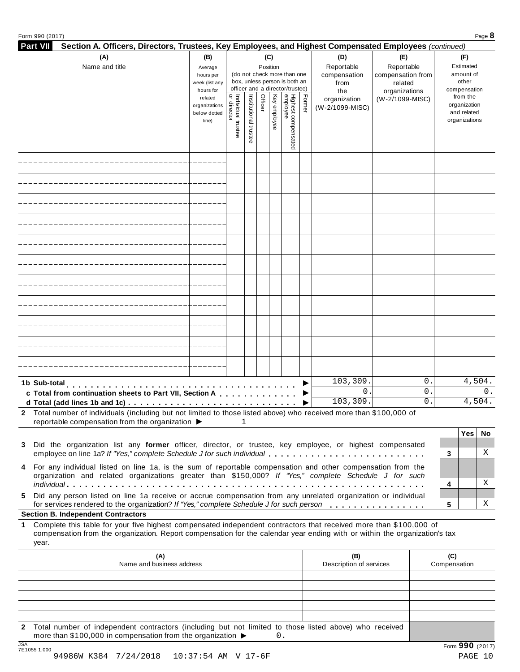|  |  | Form 990 (2017) |  |
|--|--|-----------------|--|
|--|--|-----------------|--|

| Form 990 (2017) |                                                                                                                                                                                                                                                                                               |                                                                                  |                                          |                       |                 |              |                                                                                                     |        |                                                |                                             |                      |                     | Page 8                                                                            |
|-----------------|-----------------------------------------------------------------------------------------------------------------------------------------------------------------------------------------------------------------------------------------------------------------------------------------------|----------------------------------------------------------------------------------|------------------------------------------|-----------------------|-----------------|--------------|-----------------------------------------------------------------------------------------------------|--------|------------------------------------------------|---------------------------------------------|----------------------|---------------------|-----------------------------------------------------------------------------------|
| <b>Part VII</b> | Section A. Officers, Directors, Trustees, Key Employees, and Highest Compensated Employees (continued)                                                                                                                                                                                        |                                                                                  |                                          |                       |                 |              |                                                                                                     |        |                                                |                                             |                      |                     |                                                                                   |
|                 | (A)<br>Name and title                                                                                                                                                                                                                                                                         | (B)<br>Average<br>hours per                                                      |                                          |                       | (C)<br>Position |              | (do not check more than one                                                                         |        | (D)<br>Reportable<br>compensation              | (E)<br>Reportable<br>compensation from      |                      |                     | (F)<br>Estimated<br>amount of                                                     |
|                 |                                                                                                                                                                                                                                                                                               | week (list any<br>hours for<br>related<br>organizations<br>below dotted<br>line) | Individual trustee<br> <br>  or director | Institutional trustee | Officer         | Key employee | box, unless person is both an<br>officer and a director/trustee)<br>Highest compensated<br>employee | Former | from<br>the<br>organization<br>(W-2/1099-MISC) | related<br>organizations<br>(W-2/1099-MISC) |                      |                     | other<br>compensation<br>from the<br>organization<br>and related<br>organizations |
|                 |                                                                                                                                                                                                                                                                                               |                                                                                  |                                          |                       |                 |              |                                                                                                     |        |                                                |                                             |                      |                     |                                                                                   |
|                 |                                                                                                                                                                                                                                                                                               |                                                                                  |                                          |                       |                 |              |                                                                                                     |        |                                                |                                             |                      |                     |                                                                                   |
|                 |                                                                                                                                                                                                                                                                                               |                                                                                  |                                          |                       |                 |              |                                                                                                     |        |                                                |                                             |                      |                     |                                                                                   |
|                 |                                                                                                                                                                                                                                                                                               |                                                                                  |                                          |                       |                 |              |                                                                                                     |        |                                                |                                             |                      |                     |                                                                                   |
|                 |                                                                                                                                                                                                                                                                                               |                                                                                  |                                          |                       |                 |              |                                                                                                     |        |                                                |                                             |                      |                     |                                                                                   |
|                 |                                                                                                                                                                                                                                                                                               |                                                                                  |                                          |                       |                 |              |                                                                                                     |        |                                                |                                             |                      |                     |                                                                                   |
|                 |                                                                                                                                                                                                                                                                                               |                                                                                  |                                          |                       |                 |              |                                                                                                     |        |                                                |                                             |                      |                     |                                                                                   |
|                 |                                                                                                                                                                                                                                                                                               |                                                                                  |                                          |                       |                 |              |                                                                                                     |        |                                                |                                             |                      |                     |                                                                                   |
|                 |                                                                                                                                                                                                                                                                                               |                                                                                  |                                          |                       |                 |              |                                                                                                     |        |                                                |                                             |                      |                     |                                                                                   |
|                 |                                                                                                                                                                                                                                                                                               |                                                                                  |                                          |                       |                 |              |                                                                                                     |        |                                                |                                             |                      |                     |                                                                                   |
|                 |                                                                                                                                                                                                                                                                                               |                                                                                  |                                          |                       |                 |              |                                                                                                     |        |                                                |                                             |                      |                     |                                                                                   |
|                 |                                                                                                                                                                                                                                                                                               |                                                                                  |                                          |                       |                 |              |                                                                                                     |        |                                                |                                             |                      |                     |                                                                                   |
|                 | 1b Sub-total                                                                                                                                                                                                                                                                                  |                                                                                  |                                          |                       |                 |              |                                                                                                     |        | 103,309.                                       |                                             | $\mathsf{O}$ .       |                     | 4,504.                                                                            |
|                 | c Total from continuation sheets to Part VII, Section A entrs and service and                                                                                                                                                                                                                 |                                                                                  |                                          |                       |                 |              |                                                                                                     |        | $\Omega$ .<br>103,309.                         |                                             | $\mathsf{O}$ .<br>0. |                     | 0.<br>4,504.                                                                      |
|                 | d Total (add lines 1b and 1c) $\ldots \ldots \ldots \ldots \ldots \ldots \ldots \ldots \ldots \ldots \ldots$<br>2 Total number of individuals (including but not limited to those listed above) who received more than \$100,000 of                                                           |                                                                                  |                                          |                       |                 |              |                                                                                                     |        |                                                |                                             |                      |                     |                                                                                   |
|                 | reportable compensation from the organization $\blacktriangleright$                                                                                                                                                                                                                           |                                                                                  |                                          | 1                     |                 |              |                                                                                                     |        |                                                |                                             |                      |                     | Yes<br>No                                                                         |
|                 | Did the organization list any former officer, director, or trustee, key employee, or highest compensated<br>employee on line 1a? If "Yes," complete Schedule J for such individual                                                                                                            |                                                                                  |                                          |                       |                 |              |                                                                                                     |        |                                                |                                             |                      | 3                   | Χ                                                                                 |
| 4               | For any individual listed on line 1a, is the sum of reportable compensation and other compensation from the<br>organization and related organizations greater than \$150,000? If "Yes," complete Schedule J for such                                                                          |                                                                                  |                                          |                       |                 |              |                                                                                                     |        |                                                |                                             |                      | 4                   | Χ                                                                                 |
| 5               | Did any person listed on line 1a receive or accrue compensation from any unrelated organization or individual<br>for services rendered to the organization? If "Yes," complete Schedule J for such person                                                                                     |                                                                                  |                                          |                       |                 |              |                                                                                                     |        |                                                |                                             |                      | 5                   | Χ                                                                                 |
| 1.              | <b>Section B. Independent Contractors</b><br>Complete this table for your five highest compensated independent contractors that received more than \$100,000 of<br>compensation from the organization. Report compensation for the calendar year ending with or within the organization's tax |                                                                                  |                                          |                       |                 |              |                                                                                                     |        |                                                |                                             |                      |                     |                                                                                   |
| year.           | (A)<br>Name and business address                                                                                                                                                                                                                                                              |                                                                                  |                                          |                       |                 |              |                                                                                                     |        | (B)<br>Description of services                 |                                             |                      | (C)<br>Compensation |                                                                                   |
|                 |                                                                                                                                                                                                                                                                                               |                                                                                  |                                          |                       |                 |              |                                                                                                     |        |                                                |                                             |                      |                     |                                                                                   |

**2** Total number of independent contractors (including but not limited to those listed above) who received more than \$100,000 in compensation from the organization  $\triangleright$  0.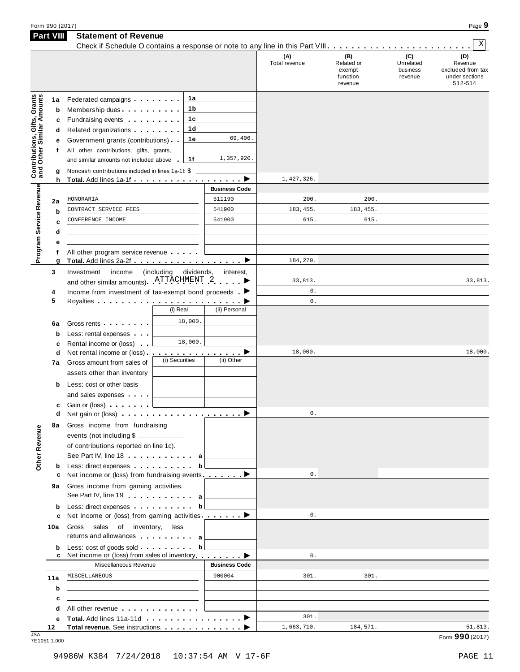| Form 990 (2017)                                                  |                  |                                                                                                                                                                                                                                                                                     |                          |                      |                          |                                                    |                                         | Page 9                                                           |
|------------------------------------------------------------------|------------------|-------------------------------------------------------------------------------------------------------------------------------------------------------------------------------------------------------------------------------------------------------------------------------------|--------------------------|----------------------|--------------------------|----------------------------------------------------|-----------------------------------------|------------------------------------------------------------------|
|                                                                  | <b>Part VIII</b> | <b>Statement of Revenue</b>                                                                                                                                                                                                                                                         |                          |                      |                          |                                                    |                                         | X                                                                |
|                                                                  |                  |                                                                                                                                                                                                                                                                                     |                          |                      | (A)<br>Total revenue     | (B)<br>Related or<br>exempt<br>function<br>revenue | (C)<br>Unrelated<br>business<br>revenue | (D)<br>Revenue<br>excluded from tax<br>under sections<br>512-514 |
|                                                                  | 1a               | Federated campaigns <b>Example 20</b>                                                                                                                                                                                                                                               | 1a                       |                      |                          |                                                    |                                         |                                                                  |
| <b>Contributions, Gifts, Grants</b><br>and Other Similar Amounts | b                |                                                                                                                                                                                                                                                                                     | 1b                       |                      |                          |                                                    |                                         |                                                                  |
|                                                                  | c                | Fundraising events <b>Exercises Exercises</b>                                                                                                                                                                                                                                       | 1с                       |                      |                          |                                                    |                                         |                                                                  |
|                                                                  | d                | Related organizations <b>and the set of the set of the set of the set of the set of the set of the set of the set of the set of the set of the set of the set of the set of the set of the set of the set of the set of the set </b>                                                | 1d                       |                      |                          |                                                    |                                         |                                                                  |
|                                                                  | е                | Government grants (contributions)                                                                                                                                                                                                                                                   | 1е                       | 69,406.              |                          |                                                    |                                         |                                                                  |
|                                                                  | Ť                | All other contributions, gifts, grants,                                                                                                                                                                                                                                             |                          |                      |                          |                                                    |                                         |                                                                  |
|                                                                  |                  | and similar amounts not included above                                                                                                                                                                                                                                              | 1f                       | 1,357,920.           |                          |                                                    |                                         |                                                                  |
|                                                                  | g<br>h           | Noncash contributions included in lines 1a-1f: \$<br>Total. Add lines 1a-1f example and a series of the series of the series of the series of the series of the series of the series of the series of the series of the series of the series of the series of the series of the ser |                          | ▸                    | 1,427,326.               |                                                    |                                         |                                                                  |
|                                                                  |                  |                                                                                                                                                                                                                                                                                     |                          | <b>Business Code</b> |                          |                                                    |                                         |                                                                  |
|                                                                  | 2a               | HONORARIA                                                                                                                                                                                                                                                                           |                          | 511190               | 200                      | 200                                                |                                         |                                                                  |
|                                                                  | b                | CONTRACT SERVICE FEES                                                                                                                                                                                                                                                               |                          | 541900               | 183, 455.                | 183, 455.                                          |                                         |                                                                  |
|                                                                  | c                | CONFERENCE INCOME                                                                                                                                                                                                                                                                   |                          | 541900               | 615.                     | 615.                                               |                                         |                                                                  |
| Program Service Revenue                                          | d                |                                                                                                                                                                                                                                                                                     |                          |                      |                          |                                                    |                                         |                                                                  |
|                                                                  | е                |                                                                                                                                                                                                                                                                                     |                          |                      |                          |                                                    |                                         |                                                                  |
|                                                                  | f                | All other program service revenue                                                                                                                                                                                                                                                   |                          |                      |                          |                                                    |                                         |                                                                  |
|                                                                  | g                |                                                                                                                                                                                                                                                                                     |                          |                      | 184,270.                 |                                                    |                                         |                                                                  |
|                                                                  | 3                | Investment<br>income                                                                                                                                                                                                                                                                | (including<br>dividends, | interest,            |                          |                                                    |                                         |                                                                  |
|                                                                  |                  | and other similar amounts). ATTACHMENT 2                                                                                                                                                                                                                                            |                          |                      | 33,813<br>$\mathsf{0}$ . |                                                    |                                         | 33,813.                                                          |
|                                                                  | 4<br>5           | Income from investment of tax-exempt bond proceeds $\blacksquare$                                                                                                                                                                                                                   |                          |                      | $\mathsf{0}$ .           |                                                    |                                         |                                                                  |
|                                                                  |                  |                                                                                                                                                                                                                                                                                     | (i) Real                 | (ii) Personal        |                          |                                                    |                                         |                                                                  |
|                                                                  | 6a               | Gross rents <b>contains a container</b>                                                                                                                                                                                                                                             | 18,000.                  |                      |                          |                                                    |                                         |                                                                  |
|                                                                  | b                | Less: rental expenses                                                                                                                                                                                                                                                               |                          |                      |                          |                                                    |                                         |                                                                  |
|                                                                  | c                | Rental income or (loss)                                                                                                                                                                                                                                                             | 18,000.                  |                      |                          |                                                    |                                         |                                                                  |
|                                                                  | d                | Net rental income or (loss) ▶                                                                                                                                                                                                                                                       |                          |                      | 18,000.                  |                                                    |                                         | 18,000.                                                          |
|                                                                  | 7а               | Gross amount from sales of                                                                                                                                                                                                                                                          | (i) Securities           | (ii) Other           |                          |                                                    |                                         |                                                                  |
|                                                                  |                  | assets other than inventory                                                                                                                                                                                                                                                         |                          |                      |                          |                                                    |                                         |                                                                  |
|                                                                  | b                | Less: cost or other basis                                                                                                                                                                                                                                                           |                          |                      |                          |                                                    |                                         |                                                                  |
|                                                                  |                  | and sales expenses                                                                                                                                                                                                                                                                  |                          |                      |                          |                                                    |                                         |                                                                  |
|                                                                  | c<br>d           | Gain or (loss) <u>  _ _ _ _ _ _</u><br>Net gain or (loss) $\cdots$ $\cdots$ $\cdots$ $\cdots$ $\cdots$ $\cdots$                                                                                                                                                                     |                          |                      | $\mathsf{O}$ .           |                                                    |                                         |                                                                  |
|                                                                  | 8a               | Gross income from fundraising                                                                                                                                                                                                                                                       |                          |                      |                          |                                                    |                                         |                                                                  |
| Revenue                                                          |                  | events (not including \$                                                                                                                                                                                                                                                            |                          |                      |                          |                                                    |                                         |                                                                  |
|                                                                  |                  | of contributions reported on line 1c).                                                                                                                                                                                                                                              |                          |                      |                          |                                                    |                                         |                                                                  |
|                                                                  |                  | See Part IV, line 18 a                                                                                                                                                                                                                                                              |                          |                      |                          |                                                    |                                         |                                                                  |
| Other                                                            | b                | Less: direct expenses b                                                                                                                                                                                                                                                             |                          |                      |                          |                                                    |                                         |                                                                  |
|                                                                  | c                | Net income or (loss) from fundraising events _________                                                                                                                                                                                                                              |                          |                      | $\mathbf{0}$ .           |                                                    |                                         |                                                                  |
|                                                                  | 9а               | Gross income from gaming activities.                                                                                                                                                                                                                                                |                          |                      |                          |                                                    |                                         |                                                                  |
|                                                                  |                  | See Part IV, line 19 a                                                                                                                                                                                                                                                              |                          |                      |                          |                                                    |                                         |                                                                  |
|                                                                  | b<br>c           | Less: direct expenses b<br>Net income or (loss) from gaming activities ________ ▶                                                                                                                                                                                                   |                          |                      | $\mathsf{0}$ .           |                                                    |                                         |                                                                  |
|                                                                  | 10a              | Gross<br>sales<br>of inventory,                                                                                                                                                                                                                                                     | less                     |                      |                          |                                                    |                                         |                                                                  |
|                                                                  |                  | returns and allowances and allowances                                                                                                                                                                                                                                               |                          |                      |                          |                                                    |                                         |                                                                  |
|                                                                  | b                |                                                                                                                                                                                                                                                                                     |                          |                      |                          |                                                    |                                         |                                                                  |
|                                                                  | c                | Net income or (loss) from sales of inventory                                                                                                                                                                                                                                        |                          | ▶                    | $\mathbf{0}$ .           |                                                    |                                         |                                                                  |
|                                                                  |                  | Miscellaneous Revenue                                                                                                                                                                                                                                                               |                          | <b>Business Code</b> |                          |                                                    |                                         |                                                                  |
|                                                                  | 11a              | MISCELLANEOUS                                                                                                                                                                                                                                                                       |                          | 900004               | 301.                     | 301.                                               |                                         |                                                                  |
|                                                                  | b                | the control of the control of the control of the control of the control of                                                                                                                                                                                                          |                          |                      |                          |                                                    |                                         |                                                                  |
|                                                                  | c                | the contract of the contract of the contract of the contract of the contract of                                                                                                                                                                                                     |                          |                      |                          |                                                    |                                         |                                                                  |
|                                                                  | d                | All other revenue                                                                                                                                                                                                                                                                   |                          |                      | 301.                     |                                                    |                                         |                                                                  |
|                                                                  | е<br>12          | Total revenue. See instructions.                                                                                                                                                                                                                                                    |                          |                      | 1,663,710.               | 184,571.                                           |                                         | 51,813.                                                          |
| .ISA                                                             |                  |                                                                                                                                                                                                                                                                                     |                          |                      |                          |                                                    |                                         |                                                                  |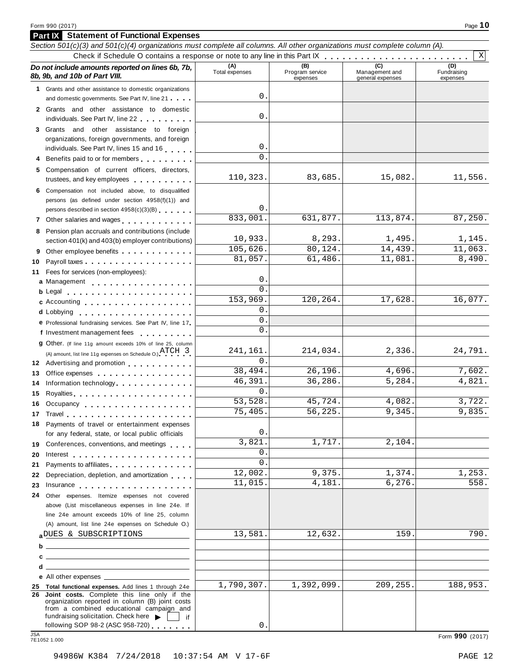**Part IX Statement of Functional Expenses**

| Do not include amounts reported on lines 6b, 7b,<br>8b, 9b, and 10b of Part VIII.<br>1 Grants and other assistance to domestic organizations<br>and domestic governments. See Part IV, line 21<br>2 Grants and other assistance to domestic | (A)<br>Total expenses<br>0<br>0 | (B)<br>Program service<br>expenses | (C)<br>Management and<br>general expenses | $\mathbf{X}$<br>(D)<br>Fundraising<br>expenses |
|---------------------------------------------------------------------------------------------------------------------------------------------------------------------------------------------------------------------------------------------|---------------------------------|------------------------------------|-------------------------------------------|------------------------------------------------|
|                                                                                                                                                                                                                                             |                                 |                                    |                                           |                                                |
|                                                                                                                                                                                                                                             |                                 |                                    |                                           |                                                |
|                                                                                                                                                                                                                                             |                                 |                                    |                                           |                                                |
| individuals. See Part IV, line 22                                                                                                                                                                                                           |                                 |                                    |                                           |                                                |
| 3 Grants and other assistance to foreign                                                                                                                                                                                                    |                                 |                                    |                                           |                                                |
| organizations, foreign governments, and foreign                                                                                                                                                                                             |                                 |                                    |                                           |                                                |
| individuals. See Part IV, lines 15 and 16                                                                                                                                                                                                   | $\mathbf 0$ .                   |                                    |                                           |                                                |
| 4 Benefits paid to or for members                                                                                                                                                                                                           | $\Omega$                        |                                    |                                           |                                                |
| 5 Compensation of current officers, directors,                                                                                                                                                                                              |                                 |                                    |                                           |                                                |
| trustees, and key employees                                                                                                                                                                                                                 | 110,323.                        | 83,685.                            | 15,082.                                   | 11,556.                                        |
| 6 Compensation not included above, to disqualified                                                                                                                                                                                          |                                 |                                    |                                           |                                                |
| persons (as defined under section 4958(f)(1)) and                                                                                                                                                                                           |                                 |                                    |                                           |                                                |
| persons described in section 4958(c)(3)(B)                                                                                                                                                                                                  | 0                               |                                    |                                           |                                                |
| 7 Other salaries and wages <b>container and all the salaries</b>                                                                                                                                                                            | 833,001.                        | 631,877.                           | 113,874.                                  | 87,250.                                        |
| 8 Pension plan accruals and contributions (include                                                                                                                                                                                          |                                 |                                    |                                           |                                                |
| section 401(k) and 403(b) employer contributions)                                                                                                                                                                                           | 10,933.                         | 8, 293.                            | 1,495.                                    | 1,145.                                         |
| 9 Other employee benefits                                                                                                                                                                                                                   | 105,626.                        | 80,124.                            | 14,439.                                   | 11,063.                                        |
| 10                                                                                                                                                                                                                                          | 81,057.                         | 61,486.                            | 11,081.                                   | 8,490.                                         |
| 11 Fees for services (non-employees):                                                                                                                                                                                                       |                                 |                                    |                                           |                                                |
| a Management                                                                                                                                                                                                                                | 0<br>$\Omega$ .                 |                                    |                                           |                                                |
| b Legal entering the service of the service of the service of the service of the service of the service of the                                                                                                                              | 153,969.                        | 120,264.                           | 17,628.                                   | 16,077.                                        |
| c Accounting entering the set of the set of the set of the set of the set of the set of the set of the set of the set of the set of the set of the set of the set of the set of the set of the set of the set of the set of th              | $\Omega$ .                      |                                    |                                           |                                                |
| d Lobbying                                                                                                                                                                                                                                  | $\Omega$ .                      |                                    |                                           |                                                |
| e Professional fundraising services. See Part IV, line 17                                                                                                                                                                                   | $\Omega$ .                      |                                    |                                           |                                                |
| f Investment management fees                                                                                                                                                                                                                |                                 |                                    |                                           |                                                |
| 9 Other. (If line 11g amount exceeds 10% of line 25, column<br>(A) amount, list line 11g expenses on Schedule O.) $\text{ATCH} \quad 3$                                                                                                     | 241,161.                        | 214,034.                           | 2,336.                                    | 24,791.                                        |
| 12 Advertising and promotion                                                                                                                                                                                                                | $\Omega$ .                      |                                    |                                           |                                                |
| Office expenses example and the set of the set of the set of the set of the set of the set of the set of the set of the set of the set of the set of the set of the set of the set of the set of the set of the set of the set<br>13        | 38,494.                         | 26,196.                            | 4,696.                                    | 7,602.                                         |
| Information technology experience and the state of the state of the state of the state of the state of the state of the state of the state of the state of the state of the state of the state of the state of the state of th<br>14        | 46,391.                         | 36,286.                            | 5,284.                                    | 4,821.                                         |
| 15<br>Royalties <b>Royalties Royalties Royalties Royalties</b>                                                                                                                                                                              | $\Omega$ .                      |                                    |                                           |                                                |
| 16<br>Occupancy experience and a series are a series and a series of the series of the series of the series of the s                                                                                                                        | 53,528.                         | 45,724.                            | 4,082.                                    | 3,722.                                         |
| 17 Travel                                                                                                                                                                                                                                   | 75,405.                         | 56,225.                            | 9,345.                                    | 9,835.                                         |
| 18 Payments of travel or entertainment expenses<br>for any federal, state, or local public officials                                                                                                                                        | 0                               |                                    |                                           |                                                |
| 19 Conferences, conventions, and meetings                                                                                                                                                                                                   | 3,821                           | 1,717.                             | 2,104.                                    |                                                |
|                                                                                                                                                                                                                                             | 0.                              |                                    |                                           |                                                |
| Payments to affiliates <b>All Accords</b> Payments to affiliates<br>21                                                                                                                                                                      | $\Omega$                        |                                    |                                           |                                                |
| Depreciation, depletion, and amortization<br>22                                                                                                                                                                                             | 12,002.                         | 9,375.                             | 1,374.                                    | 1,253.                                         |
|                                                                                                                                                                                                                                             | 11,015.                         | 4,181.                             | 6,276.                                    | 558.                                           |
| 24 Other expenses. Itemize expenses not covered                                                                                                                                                                                             |                                 |                                    |                                           |                                                |
| above (List miscellaneous expenses in line 24e. If                                                                                                                                                                                          |                                 |                                    |                                           |                                                |
| line 24e amount exceeds 10% of line 25, column                                                                                                                                                                                              |                                 |                                    |                                           |                                                |
| (A) amount, list line 24e expenses on Schedule O.)                                                                                                                                                                                          |                                 |                                    |                                           |                                                |
| aDUES & SUBSCRIPTIONS                                                                                                                                                                                                                       | 13,581.                         | 12,632.                            | 159.                                      | 790.                                           |
| the control of the control of the control of the control of the control of the control of<br>b.                                                                                                                                             |                                 |                                    |                                           |                                                |
| c                                                                                                                                                                                                                                           |                                 |                                    |                                           |                                                |
| <u> 1980 - Andrea Andrew Maria (h. 1980).</u><br>d                                                                                                                                                                                          |                                 |                                    |                                           |                                                |
|                                                                                                                                                                                                                                             |                                 |                                    |                                           |                                                |
| 25 Total functional expenses. Add lines 1 through 24e                                                                                                                                                                                       | 1,790,307.                      | 1,392,099.                         | 209,255.                                  | 188,953.                                       |
| 26 Joint costs. Complete this line only if the<br>organization reported in column (B) joint costs<br>from a combined educational campaign and<br>fundraising solicitation. Check here                                                       |                                 |                                    |                                           |                                                |
| if<br>following SOP 98-2 (ASC 958-720)                                                                                                                                                                                                      | 0.                              |                                    |                                           |                                                |
| <b>JSA</b><br>7E1052 1.000                                                                                                                                                                                                                  |                                 |                                    |                                           | Form 990 (2017)                                |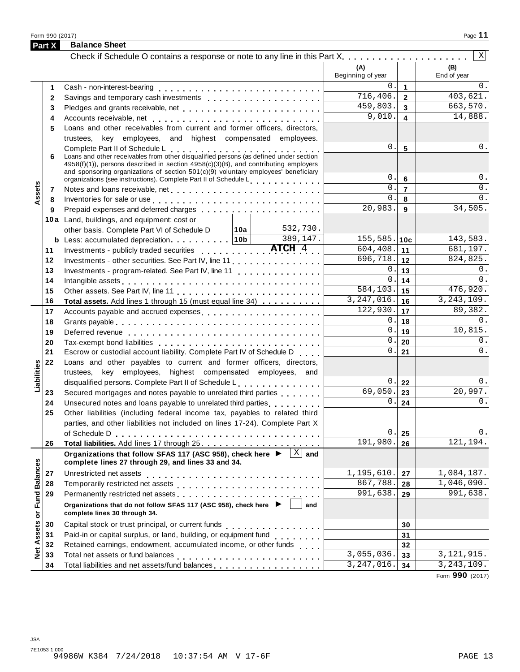Form <sup>990</sup> (2017) Page **11**

|                              | Part X       | <b>Balance Sheet</b>                                                                                                                                                                                                                                                |                        |              |                          |                |                    |  |  |
|------------------------------|--------------|---------------------------------------------------------------------------------------------------------------------------------------------------------------------------------------------------------------------------------------------------------------------|------------------------|--------------|--------------------------|----------------|--------------------|--|--|
|                              |              |                                                                                                                                                                                                                                                                     |                        |              |                          |                | $\mathbf X$        |  |  |
|                              |              |                                                                                                                                                                                                                                                                     |                        |              | (A)<br>Beginning of year |                | (B)<br>End of year |  |  |
|                              | 1            |                                                                                                                                                                                                                                                                     |                        |              | 0.                       | $\mathbf 1$    | 0.                 |  |  |
|                              | $\mathbf{2}$ | Savings and temporary cash investments                                                                                                                                                                                                                              |                        |              | 716,406.                 | $\overline{2}$ | 403,621.           |  |  |
|                              | 3            |                                                                                                                                                                                                                                                                     | $\overline{459,803}$ . | $\mathbf{3}$ | 663,570.                 |                |                    |  |  |
|                              | 4            |                                                                                                                                                                                                                                                                     | 9,010.                 | 4            | 14,888.                  |                |                    |  |  |
|                              | 5            | Loans and other receivables from current and former officers, directors,                                                                                                                                                                                            |                        |              |                          |                |                    |  |  |
|                              |              | trustees, key employees, and highest compensated employees.                                                                                                                                                                                                         |                        |              |                          |                |                    |  |  |
|                              |              | Complete Part II of Schedule L<br>Loans and other receivables from other disqualified persons (as defined under section                                                                                                                                             |                        |              | 0.                       | 5              | $0$ .              |  |  |
|                              | 6            | 4958(f)(1)), persons described in section 4958(c)(3)(B), and contributing employers<br>and sponsoring organizations of section 501(c)(9) voluntary employees' beneficiary<br>organizations (see instructions). Complete Part II of Schedule Letter entries networks |                        |              | 0.                       | 6              | 0.                 |  |  |
|                              | 7            |                                                                                                                                                                                                                                                                     |                        |              | 0.                       | $\overline{7}$ | $\overline{0}$ .   |  |  |
| Assets                       | 8            |                                                                                                                                                                                                                                                                     |                        |              | 0.                       | 8              | 0.                 |  |  |
|                              | 9            |                                                                                                                                                                                                                                                                     |                        |              | 20,983.                  | 9              | 34,505.            |  |  |
|                              |              | 10a Land, buildings, and equipment: cost or                                                                                                                                                                                                                         |                        |              |                          |                |                    |  |  |
|                              |              | other basis. Complete Part VI of Schedule D                                                                                                                                                                                                                         | 10a                    | 532,730.     |                          |                |                    |  |  |
|                              |              | <b>b</b> Less: accumulated depreciation. $ 10b $                                                                                                                                                                                                                    |                        | 389,147.     | $155, 585.$ 10c          |                | 143,583.           |  |  |
|                              | 11           | Investments - publicly traded securities ATCH 4                                                                                                                                                                                                                     |                        |              | 604,408.                 | 11             | 681,197.           |  |  |
|                              | 12           | Investments - other securities. See Part IV, line 11                                                                                                                                                                                                                |                        |              | 696,718.                 | 12             | 824,825.           |  |  |
|                              | 13           |                                                                                                                                                                                                                                                                     |                        |              | 0.                       | 13             | 0.                 |  |  |
|                              | 14           |                                                                                                                                                                                                                                                                     |                        |              | 0.                       | 14             | $0$ .              |  |  |
|                              | 15           |                                                                                                                                                                                                                                                                     |                        |              | 584,103.                 | 15             | 476,920.           |  |  |
|                              | 16           | Total assets. Add lines 1 through 15 (must equal line 34)                                                                                                                                                                                                           |                        |              | 3, 247, 016.             | 16             | 3, 243, 109.       |  |  |
|                              | 17           | Accounts payable and accrued expenses                                                                                                                                                                                                                               |                        |              | 122,930.                 | 17             | 89,382.            |  |  |
|                              | 18           |                                                                                                                                                                                                                                                                     | 0.                     | 18           | 0.                       |                |                    |  |  |
|                              | 19           |                                                                                                                                                                                                                                                                     |                        |              | 0.                       | 19             | 10, 815.           |  |  |
|                              | 20           |                                                                                                                                                                                                                                                                     |                        |              | 0.<br>0.                 | 20             | 0.<br>$0$ .        |  |  |
|                              | 21           | Escrow or custodial account liability. Complete Part IV of Schedule D                                                                                                                                                                                               |                        |              |                          | 21             |                    |  |  |
| Liabilities                  | 22           | Loans and other payables to current and former officers, directors,<br>trustees, key employees, highest compensated employees, and                                                                                                                                  |                        |              |                          |                |                    |  |  |
|                              |              | disqualified persons. Complete Part II of Schedule L.                                                                                                                                                                                                               |                        |              | 0.1                      | 22             | 0.                 |  |  |
|                              | 23           | Secured mortgages and notes payable to unrelated third parties                                                                                                                                                                                                      |                        |              | 69,050.                  | 23             | 20,997.            |  |  |
|                              | 24           | Unsecured notes and loans payable to unrelated third parties                                                                                                                                                                                                        |                        |              | 0.                       | 24             | 0.                 |  |  |
|                              | 25           | Other liabilities (including federal income tax, payables to related third                                                                                                                                                                                          |                        |              |                          |                |                    |  |  |
|                              |              | parties, and other liabilities not included on lines 17-24). Complete Part X                                                                                                                                                                                        |                        |              |                          |                |                    |  |  |
|                              |              | of Schedule D                                                                                                                                                                                                                                                       |                        |              | 0.                       | 25             | 0.                 |  |  |
|                              | 26           |                                                                                                                                                                                                                                                                     |                        |              | 191,980.                 | 26             | 121, 194.          |  |  |
|                              |              | Organizations that follow SFAS 117 (ASC 958), check here ▶<br>complete lines 27 through 29, and lines 33 and 34.                                                                                                                                                    |                        | X <br>and    |                          |                |                    |  |  |
| <b>Fund Balances</b>         | 27           | Unrestricted net assets                                                                                                                                                                                                                                             |                        |              | 1,195,610.               | 27             | 1,084,187.         |  |  |
|                              | 28           |                                                                                                                                                                                                                                                                     |                        |              | 867,788.                 | 28             | 1,046,090.         |  |  |
|                              | 29           | Permanently restricted net assets entertainment of the set of the set of the set of the set of the set of the set of the set of the set of the set of the set of the set of the set of the set of the set of the set of the se                                      |                        |              | 991,638.                 | 29             | 991,638.           |  |  |
| $\overleftarrow{\mathbf{o}}$ |              | Organizations that do not follow SFAS 117 (ASC 958), check here $\blacktriangleright$<br>complete lines 30 through 34.                                                                                                                                              |                        | and          |                          |                |                    |  |  |
|                              | 30           | Capital stock or trust principal, or current funds                                                                                                                                                                                                                  |                        | <u>.</u>     |                          | 30             |                    |  |  |
| <b>Net Assets</b>            | 31           | Paid-in or capital surplus, or land, building, or equipment fund [1, 1, 1, 1, 1, 1]                                                                                                                                                                                 |                        |              |                          | 31             |                    |  |  |
|                              | 32           | Retained earnings, endowment, accumulated income, or other funds                                                                                                                                                                                                    |                        |              |                          | 32             |                    |  |  |
|                              | 33           | Total net assets or fund balances                                                                                                                                                                                                                                   |                        |              | 3,055,036.               | 33             | 3, 121, 915.       |  |  |
|                              | 34           | Total liabilities and net assets/fund balances                                                                                                                                                                                                                      |                        |              | 3,247,016.               | 34             | 3,243,109.         |  |  |

Form **990** (2017)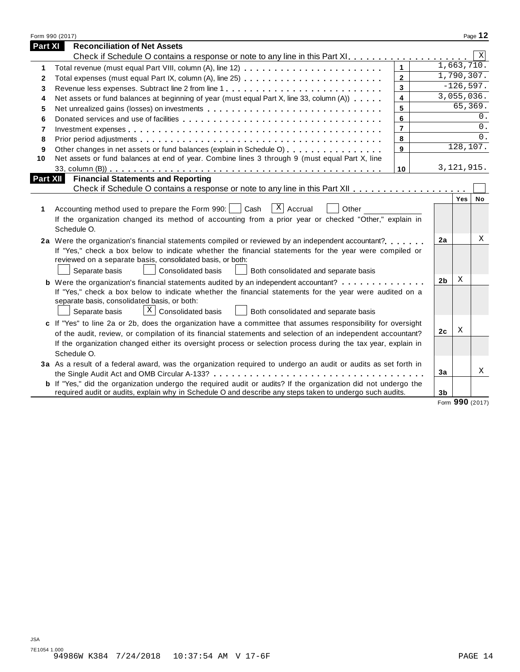|              | Form 990 (2017)                                                                                                       |                |                |                         | Page 12     |
|--------------|-----------------------------------------------------------------------------------------------------------------------|----------------|----------------|-------------------------|-------------|
| Part XI      | <b>Reconciliation of Net Assets</b>                                                                                   |                |                |                         |             |
|              |                                                                                                                       |                |                |                         | $\mathbf X$ |
| 1            | Total revenue (must equal Part VIII, column (A), line 12)                                                             | $\mathbf{1}$   |                | 1,663,710.              |             |
| $\mathbf{2}$ | Total expenses (must equal Part IX, column (A), line 25)                                                              | $\overline{2}$ |                | 1,790,307.              |             |
| 3            |                                                                                                                       | $\overline{3}$ |                | $-126, 597.$            |             |
| 4            | Net assets or fund balances at beginning of year (must equal Part X, line 33, column (A))                             | 4              |                | 3,055,036.              |             |
| 5            |                                                                                                                       | 5              |                | 65,369.                 |             |
| 6            |                                                                                                                       | 6              |                |                         | 0.          |
| 7            |                                                                                                                       | $\overline{7}$ |                |                         | 0.          |
| 8            |                                                                                                                       | 8              |                |                         | $0$ .       |
| 9            | Other changes in net assets or fund balances (explain in Schedule O)                                                  | 9              |                | $\overline{128}$ , 107. |             |
| 10           | Net assets or fund balances at end of year. Combine lines 3 through 9 (must equal Part X, line                        |                |                |                         |             |
|              |                                                                                                                       | 10             |                | 3, 121, 915.            |             |
| Part XII     | <b>Financial Statements and Reporting</b>                                                                             |                |                |                         |             |
|              |                                                                                                                       |                |                |                         |             |
|              |                                                                                                                       |                |                | Yes                     | <b>No</b>   |
| 1            | $X$ Accrual<br>Accounting method used to prepare the Form 990:     Cash<br>Other                                      |                |                |                         |             |
|              | If the organization changed its method of accounting from a prior year or checked "Other," explain in                 |                |                |                         |             |
|              | Schedule O.                                                                                                           |                |                |                         |             |
|              | 2a Were the organization's financial statements compiled or reviewed by an independent accountant?                    |                | 2a             |                         | Χ           |
|              | If "Yes," check a box below to indicate whether the financial statements for the year were compiled or                |                |                |                         |             |
|              | reviewed on a separate basis, consolidated basis, or both:                                                            |                |                |                         |             |
|              | Separate basis<br><b>Consolidated basis</b><br>Both consolidated and separate basis                                   |                |                |                         |             |
|              | <b>b</b> Were the organization's financial statements audited by an independent accountant?                           |                | 2 <sub>b</sub> | X                       |             |
|              | If "Yes," check a box below to indicate whether the financial statements for the year were audited on a               |                |                |                         |             |
|              | separate basis, consolidated basis, or both:                                                                          |                |                |                         |             |
|              | X  <br><b>Consolidated basis</b><br>Separate basis<br>Both consolidated and separate basis                            |                |                |                         |             |
|              | c If "Yes" to line 2a or 2b, does the organization have a committee that assumes responsibility for oversight         |                |                |                         |             |
|              | of the audit, review, or compilation of its financial statements and selection of an independent accountant?          |                | 2c             | X                       |             |
|              | If the organization changed either its oversight process or selection process during the tax year, explain in         |                |                |                         |             |
|              | Schedule O.                                                                                                           |                |                |                         |             |
|              | 3a As a result of a federal award, was the organization required to undergo an audit or audits as set forth in        |                |                |                         |             |
|              | the Single Audit Act and OMB Circular A-133?                                                                          |                | 3a             |                         | Χ           |
|              | <b>b</b> If "Yes," did the organization undergo the required audit or audits? If the organization did not undergo the |                |                |                         |             |
|              | required audit or audits, explain why in Schedule O and describe any steps taken to undergo such audits.              |                | 3 <sub>b</sub> |                         |             |
|              |                                                                                                                       |                |                | Form 990 (2017)         |             |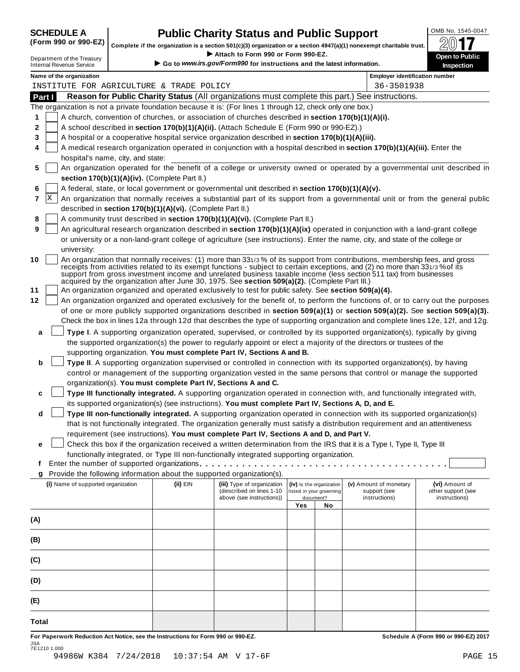| <b>SCHEDULE A</b>             |  |  |  |  |  |
|-------------------------------|--|--|--|--|--|
| $\sqrt{2}$ and and $\sqrt{2}$ |  |  |  |  |  |

## **CHEDULE A Public Charity Status and Public Support**  $\frac{100\text{dB No. }1545-0047}{000\text{dB}}$

(Form 990 or 990-EZ) complete if the organization is a section 501(c)(3) organization or a section 4947(a)(1) nonexempt charitable trust.  $2017$ 

|                                                               |                                                                                                   |  |                                                            | Attach to Form 990 or Form 990-EZ.                                                                        |     |                          | Complete if the organization is a section 501(c)(3) organization or a section 4947(a)(1) nonexempt charitable trust.           | ZV I I                                                                                                                           |
|---------------------------------------------------------------|---------------------------------------------------------------------------------------------------|--|------------------------------------------------------------|-----------------------------------------------------------------------------------------------------------|-----|--------------------------|--------------------------------------------------------------------------------------------------------------------------------|----------------------------------------------------------------------------------------------------------------------------------|
| Department of the Treasury<br><b>Internal Revenue Service</b> |                                                                                                   |  |                                                            | Go to www.irs.gov/Form990 for instructions and the latest information.                                    |     |                          |                                                                                                                                | Open to Public<br>Inspection                                                                                                     |
| Name of the organization                                      |                                                                                                   |  |                                                            |                                                                                                           |     |                          | <b>Employer identification number</b>                                                                                          |                                                                                                                                  |
|                                                               |                                                                                                   |  | INSTITUTE FOR AGRICULTURE & TRADE POLICY                   |                                                                                                           |     |                          | 36-3501938                                                                                                                     |                                                                                                                                  |
| Part I                                                        |                                                                                                   |  |                                                            |                                                                                                           |     |                          | Reason for Public Charity Status (All organizations must complete this part.) See instructions.                                |                                                                                                                                  |
|                                                               |                                                                                                   |  |                                                            | The organization is not a private foundation because it is: (For lines 1 through 12, check only one box.) |     |                          |                                                                                                                                |                                                                                                                                  |
| 1                                                             |                                                                                                   |  |                                                            | A church, convention of churches, or association of churches described in section 170(b)(1)(A)(i).        |     |                          |                                                                                                                                |                                                                                                                                  |
| 2                                                             | A school described in section 170(b)(1)(A)(ii). (Attach Schedule E (Form 990 or 990-EZ).)         |  |                                                            |                                                                                                           |     |                          |                                                                                                                                |                                                                                                                                  |
| 3                                                             | A hospital or a cooperative hospital service organization described in section 170(b)(1)(A)(iii). |  |                                                            |                                                                                                           |     |                          |                                                                                                                                |                                                                                                                                  |
| 4                                                             |                                                                                                   |  |                                                            |                                                                                                           |     |                          | A medical research organization operated in conjunction with a hospital described in section 170(b)(1)(A)(iii). Enter the      |                                                                                                                                  |
|                                                               | hospital's name, city, and state:                                                                 |  |                                                            |                                                                                                           |     |                          |                                                                                                                                |                                                                                                                                  |
| 5                                                             |                                                                                                   |  |                                                            |                                                                                                           |     |                          |                                                                                                                                | An organization operated for the benefit of a college or university owned or operated by a governmental unit described in        |
|                                                               |                                                                                                   |  | section 170(b)(1)(A)(iv). (Complete Part II.)              |                                                                                                           |     |                          |                                                                                                                                |                                                                                                                                  |
| 6                                                             |                                                                                                   |  |                                                            | A federal, state, or local government or governmental unit described in section 170(b)(1)(A)(v).          |     |                          |                                                                                                                                |                                                                                                                                  |
| X<br>7                                                        |                                                                                                   |  |                                                            |                                                                                                           |     |                          |                                                                                                                                | An organization that normally receives a substantial part of its support from a governmental unit or from the general public     |
|                                                               |                                                                                                   |  | described in section 170(b)(1)(A)(vi). (Complete Part II.) |                                                                                                           |     |                          |                                                                                                                                |                                                                                                                                  |
| 8                                                             |                                                                                                   |  |                                                            | A community trust described in section 170(b)(1)(A)(vi). (Complete Part II.)                              |     |                          |                                                                                                                                |                                                                                                                                  |
| 9                                                             |                                                                                                   |  |                                                            |                                                                                                           |     |                          | An agricultural research organization described in section 170(b)(1)(A)(ix) operated in conjunction with a land-grant college  |                                                                                                                                  |
|                                                               |                                                                                                   |  |                                                            |                                                                                                           |     |                          | or university or a non-land-grant college of agriculture (see instructions). Enter the name, city, and state of the college or |                                                                                                                                  |
|                                                               | university:                                                                                       |  |                                                            |                                                                                                           |     |                          |                                                                                                                                |                                                                                                                                  |
| 10                                                            |                                                                                                   |  |                                                            |                                                                                                           |     |                          | An organization that normally receives: (1) more than 331/3% of its support from contributions, membership fees, and gross     |                                                                                                                                  |
|                                                               |                                                                                                   |  |                                                            |                                                                                                           |     |                          | receipts from activities related to its exempt functions - subject to certain exceptions, and (2) no more than 331/3% of its   |                                                                                                                                  |
|                                                               |                                                                                                   |  |                                                            | acquired by the organization after June 30, 1975. See section 509(a)(2). (Complete Part III.)             |     |                          | support from gross investment income and unrelated business taxable income (less section 511 tax) from businesses              |                                                                                                                                  |
| 11                                                            |                                                                                                   |  |                                                            | An organization organized and operated exclusively to test for public safety. See section 509(a)(4).      |     |                          |                                                                                                                                |                                                                                                                                  |
| 12                                                            |                                                                                                   |  |                                                            |                                                                                                           |     |                          |                                                                                                                                | An organization organized and operated exclusively for the benefit of, to perform the functions of, or to carry out the purposes |
|                                                               |                                                                                                   |  |                                                            |                                                                                                           |     |                          |                                                                                                                                | of one or more publicly supported organizations described in section 509(a)(1) or section 509(a)(2). See section 509(a)(3).      |
|                                                               |                                                                                                   |  |                                                            |                                                                                                           |     |                          |                                                                                                                                | Check the box in lines 12a through 12d that describes the type of supporting organization and complete lines 12e, 12f, and 12g.  |
| a                                                             |                                                                                                   |  |                                                            |                                                                                                           |     |                          | Type I. A supporting organization operated, supervised, or controlled by its supported organization(s), typically by giving    |                                                                                                                                  |
|                                                               |                                                                                                   |  |                                                            |                                                                                                           |     |                          | the supported organization(s) the power to regularly appoint or elect a majority of the directors or trustees of the           |                                                                                                                                  |
|                                                               |                                                                                                   |  |                                                            | supporting organization. You must complete Part IV, Sections A and B.                                     |     |                          |                                                                                                                                |                                                                                                                                  |
| b                                                             |                                                                                                   |  |                                                            |                                                                                                           |     |                          | Type II. A supporting organization supervised or controlled in connection with its supported organization(s), by having        |                                                                                                                                  |
|                                                               |                                                                                                   |  |                                                            |                                                                                                           |     |                          | control or management of the supporting organization vested in the same persons that control or manage the supported           |                                                                                                                                  |
|                                                               |                                                                                                   |  |                                                            | organization(s). You must complete Part IV, Sections A and C.                                             |     |                          |                                                                                                                                |                                                                                                                                  |
| c                                                             |                                                                                                   |  |                                                            |                                                                                                           |     |                          | Type III functionally integrated. A supporting organization operated in connection with, and functionally integrated with,     |                                                                                                                                  |
|                                                               |                                                                                                   |  |                                                            | its supported organization(s) (see instructions). You must complete Part IV, Sections A, D, and E.        |     |                          |                                                                                                                                |                                                                                                                                  |
| d                                                             |                                                                                                   |  |                                                            |                                                                                                           |     |                          | Type III non-functionally integrated. A supporting organization operated in connection with its supported organization(s)      |                                                                                                                                  |
|                                                               |                                                                                                   |  |                                                            |                                                                                                           |     |                          | that is not functionally integrated. The organization generally must satisfy a distribution requirement and an attentiveness   |                                                                                                                                  |
|                                                               |                                                                                                   |  |                                                            | requirement (see instructions). You must complete Part IV, Sections A and D, and Part V.                  |     |                          |                                                                                                                                |                                                                                                                                  |
| е                                                             |                                                                                                   |  |                                                            |                                                                                                           |     |                          | Check this box if the organization received a written determination from the IRS that it is a Type I, Type II, Type III        |                                                                                                                                  |
|                                                               |                                                                                                   |  |                                                            | functionally integrated, or Type III non-functionally integrated supporting organization.                 |     |                          |                                                                                                                                |                                                                                                                                  |
| t                                                             |                                                                                                   |  |                                                            |                                                                                                           |     |                          |                                                                                                                                |                                                                                                                                  |
| g                                                             |                                                                                                   |  |                                                            | Provide the following information about the supported organization(s).                                    |     |                          |                                                                                                                                |                                                                                                                                  |
|                                                               | (i) Name of supported organization                                                                |  | (ii) EIN                                                   | (iii) Type of organization                                                                                |     | (iv) Is the organization | (v) Amount of monetary                                                                                                         | (vi) Amount of                                                                                                                   |
|                                                               |                                                                                                   |  |                                                            | (described on lines 1-10<br>above (see instructions))                                                     |     | listed in your governing | support (see                                                                                                                   | other support (see                                                                                                               |
|                                                               |                                                                                                   |  |                                                            |                                                                                                           | Yes | document?<br>No          | instructions)                                                                                                                  | instructions)                                                                                                                    |
|                                                               |                                                                                                   |  |                                                            |                                                                                                           |     |                          |                                                                                                                                |                                                                                                                                  |
| (A)                                                           |                                                                                                   |  |                                                            |                                                                                                           |     |                          |                                                                                                                                |                                                                                                                                  |
|                                                               |                                                                                                   |  |                                                            |                                                                                                           |     |                          |                                                                                                                                |                                                                                                                                  |
| (B)                                                           |                                                                                                   |  |                                                            |                                                                                                           |     |                          |                                                                                                                                |                                                                                                                                  |
| (C)                                                           |                                                                                                   |  |                                                            |                                                                                                           |     |                          |                                                                                                                                |                                                                                                                                  |
|                                                               |                                                                                                   |  |                                                            |                                                                                                           |     |                          |                                                                                                                                |                                                                                                                                  |
| (D)                                                           |                                                                                                   |  |                                                            |                                                                                                           |     |                          |                                                                                                                                |                                                                                                                                  |
| (E)                                                           |                                                                                                   |  |                                                            |                                                                                                           |     |                          |                                                                                                                                |                                                                                                                                  |
|                                                               |                                                                                                   |  |                                                            |                                                                                                           |     |                          |                                                                                                                                |                                                                                                                                  |
| Total                                                         |                                                                                                   |  |                                                            |                                                                                                           |     |                          |                                                                                                                                |                                                                                                                                  |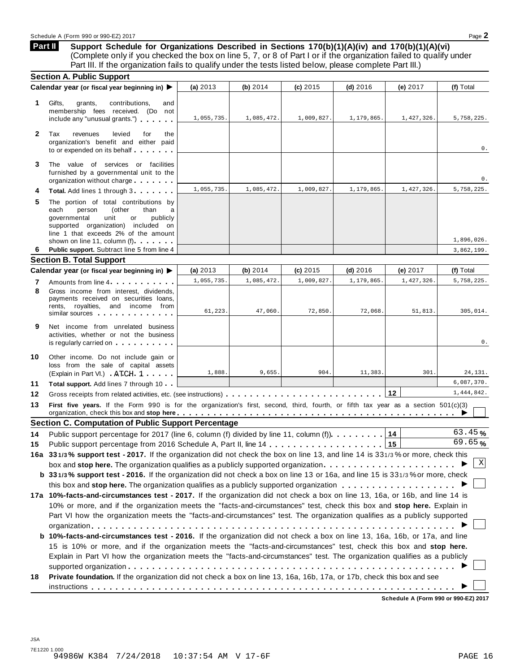**Support Schedule for Organizations Described in Sections 170(b)(1)(A)(iv) and 170(b)(1)(A)(vi)** (Complete only if you checked the box on line 5, 7, or 8 of Part I or if the organization failed to qualify under Part III. If the organization fails to qualify under the tests listed below, please complete Part III.) **Part II**

|              | <b>Section A. Public Support</b>                                                                                                                                                                                                                                                                                                                                     |            |            |            |            |            |            |
|--------------|----------------------------------------------------------------------------------------------------------------------------------------------------------------------------------------------------------------------------------------------------------------------------------------------------------------------------------------------------------------------|------------|------------|------------|------------|------------|------------|
|              | Calendar year (or fiscal year beginning in)                                                                                                                                                                                                                                                                                                                          | (a) $2013$ | (b) $2014$ | (c) 2015   | $(d)$ 2016 | (e) 2017   | (f) Total  |
| 1.           | Gifts,<br>grants,<br>contributions.<br>and<br>membership fees received. (Do not<br>include any "unusual grants.")                                                                                                                                                                                                                                                    | 1,055,735. | 1,085,472. | 1,009,827. | 1,179,865. | 1,427,326. | 5,758,225. |
| $\mathbf{2}$ | Tax<br>revenues<br>levied<br>for<br>the<br>organization's benefit and either paid<br>to or expended on its behalf                                                                                                                                                                                                                                                    |            |            |            |            |            | 0.         |
| 3            | The value of services or facilities<br>furnished by a governmental unit to the<br>organization without charge                                                                                                                                                                                                                                                        |            |            |            |            |            | 0.         |
| 4            | Total. Add lines 1 through 3                                                                                                                                                                                                                                                                                                                                         | 1,055,735. | 1,085,472. | 1,009,827. | 1,179,865. | 1,427,326. | 5,758,225. |
| 5            | The portion of total contributions by<br>each<br>person<br>(other<br>than<br>a<br>governmental<br>unit<br>publicly<br>or<br>supported organization) included on<br>line 1 that exceeds 2% of the amount<br>shown on line 11, column (f).                                                                                                                             |            |            |            |            |            | 1,896,026. |
| 6            | Public support. Subtract line 5 from line 4                                                                                                                                                                                                                                                                                                                          |            |            |            |            |            | 3,862,199. |
|              | <b>Section B. Total Support</b>                                                                                                                                                                                                                                                                                                                                      |            |            |            |            |            |            |
|              | Calendar year (or fiscal year beginning in) ▶                                                                                                                                                                                                                                                                                                                        | (a) $2013$ | (b) $2014$ | (c) 2015   | $(d)$ 2016 | (e) 2017   | (f) Total  |
| 7            | Amounts from line 4                                                                                                                                                                                                                                                                                                                                                  | 1,055,735. | 1,085,472. | 1,009,827. | 1,179,865  | 1,427,326. | 5,758,225. |
| 8            | Gross income from interest, dividends,<br>payments received on securities loans,<br>rents, royalties, and income from<br>similar sources and the contract of the same sources                                                                                                                                                                                        | 61,223.    | 47,060.    | 72,850.    | 72,068     | 51,813.    | 305,014.   |
| 9            | Net income from unrelated business<br>activities, whether or not the business<br>is regularly carried on the control of the set of the set of the set of the set of the set of the set of the s                                                                                                                                                                      |            |            |            |            |            | 0.         |
| 10           | Other income. Do not include gain or<br>loss from the sale of capital assets<br>(Explain in Part VI.) ATCH 1                                                                                                                                                                                                                                                         | 1,888.     | 9,655.     | 904.       | 11,383.    | 301.       | 24,131.    |
| 11           | <b>Total support.</b> Add lines 7 through 10                                                                                                                                                                                                                                                                                                                         |            |            |            |            |            | 6,087,370. |
| 12           |                                                                                                                                                                                                                                                                                                                                                                      |            |            |            |            | 12         | 1,444,842. |
| 13           | First five years. If the Form 990 is for the organization's first, second, third, fourth, or fifth tax year as a section 501(c)(3)<br>organization, check this box and stop here entitled and state of the state of the state of the state of the state of the state of the state of the state of the state of the state of the state of the state of the state of t |            |            |            |            |            |            |
|              | <b>Section C. Computation of Public Support Percentage</b>                                                                                                                                                                                                                                                                                                           |            |            |            |            |            |            |
| 14           | Public support percentage for 2017 (line 6, column (f) divided by line 11, column (f) $\ldots \ldots \ldots$                                                                                                                                                                                                                                                         |            |            |            |            | 14         | 63.45%     |
| 15           |                                                                                                                                                                                                                                                                                                                                                                      |            |            |            |            | 15         | 69.65%     |
|              | 16a 331/3% support test - 2017. If the organization did not check the box on line 13, and line 14 is 331/3% or more, check this                                                                                                                                                                                                                                      |            |            |            |            |            |            |
|              | box and stop here. The organization qualifies as a publicly supported organization                                                                                                                                                                                                                                                                                   |            |            |            |            |            | Χ          |
|              | b 331/3% support test - 2016. If the organization did not check a box on line 13 or 16a, and line 15 is 331/3% or more, check                                                                                                                                                                                                                                        |            |            |            |            |            |            |
|              |                                                                                                                                                                                                                                                                                                                                                                      |            |            |            |            |            |            |
|              | 17a 10%-facts-and-circumstances test - 2017. If the organization did not check a box on line 13, 16a, or 16b, and line 14 is                                                                                                                                                                                                                                         |            |            |            |            |            |            |
|              | 10% or more, and if the organization meets the "facts-and-circumstances" test, check this box and stop here. Explain in                                                                                                                                                                                                                                              |            |            |            |            |            |            |
|              | Part VI how the organization meets the "facts-and-circumstances" test. The organization qualifies as a publicly supported                                                                                                                                                                                                                                            |            |            |            |            |            |            |
|              |                                                                                                                                                                                                                                                                                                                                                                      |            |            |            |            |            |            |
|              | b 10%-facts-and-circumstances test - 2016. If the organization did not check a box on line 13, 16a, 16b, or 17a, and line                                                                                                                                                                                                                                            |            |            |            |            |            |            |
|              | 15 is 10% or more, and if the organization meets the "facts-and-circumstances" test, check this box and stop here.                                                                                                                                                                                                                                                   |            |            |            |            |            |            |
|              | Explain in Part VI how the organization meets the "facts-and-circumstances" test. The organization qualifies as a publicly                                                                                                                                                                                                                                           |            |            |            |            |            |            |
|              |                                                                                                                                                                                                                                                                                                                                                                      |            |            |            |            |            |            |
| 18           | Private foundation. If the organization did not check a box on line 13, 16a, 16b, 17a, or 17b, check this box and see                                                                                                                                                                                                                                                |            |            |            |            |            |            |
|              |                                                                                                                                                                                                                                                                                                                                                                      |            |            |            |            |            |            |

**Schedule A (Form 990 or 990-EZ) 2017**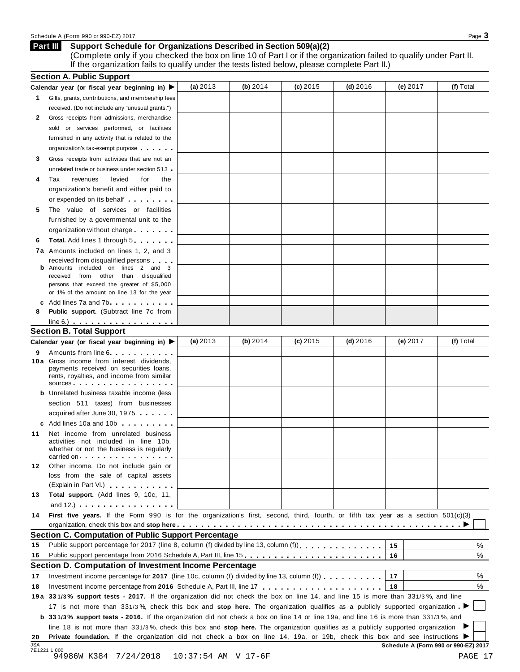#### Schedule A (Form 990 or 990-EZ) 2017 Page 3

#### **Support Schedule for Organizations Described in Section 509(a)(2) Part III**

(Complete only if you checked the box on line 10 of Part I or if the organization failed to qualify under Part II. If the organization fails to qualify under the tests listed below, please complete Part II.)

|              | <b>Section A. Public Support</b>                                                                                                                                                                                                                                          |            |            |            |            |          |                                      |
|--------------|---------------------------------------------------------------------------------------------------------------------------------------------------------------------------------------------------------------------------------------------------------------------------|------------|------------|------------|------------|----------|--------------------------------------|
|              | Calendar year (or fiscal year beginning in) $\blacktriangleright$                                                                                                                                                                                                         | (a) 2013   | (b) $2014$ | $(c)$ 2015 | $(d)$ 2016 | (e) 2017 | (f) Total                            |
| $\mathbf{1}$ | Gifts, grants, contributions, and membership fees                                                                                                                                                                                                                         |            |            |            |            |          |                                      |
|              | received. (Do not include any "unusual grants.")                                                                                                                                                                                                                          |            |            |            |            |          |                                      |
| 2            | Gross receipts from admissions, merchandise                                                                                                                                                                                                                               |            |            |            |            |          |                                      |
|              | sold or services performed, or facilities                                                                                                                                                                                                                                 |            |            |            |            |          |                                      |
|              | furnished in any activity that is related to the                                                                                                                                                                                                                          |            |            |            |            |          |                                      |
|              | organization's tax-exempt purpose                                                                                                                                                                                                                                         |            |            |            |            |          |                                      |
| 3            | Gross receipts from activities that are not an                                                                                                                                                                                                                            |            |            |            |            |          |                                      |
|              | unrelated trade or business under section 513                                                                                                                                                                                                                             |            |            |            |            |          |                                      |
| Tax<br>4     | revenues<br>levied<br>for<br>the                                                                                                                                                                                                                                          |            |            |            |            |          |                                      |
|              | organization's benefit and either paid to                                                                                                                                                                                                                                 |            |            |            |            |          |                                      |
|              | or expended on its behalf <b>contains the set of the set of the set of the set of the set of the set of the set of the set of the set of the set of the set of the set of the set of the set of the set of the set of the set of</b>                                      |            |            |            |            |          |                                      |
| 5            | The value of services or facilities                                                                                                                                                                                                                                       |            |            |            |            |          |                                      |
|              | furnished by a governmental unit to the                                                                                                                                                                                                                                   |            |            |            |            |          |                                      |
|              | organization without charge                                                                                                                                                                                                                                               |            |            |            |            |          |                                      |
| 6            | Total. Add lines 1 through 5                                                                                                                                                                                                                                              |            |            |            |            |          |                                      |
|              |                                                                                                                                                                                                                                                                           |            |            |            |            |          |                                      |
|              | 7a Amounts included on lines 1, 2, and 3                                                                                                                                                                                                                                  |            |            |            |            |          |                                      |
|              | received from disqualified persons<br><b>b</b> Amounts included on lines 2 and 3                                                                                                                                                                                          |            |            |            |            |          |                                      |
|              | received from other than disqualified                                                                                                                                                                                                                                     |            |            |            |            |          |                                      |
|              | persons that exceed the greater of \$5,000                                                                                                                                                                                                                                |            |            |            |            |          |                                      |
|              | or 1% of the amount on line 13 for the year                                                                                                                                                                                                                               |            |            |            |            |          |                                      |
|              | c Add lines 7a and 7b                                                                                                                                                                                                                                                     |            |            |            |            |          |                                      |
| 8            | <b>Public support.</b> (Subtract line 7c from                                                                                                                                                                                                                             |            |            |            |            |          |                                      |
|              | $line 6.)$ $\cdots$ $\cdots$ $\cdots$ $\cdots$ $\cdots$ $\cdots$                                                                                                                                                                                                          |            |            |            |            |          |                                      |
|              | <b>Section B. Total Support</b>                                                                                                                                                                                                                                           |            |            |            |            |          |                                      |
|              | Calendar year (or fiscal year beginning in) ▶                                                                                                                                                                                                                             | (a) $2013$ | (b) $2014$ | $(c)$ 2015 | $(d)$ 2016 | (e) 2017 | (f) Total                            |
| 9            | Amounts from line 6. The state of the state of the state of the state of the state of the state of the state of the state of the state of the state of the state of the state of the state of the state of the state of the st                                            |            |            |            |            |          |                                      |
|              | 10 a Gross income from interest, dividends,<br>payments received on securities loans,                                                                                                                                                                                     |            |            |            |            |          |                                      |
|              | rents, royalties, and income from similar                                                                                                                                                                                                                                 |            |            |            |            |          |                                      |
|              | SOUICES                                                                                                                                                                                                                                                                   |            |            |            |            |          |                                      |
|              | <b>b</b> Unrelated business taxable income (less                                                                                                                                                                                                                          |            |            |            |            |          |                                      |
|              | section 511 taxes) from businesses                                                                                                                                                                                                                                        |            |            |            |            |          |                                      |
|              | acquired after June 30, 1975                                                                                                                                                                                                                                              |            |            |            |            |          |                                      |
|              | c Add lines 10a and 10b                                                                                                                                                                                                                                                   |            |            |            |            |          |                                      |
| 11           | Net income from unrelated business                                                                                                                                                                                                                                        |            |            |            |            |          |                                      |
|              | activities not included in line 10b,                                                                                                                                                                                                                                      |            |            |            |            |          |                                      |
|              | whether or not the business is regularly<br>carried on the carried on the control of the care of the control of the control of the control of the control of the control of the control of the control of the control of the control of the control of the control of the |            |            |            |            |          |                                      |
| 12           | Other income. Do not include gain or                                                                                                                                                                                                                                      |            |            |            |            |          |                                      |
|              | loss from the sale of capital assets                                                                                                                                                                                                                                      |            |            |            |            |          |                                      |
|              | (Explain in Part VI.) <b>All Accords</b>                                                                                                                                                                                                                                  |            |            |            |            |          |                                      |
| 13           | Total support. (Add lines 9, 10c, 11,                                                                                                                                                                                                                                     |            |            |            |            |          |                                      |
|              | and $12.$ ) $\cdots$ $\cdots$ $\cdots$ $\cdots$ $\cdots$                                                                                                                                                                                                                  |            |            |            |            |          |                                      |
| 14           | First five years. If the Form 990 is for the organization's first, second, third, fourth, or fifth tax year as a section 501(c)(3)                                                                                                                                        |            |            |            |            |          |                                      |
|              |                                                                                                                                                                                                                                                                           |            |            |            |            |          |                                      |
|              | Section C. Computation of Public Support Percentage                                                                                                                                                                                                                       |            |            |            |            |          |                                      |
|              |                                                                                                                                                                                                                                                                           |            |            |            |            | 15       | %                                    |
|              | Public support percentage from 2016 Schedule A, Part III, line 15.                                                                                                                                                                                                        |            |            |            |            | 16       | %                                    |
|              | <b>Section D. Computation of Investment Income Percentage</b>                                                                                                                                                                                                             |            |            |            |            |          |                                      |
|              |                                                                                                                                                                                                                                                                           |            |            |            |            | 17       | %                                    |
|              | Investment income percentage for 2017 (line 10c, column (f) divided by line 13, column (f)                                                                                                                                                                                |            |            |            |            |          | %                                    |
|              |                                                                                                                                                                                                                                                                           |            |            |            |            | 18       |                                      |
|              | 19a 331/3% support tests - 2017. If the organization did not check the box on line 14, and line 15 is more than 331/3%, and line                                                                                                                                          |            |            |            |            |          |                                      |
|              | 17 is not more than 331/3%, check this box and stop here. The organization qualifies as a publicly supported organization                                                                                                                                                 |            |            |            |            |          |                                      |
|              | <b>b</b> 331/3% support tests - 2016. If the organization did not check a box on line 14 or line 19a, and line 16 is more than 331/3%, and                                                                                                                                |            |            |            |            |          |                                      |
|              | line 18 is not more than 331/3%, check this box and stop here. The organization qualifies as a publicly supported organization                                                                                                                                            |            |            |            |            |          |                                      |
|              |                                                                                                                                                                                                                                                                           |            |            |            |            |          |                                      |
|              | Private foundation. If the organization did not check a box on line 14, 19a, or 19b, check this box and see instructions ▶                                                                                                                                                |            |            |            |            |          | Schedule A (Form 990 or 990-EZ) 2017 |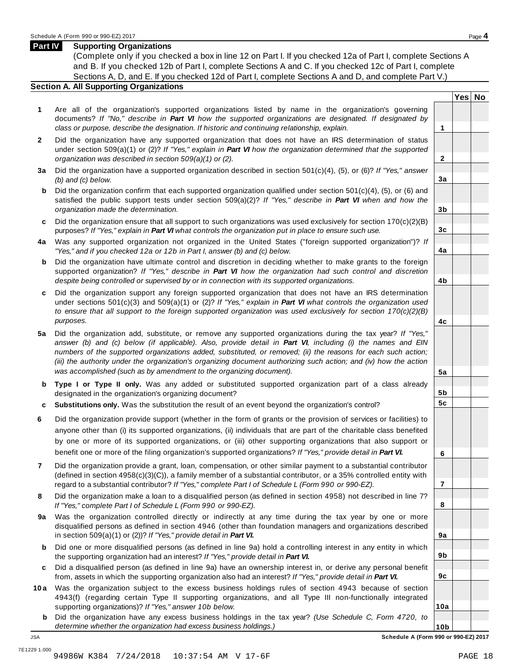**2**

**3a**

**3b**

**3c**

**4a**

**4b**

**4c**

**5a**

**5b 5c**

**6**

**7**

**8**

**9a**

**9b**

**9c**

**10a**

**Yes No**

#### **Part IV Supporting Organizations**

(Complete only if you checked a box in line 12 on Part I. If you checked 12a of Part I, complete Sections A and B. If you checked 12b of Part I, complete Sections A and C. If you checked 12c of Part I, complete Sections A, D, and E. If you checked 12d of Part I, complete Sections A and D, and complete Part V.)

#### **Section A. All Supporting Organizations**

- **1** Are all of the organization's supported organizations listed by name in the organization's governing documents? *If "No," describe in Part VI how the supported organizations are designated. If designated by class or purpose, describe the designation. If historic and continuing relationship, explain.* **1**
- **2** Did the organization have any supported organization that does not have an IRS determination of status under section 509(a)(1) or (2)? *If"Yes," explain in Part VI how the organization determined that the supported organization was described in section 509(a)(1) or (2).*
- **3 a** Did the organization have a supported organization described in section 501(c)(4), (5), or (6)? *If "Yes," answer (b) and (c) below.*
- **b** Did the organization confirm that each supported organization qualified under section 501(c)(4), (5), or (6) and | satisfied the public support tests under section 509(a)(2)? *If "Yes," describe in Part VI when and how the organization made the determination.*
- **c** Did the organization ensure that all support to such organizations was used exclusively for section 170(c)(2)(B) purposes? *If"Yes," explain in Part VI what controls the organization put in place to ensure such use.*
- **4 a** Was any supported organization not organized in the United States ("foreign supported organization")? *If "Yes," and if you checked 12a or 12b in Part I, answer (b) and (c) below.*
- **b** Did the organization have ultimate control and discretion in deciding whether to make grants to the foreign | supported organization? *If "Yes," describe in Part VI how the organization had such control and discretion despite being controlled or supervised by or in connection with its supported organizations.*
- **c** Did the organization support any foreign supported organization that does not have an IRS determination | under sections 501(c)(3) and 509(a)(1) or (2)? *If "Yes," explain in Part VI what controls the organization used to ensure that all support to the foreign supported organization was used exclusively for section 170(c)(2)(B) purposes.*
- **5 a** Did the organization add, substitute, or remove any supported organizations during the tax year? *If "Yes,"* answer (b) and (c) below (if applicable). Also, provide detail in Part VI, including (i) the names and EIN *numbers of the supported organizations added, substituted, or removed; (ii) the reasons for each such action;* (iii) the authority under the organization's organizing document authorizing such action; and (iv) how the action *was accomplished (such as by amendment to the organizing document).*
- **b** Type I or Type II only. Was any added or substituted supported organization part of a class already | designated in the organization's organizing document?
- **c Substitutions only.** Was the substitution the result of an event beyond the organization's control?
- **6** Did the organization provide support (whether in the form of grants or the provision of services or facilities) to anyone other than (i) its supported organizations, (ii) individuals that are part of the charitable class benefited by one or more of its supported organizations, or (iii) other supporting organizations that also support or benefit one or more of the filing organization's supported organizations? *If"Yes," provide detail in Part VI.*
- **7** Did the organization provide a grant, loan, compensation, or other similar payment to a substantial contributor (defined in section 4958(c)(3)(C)), a family member of a substantial contributor, or a 35% controlled entity with regard to a substantial contributor? *If"Yes," complete Part I of Schedule L (Form 990 or 990-EZ).*
- **8** Did the organization make a loan to a disqualified person (as defined in section 4958) not described in line 7? *If "Yes," complete Part I of Schedule L (Form 990 or 990-EZ).*
- **a** Was the organization controlled directly or indirectly at any time during the tax year by one or more | **9** disqualified persons as defined in section 4946 (other than foundation managers and organizations described in section 509(a)(1) or (2))? *If"Yes," provide detail in Part VI.*
- **b** Did one or more disqualified persons (as defined in line 9a) hold a controlling interest in any entity in which | the supporting organization had an interest? *If"Yes," provide detail in Part VI.*
- **c** Did a disqualified person (as defined in line 9a) have an ownership interest in, or derive any personal benefit from, assets in which the supporting organization also had an interest? *If"Yes," provide detail in Part VI.*
- **10a** Was the organization subject to the excess business holdings rules of section 4943 because of section | 4943(f) (regarding certain Type II supporting organizations, and all Type III non-functionally integrated supporting organizations)? *If"Yes," answer 10b below.*
	- **b** Did the organization have any excess business holdings in the tax year? *(Use Schedule C, Form 4720, to determine whether the organization had excess business holdings.)*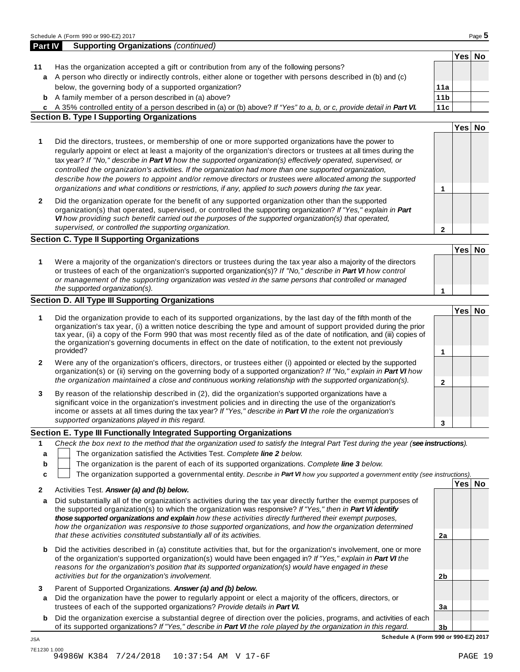|                       | a A person who directly or indirectly controls, either alone or together with persons described in (b) and (c)                                                                                                                                                                                                                                                                                                                                                                                                                                                                                                                                                                                                                                                                                                                                                                                                                                             |                 |        |  |
|-----------------------|------------------------------------------------------------------------------------------------------------------------------------------------------------------------------------------------------------------------------------------------------------------------------------------------------------------------------------------------------------------------------------------------------------------------------------------------------------------------------------------------------------------------------------------------------------------------------------------------------------------------------------------------------------------------------------------------------------------------------------------------------------------------------------------------------------------------------------------------------------------------------------------------------------------------------------------------------------|-----------------|--------|--|
|                       | below, the governing body of a supported organization?                                                                                                                                                                                                                                                                                                                                                                                                                                                                                                                                                                                                                                                                                                                                                                                                                                                                                                     | 11a             |        |  |
|                       | <b>b</b> A family member of a person described in (a) above?                                                                                                                                                                                                                                                                                                                                                                                                                                                                                                                                                                                                                                                                                                                                                                                                                                                                                               | 11 <sub>b</sub> |        |  |
|                       | c A 35% controlled entity of a person described in (a) or (b) above? If "Yes" to a, b, or c, provide detail in Part VI.                                                                                                                                                                                                                                                                                                                                                                                                                                                                                                                                                                                                                                                                                                                                                                                                                                    | 11c             |        |  |
|                       | <b>Section B. Type I Supporting Organizations</b>                                                                                                                                                                                                                                                                                                                                                                                                                                                                                                                                                                                                                                                                                                                                                                                                                                                                                                          |                 |        |  |
|                       |                                                                                                                                                                                                                                                                                                                                                                                                                                                                                                                                                                                                                                                                                                                                                                                                                                                                                                                                                            |                 | Yes No |  |
| 1                     | Did the directors, trustees, or membership of one or more supported organizations have the power to<br>regularly appoint or elect at least a majority of the organization's directors or trustees at all times during the<br>tax year? If "No," describe in Part VI how the supported organization(s) effectively operated, supervised, or<br>controlled the organization's activities. If the organization had more than one supported organization,<br>describe how the powers to appoint and/or remove directors or trustees were allocated among the supported<br>organizations and what conditions or restrictions, if any, applied to such powers during the tax year.                                                                                                                                                                                                                                                                               | 1               |        |  |
| 2                     | Did the organization operate for the benefit of any supported organization other than the supported<br>organization(s) that operated, supervised, or controlled the supporting organization? If "Yes," explain in Part<br>VI how providing such benefit carried out the purposes of the supported organization(s) that operated,<br>supervised, or controlled the supporting organization.                                                                                                                                                                                                                                                                                                                                                                                                                                                                                                                                                                 | $\mathbf 2$     |        |  |
|                       | <b>Section C. Type II Supporting Organizations</b>                                                                                                                                                                                                                                                                                                                                                                                                                                                                                                                                                                                                                                                                                                                                                                                                                                                                                                         |                 |        |  |
|                       |                                                                                                                                                                                                                                                                                                                                                                                                                                                                                                                                                                                                                                                                                                                                                                                                                                                                                                                                                            |                 | Yes No |  |
| 1                     | Were a majority of the organization's directors or trustees during the tax year also a majority of the directors<br>or trustees of each of the organization's supported organization(s)? If "No," describe in Part VI how control<br>or management of the supporting organization was vested in the same persons that controlled or managed<br>the supported organization(s).                                                                                                                                                                                                                                                                                                                                                                                                                                                                                                                                                                              | 1               |        |  |
|                       | <b>Section D. All Type III Supporting Organizations</b>                                                                                                                                                                                                                                                                                                                                                                                                                                                                                                                                                                                                                                                                                                                                                                                                                                                                                                    |                 |        |  |
| 1                     | Did the organization provide to each of its supported organizations, by the last day of the fifth month of the<br>organization's tax year, (i) a written notice describing the type and amount of support provided during the prior<br>tax year, (ii) a copy of the Form 990 that was most recently filed as of the date of notification, and (iii) copies of<br>the organization's governing documents in effect on the date of notification, to the extent not previously<br>provided?                                                                                                                                                                                                                                                                                                                                                                                                                                                                   | 1               | Yes No |  |
| 2                     | Were any of the organization's officers, directors, or trustees either (i) appointed or elected by the supported<br>organization(s) or (ii) serving on the governing body of a supported organization? If "No," explain in Part VI how<br>the organization maintained a close and continuous working relationship with the supported organization(s).                                                                                                                                                                                                                                                                                                                                                                                                                                                                                                                                                                                                      | $\mathbf{2}$    |        |  |
| 3                     | By reason of the relationship described in (2), did the organization's supported organizations have a<br>significant voice in the organization's investment policies and in directing the use of the organization's<br>income or assets at all times during the tax year? If "Yes," describe in Part VI the role the organization's<br>supported organizations played in this regard.                                                                                                                                                                                                                                                                                                                                                                                                                                                                                                                                                                      | 3               |        |  |
|                       | Section E. Type III Functionally Integrated Supporting Organizations                                                                                                                                                                                                                                                                                                                                                                                                                                                                                                                                                                                                                                                                                                                                                                                                                                                                                       |                 |        |  |
| 1<br>b<br>C<br>2<br>a | Check the box next to the method that the organization used to satisfy the Integral Part Test during the year (see instructions).<br>The organization satisfied the Activities Test. Complete line 2 below.<br>The organization is the parent of each of its supported organizations. Complete line 3 below.<br>The organization supported a governmental entity. Describe in Part VI how you supported a government entity (see instructions).<br>Activities Test. Answer (a) and (b) below.<br>Did substantially all of the organization's activities during the tax year directly further the exempt purposes of<br>the supported organization(s) to which the organization was responsive? If "Yes," then in Part VI identify<br>those supported organizations and explain how these activities directly furthered their exempt purposes,<br>how the organization was responsive to those supported organizations, and how the organization determined |                 | Yes No |  |
| b                     | that these activities constituted substantially all of its activities.<br>Did the activities described in (a) constitute activities that, but for the organization's involvement, one or more                                                                                                                                                                                                                                                                                                                                                                                                                                                                                                                                                                                                                                                                                                                                                              | 2a              |        |  |
|                       | of the organization's supported organization(s) would have been engaged in? If "Yes," explain in Part VI the<br>reasons for the organization's position that its supported organization(s) would have engaged in these<br>activities but for the organization's involvement.                                                                                                                                                                                                                                                                                                                                                                                                                                                                                                                                                                                                                                                                               | 2 <sub>b</sub>  |        |  |
| 3<br>a                | Parent of Supported Organizations. Answer (a) and (b) below.<br>Did the organization have the power to regularly appoint or elect a majority of the officers, directors, or<br>trustees of each of the supported organizations? Provide details in Part VI.                                                                                                                                                                                                                                                                                                                                                                                                                                                                                                                                                                                                                                                                                                | 3a              |        |  |
|                       | Did the organization exercise a substantial degree of direction over the policies, programs, and activities of each                                                                                                                                                                                                                                                                                                                                                                                                                                                                                                                                                                                                                                                                                                                                                                                                                                        |                 |        |  |

**Part IV Supporting Organizations** *(continued)*

**11** Has the organization accepted a gift or contribution from any of the following persons?

**Yes No**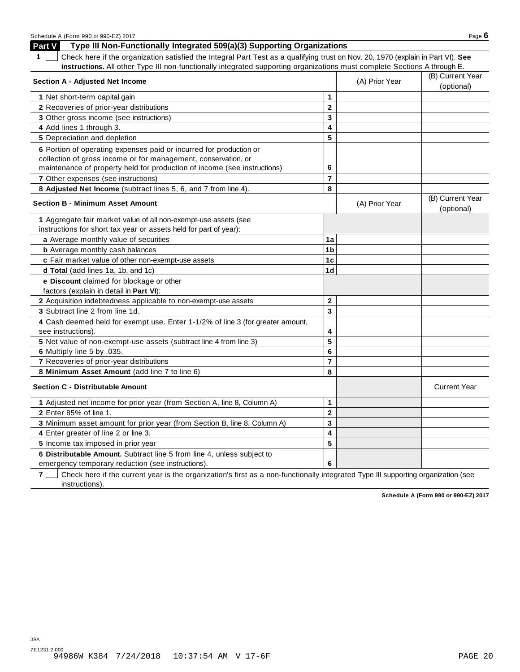| Schedule A (Form 990 or 990-EZ) 2017                                                                                                            |                         |                | Page $6$                       |
|-------------------------------------------------------------------------------------------------------------------------------------------------|-------------------------|----------------|--------------------------------|
| Type III Non-Functionally Integrated 509(a)(3) Supporting Organizations<br><b>Part V</b>                                                        |                         |                |                                |
| $\mathbf 1$<br>Check here if the organization satisfied the Integral Part Test as a qualifying trust on Nov. 20, 1970 (explain in Part VI). See |                         |                |                                |
| instructions. All other Type III non-functionally integrated supporting organizations must complete Sections A through E.                       |                         |                |                                |
| <b>Section A - Adjusted Net Income</b>                                                                                                          |                         | (A) Prior Year | (B) Current Year               |
|                                                                                                                                                 |                         |                | (optional)                     |
| 1 Net short-term capital gain                                                                                                                   | 1                       |                |                                |
| 2 Recoveries of prior-year distributions                                                                                                        | $\mathbf{2}$            |                |                                |
| 3 Other gross income (see instructions)                                                                                                         | 3                       |                |                                |
| 4 Add lines 1 through 3.                                                                                                                        | 4                       |                |                                |
| <b>5</b> Depreciation and depletion                                                                                                             | $\overline{\mathbf{5}}$ |                |                                |
| 6 Portion of operating expenses paid or incurred for production or                                                                              |                         |                |                                |
| collection of gross income or for management, conservation, or                                                                                  |                         |                |                                |
| maintenance of property held for production of income (see instructions)                                                                        | 6                       |                |                                |
| <b>7</b> Other expenses (see instructions)                                                                                                      | $\overline{7}$          |                |                                |
| 8 Adjusted Net Income (subtract lines 5, 6, and 7 from line 4).                                                                                 | 8                       |                |                                |
| <b>Section B - Minimum Asset Amount</b>                                                                                                         |                         | (A) Prior Year | (B) Current Year<br>(optional) |
| 1 Aggregate fair market value of all non-exempt-use assets (see                                                                                 |                         |                |                                |
| instructions for short tax year or assets held for part of year):                                                                               |                         |                |                                |
| a Average monthly value of securities                                                                                                           | 1a                      |                |                                |
| <b>b</b> Average monthly cash balances                                                                                                          | 1 <sub>b</sub>          |                |                                |
| c Fair market value of other non-exempt-use assets                                                                                              | 1 <sub>c</sub>          |                |                                |
| d Total (add lines 1a, 1b, and 1c)                                                                                                              | 1 <sub>d</sub>          |                |                                |
| e Discount claimed for blockage or other                                                                                                        |                         |                |                                |
| factors (explain in detail in Part VI):                                                                                                         |                         |                |                                |
| 2 Acquisition indebtedness applicable to non-exempt-use assets                                                                                  | $\mathbf{2}$            |                |                                |
| 3 Subtract line 2 from line 1d.                                                                                                                 | 3                       |                |                                |
| 4 Cash deemed held for exempt use. Enter 1-1/2% of line 3 (for greater amount,<br>see instructions).                                            | 4                       |                |                                |
| 5 Net value of non-exempt-use assets (subtract line 4 from line 3)                                                                              | 5                       |                |                                |
| 6 Multiply line 5 by .035.                                                                                                                      | 6                       |                |                                |
| 7 Recoveries of prior-year distributions                                                                                                        | $\overline{\mathbf{r}}$ |                |                                |
| 8 Minimum Asset Amount (add line 7 to line 6)                                                                                                   | 8                       |                |                                |
| <b>Section C - Distributable Amount</b>                                                                                                         |                         |                | <b>Current Year</b>            |
| 1 Adjusted net income for prior year (from Section A, line 8, Column A)                                                                         | 1                       |                |                                |
| 2 Enter 85% of line 1.                                                                                                                          | $\overline{2}$          |                |                                |
| 3 Minimum asset amount for prior year (from Section B, line 8, Column A)                                                                        | $\mathbf{3}$            |                |                                |
| 4 Enter greater of line 2 or line 3.                                                                                                            | 4                       |                |                                |
| 5 Income tax imposed in prior year                                                                                                              | 5                       |                |                                |
| 6 Distributable Amount. Subtract line 5 from line 4, unless subject to                                                                          |                         |                |                                |
| emergency temporary reduction (see instructions).                                                                                               | 6                       |                |                                |

**7** Check here if the current year is the organization's first as a non-functionally integrated Type III supporting organization (see instructions).

**Schedule A (Form 990 or 990-EZ) 2017**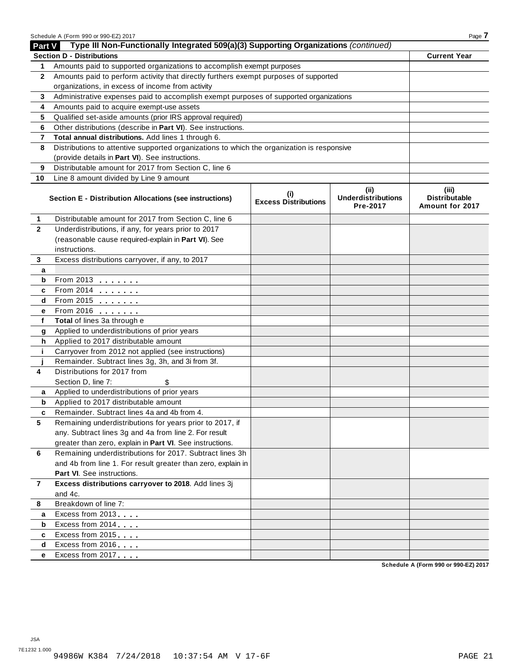|                | Schedule A (Form 990 or 990-EZ) 2017                                                       |                                    |                                               | Page 7                                           |
|----------------|--------------------------------------------------------------------------------------------|------------------------------------|-----------------------------------------------|--------------------------------------------------|
| Part V         | Type III Non-Functionally Integrated 509(a)(3) Supporting Organizations (continued)        |                                    |                                               |                                                  |
|                | <b>Section D - Distributions</b>                                                           |                                    |                                               | <b>Current Year</b>                              |
| 1              | Amounts paid to supported organizations to accomplish exempt purposes                      |                                    |                                               |                                                  |
| $\mathbf{2}$   | Amounts paid to perform activity that directly furthers exempt purposes of supported       |                                    |                                               |                                                  |
|                | organizations, in excess of income from activity                                           |                                    |                                               |                                                  |
| 3              | Administrative expenses paid to accomplish exempt purposes of supported organizations      |                                    |                                               |                                                  |
| 4              | Amounts paid to acquire exempt-use assets                                                  |                                    |                                               |                                                  |
| 5              | Qualified set-aside amounts (prior IRS approval required)                                  |                                    |                                               |                                                  |
| 6              | Other distributions (describe in Part VI). See instructions.                               |                                    |                                               |                                                  |
| 7              | Total annual distributions. Add lines 1 through 6.                                         |                                    |                                               |                                                  |
| 8              | Distributions to attentive supported organizations to which the organization is responsive |                                    |                                               |                                                  |
|                | (provide details in Part VI). See instructions.                                            |                                    |                                               |                                                  |
| 9              | Distributable amount for 2017 from Section C, line 6                                       |                                    |                                               |                                                  |
| 10             | Line 8 amount divided by Line 9 amount                                                     |                                    |                                               |                                                  |
|                | Section E - Distribution Allocations (see instructions)                                    | (i)<br><b>Excess Distributions</b> | (ii)<br><b>Underdistributions</b><br>Pre-2017 | (iii)<br><b>Distributable</b><br>Amount for 2017 |
| 1              | Distributable amount for 2017 from Section C, line 6                                       |                                    |                                               |                                                  |
| $\mathbf{2}$   | Underdistributions, if any, for years prior to 2017                                        |                                    |                                               |                                                  |
|                | (reasonable cause required-explain in Part VI). See                                        |                                    |                                               |                                                  |
|                | instructions.                                                                              |                                    |                                               |                                                  |
| 3              | Excess distributions carryover, if any, to 2017                                            |                                    |                                               |                                                  |
| a              |                                                                                            |                                    |                                               |                                                  |
| b              | From 2013                                                                                  |                                    |                                               |                                                  |
| C              | From 2014                                                                                  |                                    |                                               |                                                  |
| d              | From 2015                                                                                  |                                    |                                               |                                                  |
| е              | From 2016 <b></b>                                                                          |                                    |                                               |                                                  |
| f              | Total of lines 3a through e                                                                |                                    |                                               |                                                  |
| g              | Applied to underdistributions of prior years                                               |                                    |                                               |                                                  |
| h              | Applied to 2017 distributable amount                                                       |                                    |                                               |                                                  |
| j.             | Carryover from 2012 not applied (see instructions)                                         |                                    |                                               |                                                  |
|                | Remainder. Subtract lines 3g, 3h, and 3i from 3f.                                          |                                    |                                               |                                                  |
| 4              | Distributions for 2017 from                                                                |                                    |                                               |                                                  |
|                | Section D, line 7:<br>\$                                                                   |                                    |                                               |                                                  |
| a              | Applied to underdistributions of prior years                                               |                                    |                                               |                                                  |
| b              | Applied to 2017 distributable amount                                                       |                                    |                                               |                                                  |
|                | Remainder. Subtract lines 4a and 4b from 4                                                 |                                    |                                               |                                                  |
| 5              | Remaining underdistributions for years prior to 2017, if                                   |                                    |                                               |                                                  |
|                | any. Subtract lines 3g and 4a from line 2. For result                                      |                                    |                                               |                                                  |
|                | greater than zero, explain in Part VI. See instructions.                                   |                                    |                                               |                                                  |
| 6              | Remaining underdistributions for 2017. Subtract lines 3h                                   |                                    |                                               |                                                  |
|                | and 4b from line 1. For result greater than zero, explain in                               |                                    |                                               |                                                  |
|                | Part VI. See instructions.                                                                 |                                    |                                               |                                                  |
| $\overline{7}$ | Excess distributions carryover to 2018. Add lines 3j                                       |                                    |                                               |                                                  |
|                | and 4c.                                                                                    |                                    |                                               |                                                  |
| 8              | Breakdown of line 7:                                                                       |                                    |                                               |                                                  |
| a              | Excess from 2013                                                                           |                                    |                                               |                                                  |
| b              | Excess from 2014                                                                           |                                    |                                               |                                                  |
| c              | Excess from 2015                                                                           |                                    |                                               |                                                  |
| d              | Excess from 2016                                                                           |                                    |                                               |                                                  |
| е              | Excess from 2017                                                                           |                                    |                                               |                                                  |
|                |                                                                                            |                                    |                                               |                                                  |

**Schedule A (Form 990 or 990-EZ) 2017**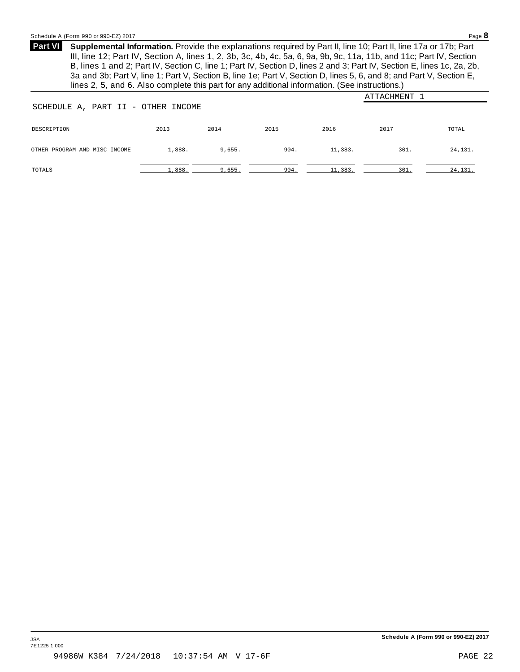<span id="page-19-0"></span>**Supplemental Information.** Provide the explanations required by Part II, line 10; Part II, line 17a or 17b; Part **Part VI** III, line 12; Part IV, Section A, lines 1, 2, 3b, 3c, 4b, 4c, 5a, 6, 9a, 9b, 9c, 11a, 11b, and 11c; Part IV, Section B, lines 1 and 2; Part IV, Section C, line 1; Part IV, Section D, lines 2 and 3; Part IV, Section E, lines 1c, 2a, 2b, 3a and 3b; Part V, line 1; Part V, Section B, line 1e; Part V, Section D, lines 5, 6, and 8; and Part V, Section E, lines 2, 5, and 6. Also complete this part for any additional information. (See instructions.)

|                                    | ATTACHMENT |        |      |         |      |         |  |  |  |  |
|------------------------------------|------------|--------|------|---------|------|---------|--|--|--|--|
| SCHEDULE A, PART II - OTHER INCOME |            |        |      |         |      |         |  |  |  |  |
|                                    |            |        |      |         |      |         |  |  |  |  |
| DESCRIPTION                        | 2013       | 2014   | 2015 | 2016    | 2017 | TOTAL   |  |  |  |  |
|                                    |            |        |      |         |      |         |  |  |  |  |
| OTHER PROGRAM AND MISC INCOME      | 1,888.     | 9,655. | 904. | 11,383. | 301. | 24,131. |  |  |  |  |
|                                    |            |        |      |         |      |         |  |  |  |  |
| TOTALS                             | 1,888.     | 9,655. | 904. | 11,383. | 301. | 24,131. |  |  |  |  |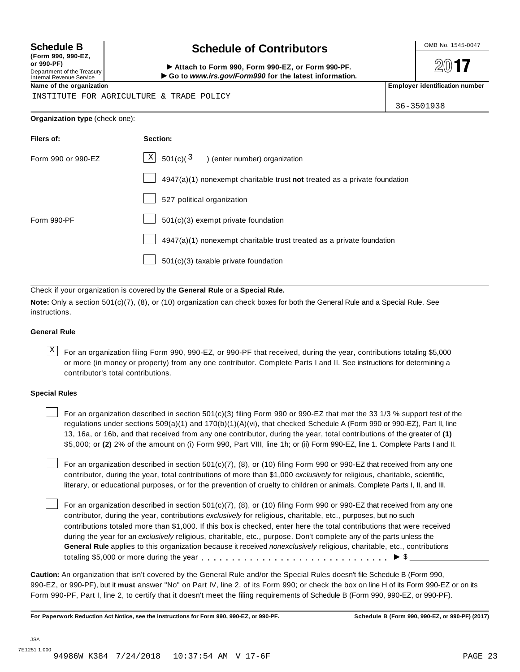**(Form 990, 990-EZ, or 990-PF)** Department of the Treasury<br>Internal Revenue Service

## **S** OMB No. 1545-0047 **chedule B Schedule of Contributors**

(Porm 990, Form 990, Form 990-EZ, or Form 990-PF.<br>Department of the Treasury → Attach to Form 990, Form 990-EZ, or Form 990-PF.<br>Internal Revenue Service → → Go to www.irs.gov/Form990 for the latest information.<br>Name of th

 $20$ **17** 

INSTITUTE FOR AGRICULTURE & TRADE POLICY

36-3501938

#### **Organization type** (check one):

| Section:                                                                    |
|-----------------------------------------------------------------------------|
| $\boxed{\text{X}}$ 501(c)( <sup>3</sup> ) (enter number) organization       |
| $4947(a)(1)$ nonexempt charitable trust not treated as a private foundation |
| 527 political organization                                                  |
| $501(c)(3)$ exempt private foundation                                       |
| 4947(a)(1) nonexempt charitable trust treated as a private foundation       |
| 501(c)(3) taxable private foundation                                        |
|                                                                             |

Check if your organization is covered by the **General Rule** or a **Special Rule.**

**Note:** Only a section 501(c)(7), (8), or (10) organization can check boxes for both the General Rule and a Special Rule. See instructions.

#### **General Rule**

 $\overline{X}$  For an organization filing Form 990, 990-EZ, or 990-PF that received, during the year, contributions totaling \$5,000 or more (in money or property) from any one contributor. Complete Parts I and II. See instructions for determining a contributor's total contributions.

#### **Special Rules**

For an organization described in section 501(c)(3) filing Form 990 or 990-EZ that met the 33 1/3 % support test of the regulations under sections 509(a)(1) and 170(b)(1)(A)(vi), that checked Schedule A (Form 990 or 990-EZ), Part II, line 13, 16a, or 16b, and that received from any one contributor, during the year, total contributions of the greater of **(1)** \$5,000; or **(2)** 2% of the amount on (i) Form 990, Part VIII, line 1h; or (ii) Form 990-EZ, line 1. Complete Parts I and II.

For an organization described in section 501(c)(7), (8), or (10) filing Form 990 or 990-EZ that received from any one contributor, during the year, total contributions of more than \$1,000 *exclusively* for religious, charitable, scientific, literary, or educational purposes, or for the prevention of cruelty to children or animals. Complete Parts I, II, and III.

For an organization described in section 501(c)(7), (8), or (10) filing Form 990 or 990-EZ that received from any one contributor, during the year, contributions *exclusively* for religious, charitable, etc., purposes, but no such contributions totaled more than \$1,000. If this box is checked, enter here the total contributions that were received during the year for an *exclusively* religious, charitable, etc., purpose. Don't complete any of the parts unless the **General Rule** applies to this organization because it received *nonexclusively* religious, charitable, etc., contributions totaling \$5,000 or more during the year m m m m m m m m m m m m m m m m m m m m m m m m m m m m m m m I \$

**Caution:** An organization that isn't covered by the General Rule and/or the Special Rules doesn't file Schedule B (Form 990, 990-EZ, or 990-PF), but it **must** answer "No" on Part IV, line 2, of its Form 990; or check the box on line H of its Form 990-EZ or on its Form 990-PF, Part I, line 2, to certify that it doesn't meet the filing requirements of Schedule B (Form 990, 990-EZ, or 990-PF).

For Paperwork Reduction Act Notice, see the instructions for Form 990, 990-EZ, or 990-PF. Schedule B (Form 990, 990-EZ, or 990-PF) (2017)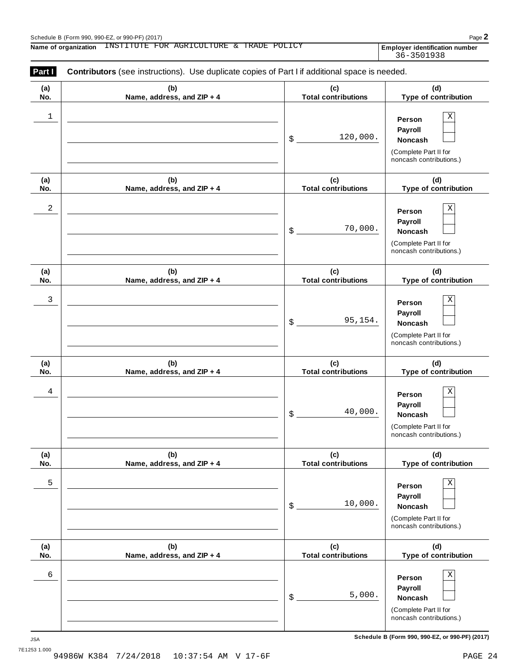| (a)<br>No. | (b)<br>Name, address, and ZIP + 4 | (c)<br><b>Total contributions</b> | (d)<br>Type of contribution                                                                     |
|------------|-----------------------------------|-----------------------------------|-------------------------------------------------------------------------------------------------|
| 1          |                                   | 120,000.<br>\$                    | Χ<br>Person<br>Payroll<br>Noncash<br>(Complete Part II for<br>noncash contributions.)           |
| (a)<br>No. | (b)<br>Name, address, and ZIP + 4 | (c)<br><b>Total contributions</b> | (d)<br>Type of contribution                                                                     |
| 2          |                                   | 70,000.<br>\$                     | $\mathbf X$<br>Person<br>Payroll<br>Noncash<br>(Complete Part II for<br>noncash contributions.) |
| (a)<br>No. | (b)<br>Name, address, and ZIP + 4 | (c)<br><b>Total contributions</b> | (d)<br>Type of contribution                                                                     |
| 3          |                                   | 95,154.<br>\$                     | $\mathbf X$<br>Person<br>Payroll<br>Noncash<br>(Complete Part II for<br>noncash contributions.) |
| (a)<br>No. | (b)<br>Name, address, and ZIP + 4 | (c)<br><b>Total contributions</b> | (d)<br>Type of contribution                                                                     |
| 4          |                                   | 40,000.<br>\$                     | $\mathbf X$<br>Person<br>Payroll<br>Noncash<br>(Complete Part II for<br>noncash contributions.) |
| (a)<br>No. | (b)<br>Name, address, and ZIP + 4 | (c)<br><b>Total contributions</b> | (d)<br>Type of contribution                                                                     |
| 5          |                                   | 10,000.<br>\$                     | Χ<br>Person<br>Payroll<br><b>Noncash</b><br>(Complete Part II for<br>noncash contributions.)    |
| (a)<br>No. | (b)<br>Name, address, and ZIP + 4 | (c)<br><b>Total contributions</b> | (d)<br>Type of contribution                                                                     |
| 6          |                                   | 5,000.<br>\$                      | $\mathbf X$<br>Person<br>Payroll<br><b>Noncash</b>                                              |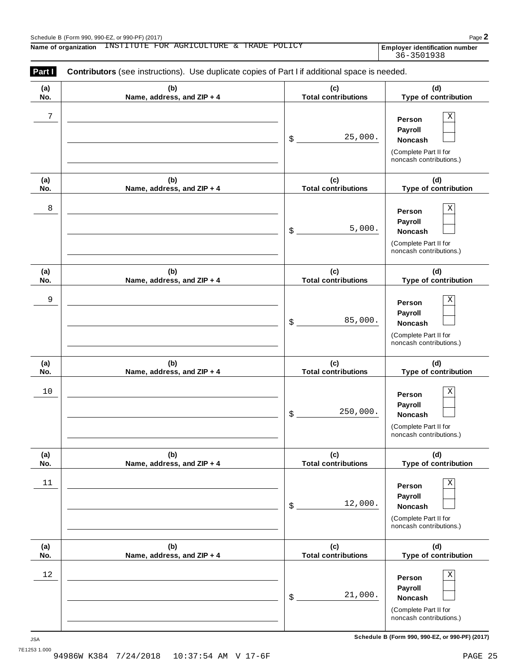| Part I     | Contributors (see instructions). Use duplicate copies of Part I if additional space is needed. |                                   |                                                                                                 |
|------------|------------------------------------------------------------------------------------------------|-----------------------------------|-------------------------------------------------------------------------------------------------|
| (a)<br>No. | (b)<br>Name, address, and ZIP + 4                                                              | (c)<br><b>Total contributions</b> | (d)<br>Type of contribution                                                                     |
| 7          |                                                                                                | 25,000.<br>\$                     | Χ<br>Person<br>Payroll<br>Noncash<br>(Complete Part II for<br>noncash contributions.)           |
| (a)<br>No. | (b)<br>Name, address, and ZIP + 4                                                              | (c)<br><b>Total contributions</b> | (d)<br>Type of contribution                                                                     |
| 8          |                                                                                                | 5,000.<br>\$                      | Χ<br>Person<br>Payroll<br>Noncash<br>(Complete Part II for<br>noncash contributions.)           |
| (a)<br>No. | (b)<br>Name, address, and ZIP + 4                                                              | (c)<br><b>Total contributions</b> | (d)<br>Type of contribution                                                                     |
| 9          |                                                                                                | 85,000.<br>\$                     | Χ<br>Person<br>Payroll<br>Noncash<br>(Complete Part II for<br>noncash contributions.)           |
| (a)<br>No. | (b)<br>Name, address, and ZIP + 4                                                              | (c)<br><b>Total contributions</b> | (d)<br>Type of contribution                                                                     |
| 10         |                                                                                                | 250,000.<br>\$                    | $\mathbf X$<br>Person<br>Payroll<br>Noncash<br>(Complete Part II for<br>noncash contributions.) |
| (a)<br>No. | (b)<br>Name, address, and ZIP + 4                                                              | (c)<br><b>Total contributions</b> | (d)<br>Type of contribution                                                                     |
| $11$       |                                                                                                | 12,000.<br>\$                     | Χ<br>Person<br>Payroll<br><b>Noncash</b><br>(Complete Part II for<br>noncash contributions.)    |
| (a)<br>No. | (b)<br>Name, address, and ZIP + 4                                                              | (c)<br><b>Total contributions</b> | (d)<br>Type of contribution                                                                     |
| $12$       |                                                                                                | 21,000.<br>\$                     | Χ<br>Person<br>Payroll<br>Noncash<br>(Complete Part II for<br>noncash contributions.)           |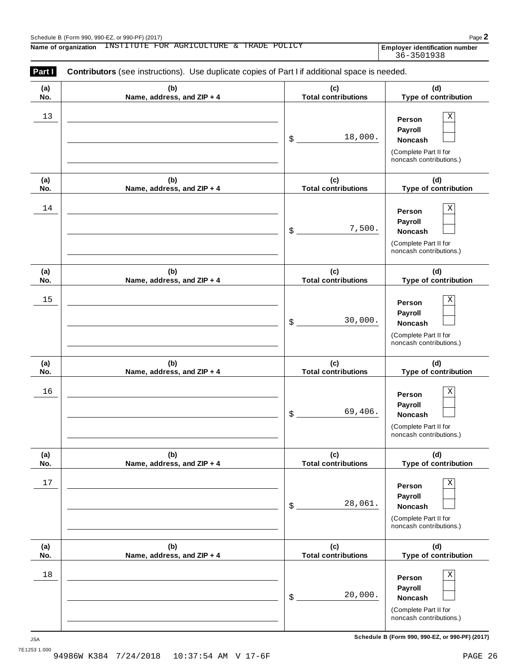| Part I     | Contributors (see instructions). Use duplicate copies of Part I if additional space is needed. |                                   |                                                                                                 |
|------------|------------------------------------------------------------------------------------------------|-----------------------------------|-------------------------------------------------------------------------------------------------|
| (a)<br>No. | (b)<br>Name, address, and ZIP + 4                                                              | (c)<br><b>Total contributions</b> | (d)<br>Type of contribution                                                                     |
| 13         |                                                                                                | 18,000.<br>\$                     | $\mathbf X$<br>Person<br>Payroll<br>Noncash<br>(Complete Part II for                            |
| (a)<br>No. | (b)<br>Name, address, and ZIP + 4                                                              | (c)<br><b>Total contributions</b> | noncash contributions.)<br>(d)<br>Type of contribution                                          |
| 14         |                                                                                                | 7,500.<br>\$                      | $\mathbf X$<br>Person<br>Payroll<br>Noncash<br>(Complete Part II for<br>noncash contributions.) |
| (a)<br>No. | (b)<br>Name, address, and ZIP + 4                                                              | (c)<br><b>Total contributions</b> | (d)<br>Type of contribution                                                                     |
| $15$       |                                                                                                | 30,000.<br>\$                     | $\mathbf X$<br>Person<br>Payroll<br>Noncash<br>(Complete Part II for<br>noncash contributions.) |
| (a)<br>No. | (b)<br>Name, address, and ZIP + 4                                                              | (c)<br><b>Total contributions</b> | (d)<br>Type of contribution                                                                     |
| 16         |                                                                                                | 69,406.<br>\$                     | $\mathbf X$<br>Person<br>Payroll<br>Noncash<br>(Complete Part II for<br>noncash contributions.) |
| (a)<br>No. | (b)<br>Name, address, and ZIP + 4                                                              | (c)<br><b>Total contributions</b> | (d)<br>Type of contribution                                                                     |
| $17$       |                                                                                                | 28,061.<br>$\frac{1}{2}$          | Χ<br>Person<br>Payroll<br><b>Noncash</b><br>(Complete Part II for<br>noncash contributions.)    |
| (a)<br>No. | (b)<br>Name, address, and ZIP + 4                                                              | (c)<br><b>Total contributions</b> | (d)<br>Type of contribution                                                                     |
| 18         |                                                                                                | 20,000.<br>$\frac{1}{2}$          | Χ<br>Person<br>Payroll<br>Noncash<br>(Complete Part II for<br>noncash contributions.)           |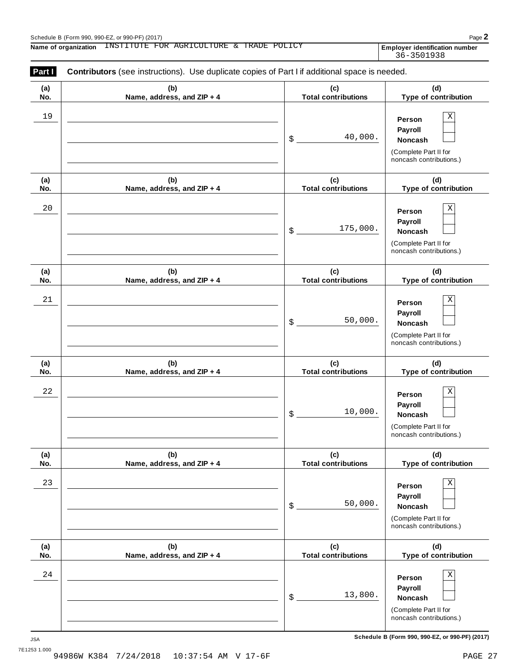| (a)         | (b)                        | (c)                        | (d)                                                                                          |
|-------------|----------------------------|----------------------------|----------------------------------------------------------------------------------------------|
| No.         | Name, address, and ZIP + 4 | <b>Total contributions</b> | Type of contribution                                                                         |
| 19          |                            | 40,000.<br>\$              | Χ<br>Person<br>Payroll<br>Noncash<br>(Complete Part II for<br>noncash contributions.)        |
| (a)         | (b)                        | (c)                        | (d)                                                                                          |
| No.         | Name, address, and ZIP + 4 | <b>Total contributions</b> | Type of contribution                                                                         |
| 20          |                            | 175,000.<br>\$             | X<br>Person<br>Payroll<br>Noncash<br>(Complete Part II for<br>noncash contributions.)        |
| (a)         | (b)                        | (c)                        | (d)                                                                                          |
| No.         | Name, address, and ZIP + 4 | <b>Total contributions</b> | Type of contribution                                                                         |
| 21          |                            | 50,000.<br>\$              | Χ<br>Person<br>Payroll<br>Noncash<br>(Complete Part II for<br>noncash contributions.)        |
| (a)         | (b)                        | (c)                        | (d)                                                                                          |
| No.         | Name, address, and ZIP + 4 | <b>Total contributions</b> | Type of contribution                                                                         |
| 22          |                            | 10,000.<br>\$              | $\rm X$<br>Person<br>Payroll<br>Noncash<br>(Complete Part II for<br>noncash contributions.)  |
| (a)         | (b)                        | (c)                        | (d)                                                                                          |
| No.         | Name, address, and ZIP + 4 | <b>Total contributions</b> | Type of contribution                                                                         |
| 23          |                            | 50,000.<br>\$              | X<br>Person<br>Payroll<br><b>Noncash</b><br>(Complete Part II for<br>noncash contributions.) |
| (a)         | (b)                        | (c)                        | (d)                                                                                          |
| No.         | Name, address, and ZIP + 4 | <b>Total contributions</b> | Type of contribution                                                                         |
| $2\sqrt{4}$ |                            | 13,800.<br>\$              | Χ<br>Person<br>Payroll<br><b>Noncash</b><br>(Complete Part II for<br>noncash contributions.) |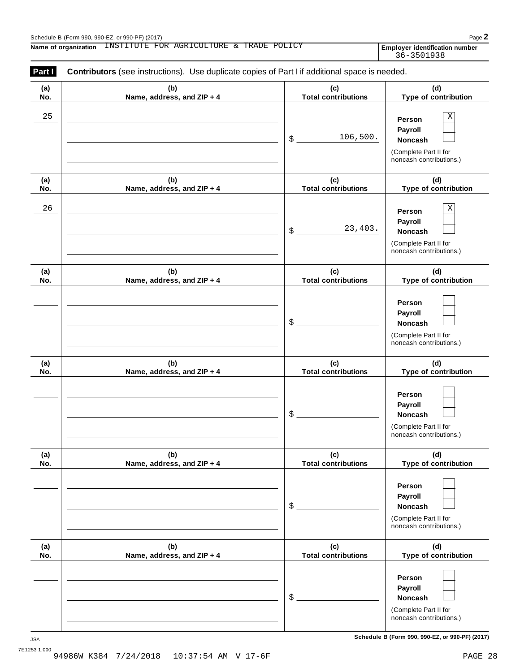| (a)        | (b)                               | (c)                               | (d)                                              |
|------------|-----------------------------------|-----------------------------------|--------------------------------------------------|
| No.        | Name, address, and ZIP + 4        | <b>Total contributions</b>        | Type of contribution                             |
| 25         |                                   |                                   | $\mathbf X$<br>Person                            |
|            |                                   |                                   | Payroll                                          |
|            |                                   | 106,500.<br>\$                    | Noncash                                          |
|            |                                   |                                   | (Complete Part II for                            |
|            |                                   |                                   | noncash contributions.)                          |
| (a)        | (b)                               | (c)                               | (d)                                              |
| No.        | Name, address, and ZIP + 4        | <b>Total contributions</b>        | Type of contribution                             |
| 26         |                                   |                                   | $\mathbf X$<br>Person                            |
|            |                                   |                                   | Payroll                                          |
|            |                                   | 23, 403.<br>\$                    | Noncash                                          |
|            |                                   |                                   | (Complete Part II for                            |
|            |                                   |                                   | noncash contributions.)                          |
| (a)        | (b)<br>Name, address, and ZIP + 4 | (c)<br><b>Total contributions</b> | (d)                                              |
| No.        |                                   |                                   | Type of contribution                             |
|            |                                   |                                   | Person                                           |
|            |                                   |                                   | Payroll                                          |
|            |                                   | \$                                | Noncash                                          |
|            |                                   |                                   | (Complete Part II for                            |
|            |                                   |                                   | noncash contributions.)                          |
| (a)<br>No. | (b)<br>Name, address, and ZIP + 4 | (c)<br><b>Total contributions</b> | (d)<br>Type of contribution                      |
|            |                                   |                                   |                                                  |
|            |                                   |                                   | Person                                           |
|            |                                   |                                   | Payroll                                          |
|            |                                   | \$                                | <b>Noncash</b>                                   |
|            |                                   |                                   | (Complete Part II for                            |
|            |                                   |                                   | noncash contributions.)                          |
| (a)        | (b)                               | (c)                               | (d)                                              |
| No.        | Name, address, and ZIP + 4        | <b>Total contributions</b>        | Type of contribution                             |
|            |                                   |                                   |                                                  |
|            |                                   |                                   | Person                                           |
|            |                                   | $\frac{1}{2}$                     | Payroll                                          |
|            |                                   |                                   | Noncash                                          |
|            |                                   |                                   | (Complete Part II for<br>noncash contributions.) |
| (a)        | (b)                               | (c)                               | (d)                                              |
| No.        | Name, address, and ZIP + 4        | <b>Total contributions</b>        | Type of contribution                             |
|            |                                   |                                   | Person                                           |
|            |                                   |                                   | Payroll                                          |
|            |                                   | \$                                | Noncash                                          |
|            |                                   |                                   | (Complete Part II for                            |
|            |                                   |                                   |                                                  |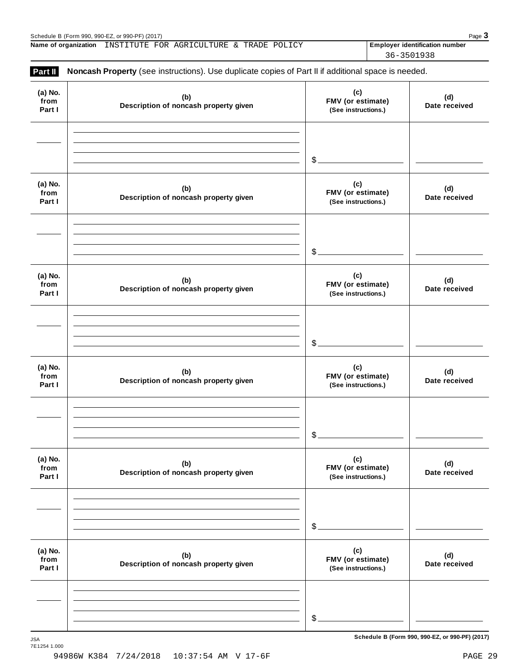Schedule B (Form 990, 990-EZ, or 990-PF) (2017)<br> **Name of organization** INSTITUTE FOR AGRICULTURE & TRADE POLICY **Properties and Schedule B (Form 1990, 990-EZ, or 990-PF) Name of organization** INSTITUTE FOR AGRICULTURE & TRADE POLICY **Employer identification number** 

36-3501938

| (b)<br>Description of noncash property given | (c)<br>FMV (or estimate)<br>(See instructions.) | (d)<br>Date received                                                                                      |
|----------------------------------------------|-------------------------------------------------|-----------------------------------------------------------------------------------------------------------|
|                                              | $\sim$                                          |                                                                                                           |
| (b)<br>Description of noncash property given | (c)<br>FMV (or estimate)<br>(See instructions.) | (d)<br>Date received                                                                                      |
|                                              | $\frac{1}{2}$                                   |                                                                                                           |
| (b)<br>Description of noncash property given | (c)<br>FMV (or estimate)<br>(See instructions.) | (d)<br>Date received                                                                                      |
|                                              | $\mathcal{S}_{-}$                               |                                                                                                           |
| (b)<br>Description of noncash property given | (c)<br>FMV (or estimate)<br>(See instructions.) | (d)<br>Date received                                                                                      |
|                                              | \$                                              |                                                                                                           |
| (b)<br>Description of noncash property given | (c)<br>FMV (or estimate)<br>(See instructions.) | (d)<br>Date received                                                                                      |
|                                              | \$                                              |                                                                                                           |
| (b)<br>Description of noncash property given | (c)<br>FMV (or estimate)<br>(See instructions.) | (d)<br>Date received                                                                                      |
|                                              |                                                 |                                                                                                           |
|                                              |                                                 | Noncash Property (see instructions). Use duplicate copies of Part II if additional space is needed.<br>\$ |

 $S$ chedule B (Form 990, 990-EZ, or 990-PF) (2017)

7E1254 1.000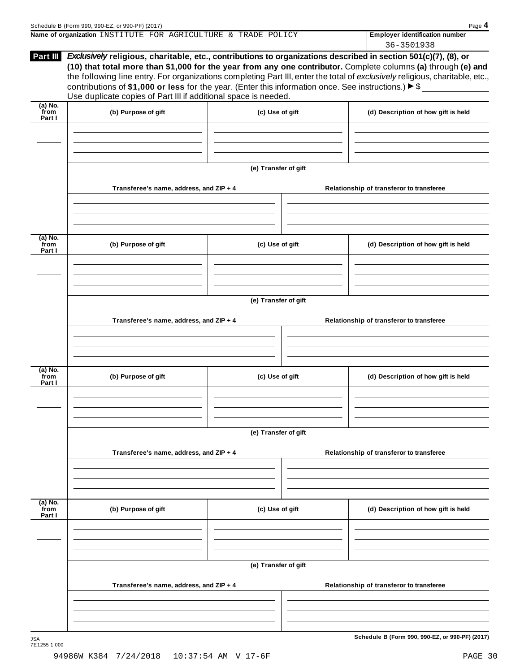| Schedule B (Form 990, 990-EZ, or 990-PF) (2017)                                                                                           | Page $4$                              |  |  |  |
|-------------------------------------------------------------------------------------------------------------------------------------------|---------------------------------------|--|--|--|
| Name of organization INSTITUTE FOR AGRICULTURE & TRADE POLICY                                                                             | <b>Employer identification number</b> |  |  |  |
|                                                                                                                                           | 36-3501938                            |  |  |  |
| <b>Part III</b><br><i>Exclusively</i> religious, charitable, etc., contributions to organizations described in section 501(c)(7), (8), or |                                       |  |  |  |
| (10) that total more than \$1,000 for the year from any one contributor. Complete columns (a) through (e) and                             |                                       |  |  |  |
| the following line entry. For organizations completing Part III, enter the total of exclusively religious, charitable, etc.,              |                                       |  |  |  |

|                             | contributions of \$1,000 or less for the year. (Enter this information once. See instructions.) $\blacktriangleright$ \$<br>Use duplicate copies of Part III if additional space is needed. |                      |                                          |
|-----------------------------|---------------------------------------------------------------------------------------------------------------------------------------------------------------------------------------------|----------------------|------------------------------------------|
| $(a)$ No.<br>from<br>Part I | (b) Purpose of gift                                                                                                                                                                         | (c) Use of gift      | (d) Description of how gift is held      |
|                             | Transferee's name, address, and ZIP + 4                                                                                                                                                     | (e) Transfer of gift | Relationship of transferor to transferee |
|                             |                                                                                                                                                                                             |                      |                                          |
| $(a)$ No.<br>from<br>Part I | (b) Purpose of gift                                                                                                                                                                         | (c) Use of gift      | (d) Description of how gift is held      |
|                             | Transferee's name, address, and ZIP + 4                                                                                                                                                     | (e) Transfer of gift | Relationship of transferor to transferee |
|                             |                                                                                                                                                                                             |                      |                                          |
| $(a)$ No.<br>from<br>Part I | (b) Purpose of gift                                                                                                                                                                         | (c) Use of gift      | (d) Description of how gift is held      |
|                             |                                                                                                                                                                                             | (e) Transfer of gift |                                          |
|                             | Transferee's name, address, and ZIP + 4                                                                                                                                                     |                      | Relationship of transferor to transferee |
| $(a)$ No.<br>from<br>Part I | (b) Purpose of gift                                                                                                                                                                         | (c) Use of gift      | (d) Description of how gift is held      |
|                             |                                                                                                                                                                                             |                      |                                          |
|                             |                                                                                                                                                                                             | (e) Transfer of gift |                                          |
|                             | Transferee's name, address, and ZIP + 4                                                                                                                                                     |                      | Relationship of transferor to transferee |

7E1255 1.000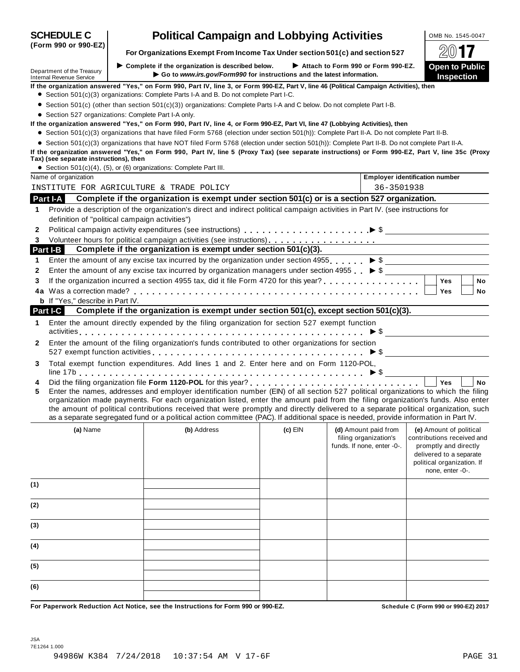|                                 | (Form 990 or 990-EZ)                    | For Organizations Exempt From Income Tax Under section 501(c) and section 527                                                                                                                                                                                                                                                                                                                                                                                                                                                                        |         |                                                                             |                                                                                                                                                             |
|---------------------------------|-----------------------------------------|------------------------------------------------------------------------------------------------------------------------------------------------------------------------------------------------------------------------------------------------------------------------------------------------------------------------------------------------------------------------------------------------------------------------------------------------------------------------------------------------------------------------------------------------------|---------|-----------------------------------------------------------------------------|-------------------------------------------------------------------------------------------------------------------------------------------------------------|
| <b>Internal Revenue Service</b> | Department of the Treasury              | $\triangleright$ Complete if the organization is described below.<br>Go to www.irs.gov/Form990 for instructions and the latest information.                                                                                                                                                                                                                                                                                                                                                                                                          |         | Attach to Form 990 or Form 990-EZ.                                          | <b>Open to Public</b><br><b>Inspection</b>                                                                                                                  |
|                                 |                                         | If the organization answered "Yes," on Form 990, Part IV, line 3, or Form 990-EZ, Part V, line 46 (Political Campaign Activities), then<br>• Section 501(c)(3) organizations: Complete Parts I-A and B. Do not complete Part I-C.                                                                                                                                                                                                                                                                                                                    |         |                                                                             |                                                                                                                                                             |
|                                 |                                         | • Section 501(c) (other than section 501(c)(3)) organizations: Complete Parts I-A and C below. Do not complete Part I-B.                                                                                                                                                                                                                                                                                                                                                                                                                             |         |                                                                             |                                                                                                                                                             |
|                                 |                                         | • Section 527 organizations: Complete Part I-A only.                                                                                                                                                                                                                                                                                                                                                                                                                                                                                                 |         |                                                                             |                                                                                                                                                             |
|                                 |                                         | If the organization answered "Yes," on Form 990, Part IV, line 4, or Form 990-EZ, Part VI, line 47 (Lobbying Activities), then                                                                                                                                                                                                                                                                                                                                                                                                                       |         |                                                                             |                                                                                                                                                             |
|                                 |                                         | ● Section 501(c)(3) organizations that have filed Form 5768 (election under section 501(h)): Complete Part II-A. Do not complete Part II-B.                                                                                                                                                                                                                                                                                                                                                                                                          |         |                                                                             |                                                                                                                                                             |
|                                 | Tax) (see separate instructions), then  | • Section 501(c)(3) organizations that have NOT filed Form 5768 (election under section 501(h)): Complete Part II-B. Do not complete Part II-A.<br>If the organization answered "Yes," on Form 990, Part IV, line 5 (Proxy Tax) (see separate instructions) or Form 990-EZ, Part V, line 35c (Proxy                                                                                                                                                                                                                                                  |         |                                                                             |                                                                                                                                                             |
|                                 |                                         | • Section 501(c)(4), (5), or (6) organizations: Complete Part III.                                                                                                                                                                                                                                                                                                                                                                                                                                                                                   |         |                                                                             |                                                                                                                                                             |
| Name of organization            |                                         |                                                                                                                                                                                                                                                                                                                                                                                                                                                                                                                                                      |         |                                                                             | <b>Employer identification number</b>                                                                                                                       |
|                                 |                                         | INSTITUTE FOR AGRICULTURE & TRADE POLICY                                                                                                                                                                                                                                                                                                                                                                                                                                                                                                             |         | 36-3501938                                                                  |                                                                                                                                                             |
| Part I-A                        |                                         | Complete if the organization is exempt under section 501(c) or is a section 527 organization.                                                                                                                                                                                                                                                                                                                                                                                                                                                        |         |                                                                             |                                                                                                                                                             |
| 1                               |                                         | Provide a description of the organization's direct and indirect political campaign activities in Part IV. (see instructions for                                                                                                                                                                                                                                                                                                                                                                                                                      |         |                                                                             |                                                                                                                                                             |
|                                 |                                         | definition of "political campaign activities")                                                                                                                                                                                                                                                                                                                                                                                                                                                                                                       |         |                                                                             |                                                                                                                                                             |
| $\mathbf{2}$                    |                                         |                                                                                                                                                                                                                                                                                                                                                                                                                                                                                                                                                      |         |                                                                             |                                                                                                                                                             |
| 3.                              |                                         |                                                                                                                                                                                                                                                                                                                                                                                                                                                                                                                                                      |         |                                                                             |                                                                                                                                                             |
| Part I-B                        |                                         | Complete if the organization is exempt under section 501(c)(3).                                                                                                                                                                                                                                                                                                                                                                                                                                                                                      |         |                                                                             |                                                                                                                                                             |
| 1                               |                                         | Enter the amount of any excise tax incurred by the organization under section 4955. $\triangleright$ \$                                                                                                                                                                                                                                                                                                                                                                                                                                              |         |                                                                             |                                                                                                                                                             |
| 2                               |                                         | Enter the amount of any excise tax incurred by organization managers under section 4955 $\triangleright$ \$                                                                                                                                                                                                                                                                                                                                                                                                                                          |         |                                                                             |                                                                                                                                                             |
| 3                               |                                         |                                                                                                                                                                                                                                                                                                                                                                                                                                                                                                                                                      |         |                                                                             | No<br><b>Yes</b>                                                                                                                                            |
|                                 |                                         |                                                                                                                                                                                                                                                                                                                                                                                                                                                                                                                                                      |         |                                                                             | Yes<br>No                                                                                                                                                   |
|                                 | <b>b</b> If "Yes," describe in Part IV. |                                                                                                                                                                                                                                                                                                                                                                                                                                                                                                                                                      |         |                                                                             |                                                                                                                                                             |
| <b>Part I-C</b>                 |                                         | Complete if the organization is exempt under section 501(c), except section 501(c)(3).                                                                                                                                                                                                                                                                                                                                                                                                                                                               |         |                                                                             |                                                                                                                                                             |
| 1                               |                                         | Enter the amount directly expended by the filing organization for section 527 exempt function                                                                                                                                                                                                                                                                                                                                                                                                                                                        |         |                                                                             | $\triangleright$ \$                                                                                                                                         |
| 2                               |                                         | Enter the amount of the filing organization's funds contributed to other organizations for section                                                                                                                                                                                                                                                                                                                                                                                                                                                   |         |                                                                             |                                                                                                                                                             |
| 3                               |                                         | Total exempt function expenditures. Add lines 1 and 2. Enter here and on Form 1120-POL,                                                                                                                                                                                                                                                                                                                                                                                                                                                              |         |                                                                             |                                                                                                                                                             |
| 4<br>5                          |                                         | Enter the names, addresses and employer identification number (EIN) of all section 527 political organizations to which the filing<br>organization made payments. For each organization listed, enter the amount paid from the filing organization's funds. Also enter<br>the amount of political contributions received that were promptly and directly delivered to a separate political organization, such<br>as a separate segregated fund or a political action committee (PAC). If additional space is needed, provide information in Part IV. |         |                                                                             | Yes<br><b>No</b>                                                                                                                                            |
|                                 | (a) Name                                | (b) Address                                                                                                                                                                                                                                                                                                                                                                                                                                                                                                                                          | (c) EIN | (d) Amount paid from<br>filing organization's<br>funds. If none, enter -0-. | (e) Amount of political<br>contributions received and<br>promptly and directly<br>delivered to a separate<br>political organization. If<br>none, enter -0-. |
| (1)                             |                                         |                                                                                                                                                                                                                                                                                                                                                                                                                                                                                                                                                      |         |                                                                             |                                                                                                                                                             |
| (2)                             |                                         |                                                                                                                                                                                                                                                                                                                                                                                                                                                                                                                                                      |         |                                                                             |                                                                                                                                                             |
| (3)                             |                                         |                                                                                                                                                                                                                                                                                                                                                                                                                                                                                                                                                      |         |                                                                             |                                                                                                                                                             |
| (4)                             |                                         |                                                                                                                                                                                                                                                                                                                                                                                                                                                                                                                                                      |         |                                                                             |                                                                                                                                                             |
| (5)                             |                                         |                                                                                                                                                                                                                                                                                                                                                                                                                                                                                                                                                      |         |                                                                             |                                                                                                                                                             |
| (6)                             |                                         |                                                                                                                                                                                                                                                                                                                                                                                                                                                                                                                                                      |         |                                                                             |                                                                                                                                                             |
|                                 |                                         | For Paperwork Reduction Act Notice, see the Instructions for Form 990 or 990-EZ.                                                                                                                                                                                                                                                                                                                                                                                                                                                                     |         |                                                                             | Schedule C (Form 990 or 990-EZ) 2017                                                                                                                        |

**SCHEDULE C Political Campaign and Lobbying Activities**  $\frac{\text{OMB NO. 1545-0047}}{\text{OMB MO. 1545-0047}}}$ 

**(Form 990 or 990-EZ)**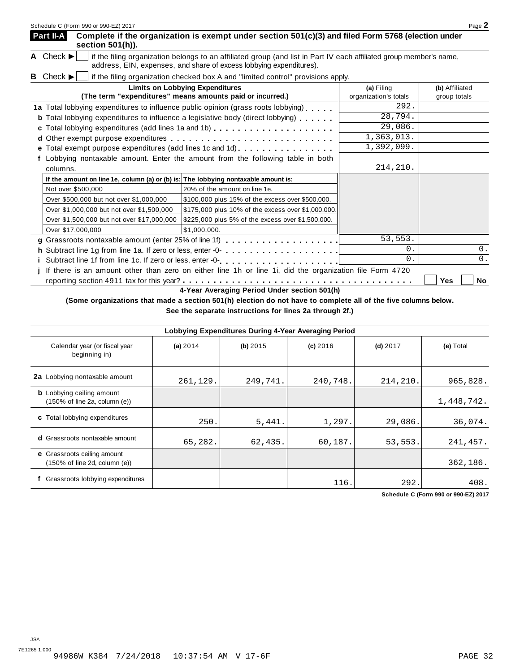|   | Part II-A<br>section 501(h)).                                                                                                                                                                                               | Complete if the organization is exempt under section 501(c)(3) and filed Form 5768 (election under                                                                                                                                                                    |                                     |                                |  |  |  |  |  |
|---|-----------------------------------------------------------------------------------------------------------------------------------------------------------------------------------------------------------------------------|-----------------------------------------------------------------------------------------------------------------------------------------------------------------------------------------------------------------------------------------------------------------------|-------------------------------------|--------------------------------|--|--|--|--|--|
|   | A Check $\blacktriangleright$<br>if the filing organization belongs to an affiliated group (and list in Part IV each affiliated group member's name,<br>address, EIN, expenses, and share of excess lobbying expenditures). |                                                                                                                                                                                                                                                                       |                                     |                                |  |  |  |  |  |
| В | Check $\blacktriangleright$<br>if the filing organization checked box A and "limited control" provisions apply.                                                                                                             |                                                                                                                                                                                                                                                                       |                                     |                                |  |  |  |  |  |
|   |                                                                                                                                                                                                                             | <b>Limits on Lobbying Expenditures</b><br>(The term "expenditures" means amounts paid or incurred.)                                                                                                                                                                   | (a) Filing<br>organization's totals | (b) Affiliated<br>group totals |  |  |  |  |  |
|   |                                                                                                                                                                                                                             | 1a Total lobbying expenditures to influence public opinion (grass roots lobbying)                                                                                                                                                                                     | 292.                                |                                |  |  |  |  |  |
|   |                                                                                                                                                                                                                             | <b>b</b> Total lobbying expenditures to influence a legislative body (direct lobbying)                                                                                                                                                                                | 28,794.                             |                                |  |  |  |  |  |
|   |                                                                                                                                                                                                                             |                                                                                                                                                                                                                                                                       | 29,086.                             |                                |  |  |  |  |  |
|   |                                                                                                                                                                                                                             |                                                                                                                                                                                                                                                                       | 1,363,013.                          |                                |  |  |  |  |  |
|   |                                                                                                                                                                                                                             | e Total exempt purpose expenditures (add lines 1c and 1d)                                                                                                                                                                                                             | 1,392,099.                          |                                |  |  |  |  |  |
|   |                                                                                                                                                                                                                             | f Lobbying nontaxable amount. Enter the amount from the following table in both                                                                                                                                                                                       |                                     |                                |  |  |  |  |  |
|   | columns.                                                                                                                                                                                                                    |                                                                                                                                                                                                                                                                       | 214,210.                            |                                |  |  |  |  |  |
|   | If the amount on line 1e, column (a) or (b) is: The lobbying nontaxable amount is:                                                                                                                                          |                                                                                                                                                                                                                                                                       |                                     |                                |  |  |  |  |  |
|   | Not over \$500,000                                                                                                                                                                                                          | 20% of the amount on line 1e.                                                                                                                                                                                                                                         |                                     |                                |  |  |  |  |  |
|   | Over \$500,000 but not over \$1,000,000                                                                                                                                                                                     | \$100,000 plus 15% of the excess over \$500,000.                                                                                                                                                                                                                      |                                     |                                |  |  |  |  |  |
|   | Over \$1,000,000 but not over \$1,500,000                                                                                                                                                                                   | \$175,000 plus 10% of the excess over \$1,000,000.                                                                                                                                                                                                                    |                                     |                                |  |  |  |  |  |
|   | Over \$1,500,000 but not over \$17,000,000                                                                                                                                                                                  | \$225,000 plus 5% of the excess over \$1,500,000.                                                                                                                                                                                                                     |                                     |                                |  |  |  |  |  |
|   | Over \$17,000,000                                                                                                                                                                                                           | \$1.000.000.                                                                                                                                                                                                                                                          |                                     |                                |  |  |  |  |  |
|   |                                                                                                                                                                                                                             | g Grassroots nontaxable amount (enter 25% of line 1f)                                                                                                                                                                                                                 | 53, 553.                            |                                |  |  |  |  |  |
|   |                                                                                                                                                                                                                             | h Subtract line 1g from line 1a. If zero or less, enter -0-                                                                                                                                                                                                           | 0.                                  | 0.                             |  |  |  |  |  |
|   |                                                                                                                                                                                                                             | i Subtract line 1f from line 1c. If zero or less, enter -0-<br>example -0-<br>example -0-<br>example -0-<br>example -0-<br>example -0-<br>example -0-<br>example -0-<br>example -0-<br>example -0-<br>displaned -0-<br>displaned -0-<br>displaned -0-<br>displaned -0 | 0.                                  | $0$ .                          |  |  |  |  |  |
|   |                                                                                                                                                                                                                             | j If there is an amount other than zero on either line 1h or line 1i, did the organization file Form 4720                                                                                                                                                             |                                     |                                |  |  |  |  |  |
|   |                                                                                                                                                                                                                             |                                                                                                                                                                                                                                                                       |                                     | Yes<br>No                      |  |  |  |  |  |

**4-Year Averaging Period Under section 501(h)**

(Some organizations that made a section 501(h) election do not have to complete all of the five columns below.

**See the separate instructions for lines 2a through 2f.)**

| Lobbying Expenditures During 4-Year Averaging Period                                   |          |            |            |            |            |  |  |
|----------------------------------------------------------------------------------------|----------|------------|------------|------------|------------|--|--|
| Calendar year (or fiscal year<br>beginning in)                                         | (a) 2014 | $(b)$ 2015 | $(c)$ 2016 | $(d)$ 2017 | (e) Total  |  |  |
| 2a Lobbying nontaxable amount                                                          | 261,129. | 249,741.   | 240,748.   | 214,210.   | 965,828.   |  |  |
| <b>b</b> Lobbying ceiling amount<br>$(150\% \text{ of line } 2a, \text{ column } (e))$ |          |            |            |            | 1,448,742. |  |  |
| <b>c</b> Total lobbying expenditures                                                   | 250      | 5,441.     | 1,297.     | 29,086.    | 36,074.    |  |  |
| <b>d</b> Grassroots nontaxable amount                                                  | 65,282.  | 62,435.    | 60,187.    | 53,553.    | 241,457.   |  |  |
| e Grassroots ceiling amount<br>(150% of line 2d, column (e))                           |          |            |            |            | 362,186.   |  |  |
| Grassroots lobbying expenditures                                                       |          |            | 116.       | 292.       | 408.       |  |  |

**Schedule C (Form 990 or 990-EZ) 2017**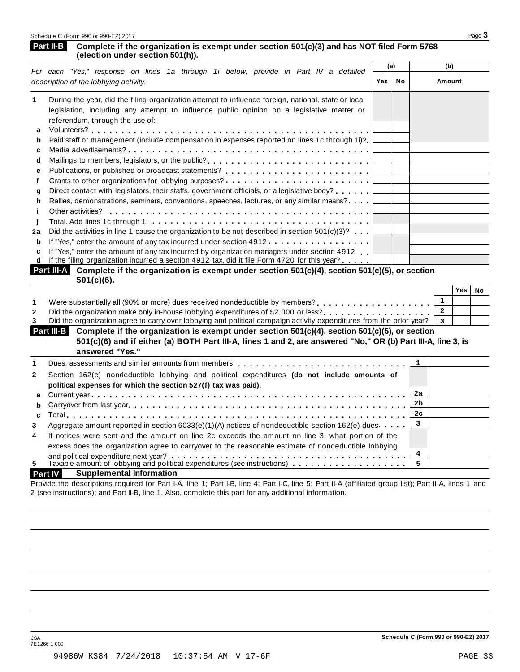| Schedule C (Form 990 or 990-EZ) 2017 | $P$ aqe $\bullet$ |
|--------------------------------------|-------------------|
|                                      |                   |

### **Complete if the organization is exempt under section 501(c)(3) and has NOT filed Form 5768 (Part II-B** Complete if the organization is (election under section 501(h)).

|    | For each "Yes," response on lines 1a through 1i below, provide in Part IV a detailed<br>Yes.<br>description of the lobbying activity.                                                                                               |  | (a)       | (b)    |  |
|----|-------------------------------------------------------------------------------------------------------------------------------------------------------------------------------------------------------------------------------------|--|-----------|--------|--|
|    |                                                                                                                                                                                                                                     |  | <b>No</b> | Amount |  |
| 1  | During the year, did the filing organization attempt to influence foreign, national, state or local<br>legislation, including any attempt to influence public opinion on a legislative matter or<br>referendum, through the use of: |  |           |        |  |
| a  |                                                                                                                                                                                                                                     |  |           |        |  |
| b  | Paid staff or management (include compensation in expenses reported on lines 1c through 1i)?                                                                                                                                        |  |           |        |  |
| c  |                                                                                                                                                                                                                                     |  |           |        |  |
| d  | Mailings to members, legislators, or the public?                                                                                                                                                                                    |  |           |        |  |
| е  |                                                                                                                                                                                                                                     |  |           |        |  |
|    | Grants to other organizations for lobbying purposes?                                                                                                                                                                                |  |           |        |  |
| a  | Direct contact with legislators, their staffs, government officials, or a legislative body?                                                                                                                                         |  |           |        |  |
| h  | Rallies, demonstrations, seminars, conventions, speeches, lectures, or any similar means?.                                                                                                                                          |  |           |        |  |
|    | Other activities?                                                                                                                                                                                                                   |  |           |        |  |
|    |                                                                                                                                                                                                                                     |  |           |        |  |
| 2a | Did the activities in line 1 cause the organization to be not described in section $501(c)(3)$ ?                                                                                                                                    |  |           |        |  |
| b  | If "Yes," enter the amount of any tax incurred under section 4912                                                                                                                                                                   |  |           |        |  |
| c  | If "Yes," enter the amount of any tax incurred by organization managers under section 4912                                                                                                                                          |  |           |        |  |
| d  | If the filing organization incurred a section 4912 tax, did it file Form 4720 for this year?                                                                                                                                        |  |           |        |  |
|    | <b>Part III-A</b><br>Complete if the organization is exempt under section 501(c)(4), section 501(c)(5), or section<br>$501(c)(6)$ .                                                                                                 |  |           |        |  |

|                |                                                                                                                       | Yes | No |
|----------------|-----------------------------------------------------------------------------------------------------------------------|-----|----|
|                | Were substantially all (90% or more) dues received nondeductible by members?<br>                                      |     |    |
| $\overline{2}$ |                                                                                                                       |     |    |
|                | Did the organization agree to carry over lobbying and political campaign activity expenditures from the prior year? 3 |     |    |

| Part III-B Complete if the organization is exempt under section 501(c)(4), section 501(c)(5), or section<br>501(c)(6) and if either (a) BOTH Part III-A, lines 1 and 2, are answered "No," OR (b) Part III-A, line 3, is<br>answered "Yes." |  |  |
|---------------------------------------------------------------------------------------------------------------------------------------------------------------------------------------------------------------------------------------------|--|--|
| Dues, assessments and similar amounts from members entitled by entitled by entitled and service and the Dues.                                                                                                                               |  |  |
|                                                                                                                                                                                                                                             |  |  |

| $\mathbf{2}$   | Section 162(e) nondeductible lobbying and political expenditures (do not include amounts of                                       |   |  |
|----------------|-----------------------------------------------------------------------------------------------------------------------------------|---|--|
|                | political expenses for which the section 527(f) tax was paid).                                                                    |   |  |
|                |                                                                                                                                   |   |  |
|                |                                                                                                                                   |   |  |
|                |                                                                                                                                   |   |  |
| 3              | Aggregate amount reported in section $6033(e)(1)(A)$ notices of nondeductible section 162(e) dues                                 |   |  |
| $\overline{4}$ | If notices were sent and the amount on line 2c exceeds the amount on line 3, what portion of the                                  |   |  |
|                | excess does the organization agree to carryover to the reasonable estimate of nondeductible lobbying                              |   |  |
|                | and political expenditure next year? $\ldots \ldots \ldots \ldots \ldots \ldots \ldots \ldots \ldots \ldots \ldots \ldots \ldots$ | 4 |  |
| 5              | Taxable amount of lobbying and political expenditures (see instructions) $\ldots \ldots \ldots \ldots$                            |   |  |
|                |                                                                                                                                   |   |  |

#### **Part IV Supplemental Information**

7E1266 1.000

Provide the descriptions required for Part I-A, line 1; Part I-B, line 4; Part I-C, line 5; Part II-A (affiliated group list); Part II-A, lines 1 and 2 (see instructions); and Part II-B, line 1. Also, complete this part for any additional information.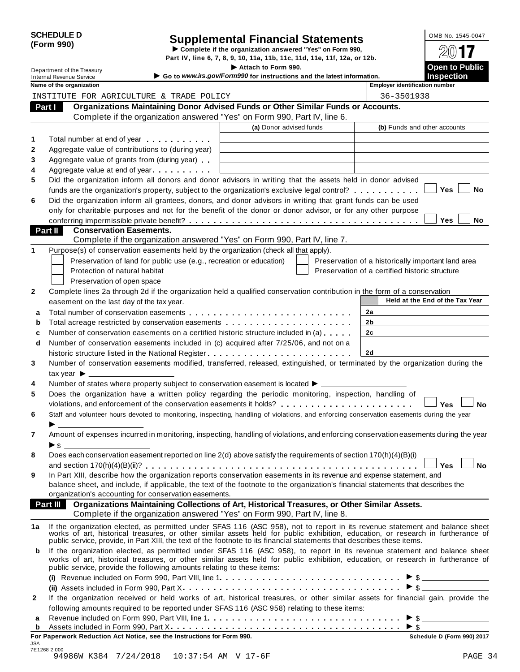| <b>SCHEDULE D</b> |  |
|-------------------|--|
| (Form 990)        |  |

# Supplemental Financial Statements<br>
Complete if the organization answered "Yes" on Form 990,<br>
Part IV, line 6, 7, 8, 9, 10, 11a, 11b, 11c, 11d, 11e, 11f, 12a, or 12b.<br>
Attach to Form 990.<br>
Open to Public

Department of the Treasury Integration of the Treasury Integration of the Treasury **I and CO2 Contract of the Treasury Contract of the Treasury Contract of the Treasury <b>I** and CO2 **Contract of the Integration** of th

|    | Department of the Treasury           |                                                                                                                                                                                                                                                                  | Attach to Form 990.                                                    |                                                    | <b>Open to Public</b>           |
|----|--------------------------------------|------------------------------------------------------------------------------------------------------------------------------------------------------------------------------------------------------------------------------------------------------------------|------------------------------------------------------------------------|----------------------------------------------------|---------------------------------|
|    | <b>Internal Revenue Service</b>      |                                                                                                                                                                                                                                                                  | Go to www.irs.gov/Form990 for instructions and the latest information. |                                                    | <b>Inspection</b>               |
|    | Name of the organization             |                                                                                                                                                                                                                                                                  |                                                                        | <b>Employer identification number</b>              |                                 |
|    |                                      | INSTITUTE FOR AGRICULTURE & TRADE POLICY                                                                                                                                                                                                                         |                                                                        | 36-3501938                                         |                                 |
|    | Part I                               | Organizations Maintaining Donor Advised Funds or Other Similar Funds or Accounts.                                                                                                                                                                                |                                                                        |                                                    |                                 |
|    |                                      | Complete if the organization answered "Yes" on Form 990, Part IV, line 6.                                                                                                                                                                                        |                                                                        |                                                    |                                 |
|    |                                      |                                                                                                                                                                                                                                                                  | (a) Donor advised funds                                                | (b) Funds and other accounts                       |                                 |
| 1  |                                      | Total number at end of year <b>that the state of the state of the state of the state of the state of the state of the state of the state of the state of the state of the state of the state of the state of the state of the st</b>                             |                                                                        |                                                    |                                 |
| 2  |                                      |                                                                                                                                                                                                                                                                  |                                                                        |                                                    |                                 |
|    |                                      | Aggregate value of contributions to (during year)                                                                                                                                                                                                                |                                                                        |                                                    |                                 |
| 3  |                                      | Aggregate value of grants from (during year)                                                                                                                                                                                                                     |                                                                        |                                                    |                                 |
| 4  |                                      | Aggregate value at end of year                                                                                                                                                                                                                                   |                                                                        |                                                    |                                 |
| 5  |                                      | Did the organization inform all donors and donor advisors in writing that the assets held in donor advised                                                                                                                                                       |                                                                        |                                                    |                                 |
|    |                                      | funds are the organization's property, subject to the organization's exclusive legal control?                                                                                                                                                                    |                                                                        |                                                    | Yes<br>No                       |
| 6  |                                      | Did the organization inform all grantees, donors, and donor advisors in writing that grant funds can be used                                                                                                                                                     |                                                                        |                                                    |                                 |
|    |                                      | only for charitable purposes and not for the benefit of the donor or donor advisor, or for any other purpose                                                                                                                                                     |                                                                        |                                                    |                                 |
|    |                                      |                                                                                                                                                                                                                                                                  |                                                                        |                                                    | Yes<br>No                       |
|    | Part II                              | <b>Conservation Easements.</b>                                                                                                                                                                                                                                   |                                                                        |                                                    |                                 |
|    |                                      | Complete if the organization answered "Yes" on Form 990, Part IV, line 7.                                                                                                                                                                                        |                                                                        |                                                    |                                 |
| 1  |                                      | Purpose(s) of conservation easements held by the organization (check all that apply).                                                                                                                                                                            |                                                                        |                                                    |                                 |
|    |                                      | Preservation of land for public use (e.g., recreation or education)                                                                                                                                                                                              |                                                                        | Preservation of a historically important land area |                                 |
|    |                                      | Protection of natural habitat                                                                                                                                                                                                                                    |                                                                        | Preservation of a certified historic structure     |                                 |
|    |                                      | Preservation of open space                                                                                                                                                                                                                                       |                                                                        |                                                    |                                 |
| 2  |                                      | Complete lines 2a through 2d if the organization held a qualified conservation contribution in the form of a conservation                                                                                                                                        |                                                                        |                                                    |                                 |
|    |                                      | easement on the last day of the tax year.                                                                                                                                                                                                                        |                                                                        |                                                    | Held at the End of the Tax Year |
| a  |                                      |                                                                                                                                                                                                                                                                  |                                                                        | 2a                                                 |                                 |
| b  |                                      | Total acreage restricted by conservation easements                                                                                                                                                                                                               |                                                                        | 2b                                                 |                                 |
| c  |                                      | Number of conservation easements on a certified historic structure included in (a)                                                                                                                                                                               |                                                                        | 2 <sub>c</sub>                                     |                                 |
| d  |                                      | Number of conservation easements included in (c) acquired after 7/25/06, and not on a                                                                                                                                                                            |                                                                        |                                                    |                                 |
|    |                                      |                                                                                                                                                                                                                                                                  |                                                                        | 2d                                                 |                                 |
| 3  |                                      | Number of conservation easements modified, transferred, released, extinguished, or terminated by the organization during the                                                                                                                                     |                                                                        |                                                    |                                 |
|    | tax year $\blacktriangleright$ _____ |                                                                                                                                                                                                                                                                  |                                                                        |                                                    |                                 |
| 4  |                                      | Number of states where property subject to conservation easement is located $\blacktriangleright$ _____                                                                                                                                                          |                                                                        |                                                    |                                 |
| 5  |                                      | Does the organization have a written policy regarding the periodic monitoring, inspection, handling of                                                                                                                                                           |                                                                        |                                                    |                                 |
|    |                                      |                                                                                                                                                                                                                                                                  |                                                                        |                                                    | Yes<br>No                       |
| 6  |                                      | Staff and volunteer hours devoted to monitoring, inspecting, handling of violations, and enforcing conservation easements during the year                                                                                                                        |                                                                        |                                                    |                                 |
|    |                                      |                                                                                                                                                                                                                                                                  |                                                                        |                                                    |                                 |
| 7  |                                      | Amount of expenses incurred in monitoring, inspecting, handling of violations, and enforcing conservation easements during the year                                                                                                                              |                                                                        |                                                    |                                 |
|    | ▶\$                                  |                                                                                                                                                                                                                                                                  |                                                                        |                                                    |                                 |
| 8  |                                      |                                                                                                                                                                                                                                                                  |                                                                        |                                                    |                                 |
|    |                                      | Does each conservation easement reported on line 2(d) above satisfy the requirements of section 170(h)(4)(B)(i)                                                                                                                                                  |                                                                        |                                                    | No                              |
| 9  |                                      | In Part XIII, describe how the organization reports conservation easements in its revenue and expense statement, and                                                                                                                                             |                                                                        |                                                    | Yes                             |
|    |                                      | balance sheet, and include, if applicable, the text of the footnote to the organization's financial statements that describes the                                                                                                                                |                                                                        |                                                    |                                 |
|    |                                      | organization's accounting for conservation easements.                                                                                                                                                                                                            |                                                                        |                                                    |                                 |
|    | Part III                             | Organizations Maintaining Collections of Art, Historical Treasures, or Other Similar Assets.                                                                                                                                                                     |                                                                        |                                                    |                                 |
|    |                                      | Complete if the organization answered "Yes" on Form 990, Part IV, line 8.                                                                                                                                                                                        |                                                                        |                                                    |                                 |
|    |                                      |                                                                                                                                                                                                                                                                  |                                                                        |                                                    |                                 |
| 1a |                                      | If the organization elected, as permitted under SFAS 116 (ASC 958), not to report in its revenue statement and balance sheet<br>works of art, historical treasures, or other similar assets held for public exhibition, education, or research in furtherance of |                                                                        |                                                    |                                 |
|    |                                      | public service, provide, in Part XIII, the text of the footnote to its financial statements that describes these items.                                                                                                                                          |                                                                        |                                                    |                                 |
| b  |                                      | If the organization elected, as permitted under SFAS 116 (ASC 958), to report in its revenue statement and balance sheet                                                                                                                                         |                                                                        |                                                    |                                 |
|    |                                      | works of art, historical treasures, or other similar assets held for public exhibition, education, or research in furtherance of                                                                                                                                 |                                                                        |                                                    |                                 |
|    |                                      | public service, provide the following amounts relating to these items:                                                                                                                                                                                           |                                                                        |                                                    |                                 |
|    |                                      |                                                                                                                                                                                                                                                                  |                                                                        |                                                    | $\triangleright$ \$             |
|    |                                      |                                                                                                                                                                                                                                                                  |                                                                        |                                                    | $\triangleright$ \$             |
| 2  |                                      | If the organization received or held works of art, historical treasures, or other similar assets for financial gain, provide the                                                                                                                                 |                                                                        |                                                    |                                 |
|    |                                      | following amounts required to be reported under SFAS 116 (ASC 958) relating to these items:                                                                                                                                                                      |                                                                        |                                                    |                                 |
| a  |                                      |                                                                                                                                                                                                                                                                  |                                                                        |                                                    |                                 |
| b  |                                      | Assets included in Form 990, Part $X_1, \ldots, X_n, \ldots, X_n, \ldots, X_n, \ldots, \ldots, \ldots, \ldots, \ldots, \blacktriangleright \S$                                                                                                                   |                                                                        |                                                    |                                 |

**For Paperwork Reduction Act Notice, see the Instructions for Form 990. Schedule D (Form 990) 2017**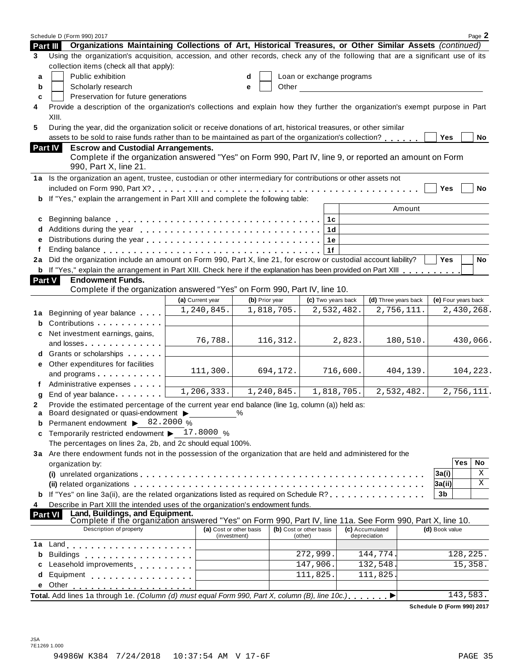|               | Schedule D (Form 990) 2017                                                                                                                                                                                                     |                         |                |                           |                 |                      |                     |          | Page 2     |
|---------------|--------------------------------------------------------------------------------------------------------------------------------------------------------------------------------------------------------------------------------|-------------------------|----------------|---------------------------|-----------------|----------------------|---------------------|----------|------------|
|               | Organizations Maintaining Collections of Art, Historical Treasures, or Other Similar Assets (continued)<br>Part III                                                                                                            |                         |                |                           |                 |                      |                     |          |            |
| 3             | Using the organization's acquisition, accession, and other records, check any of the following that are a significant use of its                                                                                               |                         |                |                           |                 |                      |                     |          |            |
|               | collection items (check all that apply):                                                                                                                                                                                       |                         |                |                           |                 |                      |                     |          |            |
| a             | Public exhibition                                                                                                                                                                                                              |                         |                | Loan or exchange programs |                 |                      |                     |          |            |
| b             | Scholarly research<br>Other<br>e                                                                                                                                                                                               |                         |                |                           |                 |                      |                     |          |            |
| c             | Preservation for future generations<br>Provide a description of the organization's collections and explain how they further the organization's exempt purpose in Part                                                          |                         |                |                           |                 |                      |                     |          |            |
| 4             |                                                                                                                                                                                                                                |                         |                |                           |                 |                      |                     |          |            |
|               | XIII.                                                                                                                                                                                                                          |                         |                |                           |                 |                      |                     |          |            |
| 5             | During the year, did the organization solicit or receive donations of art, historical treasures, or other similar                                                                                                              |                         |                |                           |                 |                      |                     |          |            |
|               | assets to be sold to raise funds rather than to be maintained as part of the organization's collection?                                                                                                                        |                         |                |                           |                 |                      | Yes                 |          | No         |
|               | <b>Escrow and Custodial Arrangements.</b><br>Part IV                                                                                                                                                                           |                         |                |                           |                 |                      |                     |          |            |
|               | Complete if the organization answered "Yes" on Form 990, Part IV, line 9, or reported an amount on Form                                                                                                                        |                         |                |                           |                 |                      |                     |          |            |
|               | 990, Part X, line 21.                                                                                                                                                                                                          |                         |                |                           |                 |                      |                     |          |            |
|               | 1a Is the organization an agent, trustee, custodian or other intermediary for contributions or other assets not                                                                                                                |                         |                |                           |                 |                      |                     |          |            |
|               |                                                                                                                                                                                                                                |                         |                |                           |                 |                      | Yes                 |          | No         |
|               | b If "Yes," explain the arrangement in Part XIII and complete the following table:                                                                                                                                             |                         |                |                           |                 |                      |                     |          |            |
|               |                                                                                                                                                                                                                                |                         |                |                           |                 | Amount               |                     |          |            |
| c             |                                                                                                                                                                                                                                |                         |                | 1c                        |                 |                      |                     |          |            |
|               |                                                                                                                                                                                                                                |                         |                | 1d                        |                 |                      |                     |          |            |
| е             |                                                                                                                                                                                                                                |                         |                | 1e                        |                 |                      |                     |          |            |
|               |                                                                                                                                                                                                                                |                         |                | 1f                        |                 |                      |                     |          |            |
|               | 2a Did the organization include an amount on Form 990, Part X, line 21, for escrow or custodial account liability?                                                                                                             |                         |                |                           |                 |                      | <b>Yes</b>          |          | No         |
|               | <b>b</b> If "Yes," explain the arrangement in Part XIII. Check here if the explanation has been provided on Part XIII                                                                                                          |                         |                |                           |                 |                      |                     |          |            |
| <b>Part V</b> | <b>Endowment Funds.</b>                                                                                                                                                                                                        |                         |                |                           |                 |                      |                     |          |            |
|               | Complete if the organization answered "Yes" on Form 990, Part IV, line 10.                                                                                                                                                     |                         |                |                           |                 |                      |                     |          |            |
|               |                                                                                                                                                                                                                                | (a) Current year        | (b) Prior year | (c) Two years back        |                 | (d) Three years back | (e) Four years back |          |            |
|               |                                                                                                                                                                                                                                | 1,240,845.              | 1,818,705.     |                           | 2,532,482.      | 2,756,111.           |                     |          | 2,430,268. |
| 1а            | Beginning of year balance                                                                                                                                                                                                      |                         |                |                           |                 |                      |                     |          |            |
| b             |                                                                                                                                                                                                                                |                         |                |                           |                 |                      |                     |          |            |
| c             | Net investment earnings, gains,                                                                                                                                                                                                | 76,788.                 | 116,312.       |                           | 2,823.          | 180,510.             |                     |          | 430,066.   |
|               | and losses                                                                                                                                                                                                                     |                         |                |                           |                 |                      |                     |          |            |
|               | d Grants or scholarships                                                                                                                                                                                                       |                         |                |                           |                 |                      |                     |          |            |
|               | e Other expenditures for facilities                                                                                                                                                                                            |                         |                |                           |                 |                      |                     |          |            |
|               | and programs                                                                                                                                                                                                                   | 111,300.                | 694,172.       |                           | 716,600.        | 404,139.             |                     |          | 104,223.   |
|               | Administrative expenses                                                                                                                                                                                                        |                         |                |                           |                 |                      |                     |          |            |
| g             | End of year balance expansion of year balance                                                                                                                                                                                  | 1, 206, 333.            | 1,240,845.     |                           | 1,818,705.      | 2,532,482.           |                     |          | 2,756,111. |
| 2             | Provide the estimated percentage of the current year end balance (line 1g, column (a)) held as:                                                                                                                                |                         |                |                           |                 |                      |                     |          |            |
| a             | Board designated or quasi-endowment >                                                                                                                                                                                          |                         | $\frac{0}{0}$  |                           |                 |                      |                     |          |            |
| b             | Permanent endowment > 82.2000 %                                                                                                                                                                                                |                         |                |                           |                 |                      |                     |          |            |
| c             | Temporarily restricted endowment $\blacktriangleright$ 17.8000 %                                                                                                                                                               |                         |                |                           |                 |                      |                     |          |            |
|               | The percentages on lines 2a, 2b, and 2c should equal 100%.                                                                                                                                                                     |                         |                |                           |                 |                      |                     |          |            |
|               | 3a Are there endowment funds not in the possession of the organization that are held and administered for the                                                                                                                  |                         |                |                           |                 |                      |                     |          |            |
|               | organization by:                                                                                                                                                                                                               |                         |                |                           |                 |                      |                     | Yes      | No         |
|               |                                                                                                                                                                                                                                |                         |                |                           |                 |                      | 3a(i)               |          | Χ          |
|               |                                                                                                                                                                                                                                |                         |                |                           |                 |                      | 3a(ii)              |          | Χ          |
|               | If "Yes" on line 3a(ii), are the related organizations listed as required on Schedule R?                                                                                                                                       |                         |                |                           |                 |                      | 3 <sub>b</sub>      |          |            |
| 4             | Describe in Part XIII the intended uses of the organization's endowment funds.                                                                                                                                                 |                         |                |                           |                 |                      |                     |          |            |
|               | Land, Buildings, and Equipment.<br><b>Part VI</b>                                                                                                                                                                              |                         |                |                           |                 |                      |                     |          |            |
|               | Complete if the organization answered "Yes" on Form 990, Part IV, line 11a. See Form 990, Part X, line 10.<br>Description of property                                                                                          | (a) Cost or other basis |                | (b) Cost or other basis   | (c) Accumulated |                      | (d) Book value      |          |            |
|               |                                                                                                                                                                                                                                | (investment)            |                | (other)                   | depreciation    |                      |                     |          |            |
| 1a            | Land experience and the series of the series of the series of the series of the series of the series of the series of the series of the series of the series of the series of the series of the series of the series of the se |                         |                |                           |                 |                      |                     |          |            |
| b             | <b>Buildings</b><br>.                                                                                                                                                                                                          |                         |                | 272,999.                  |                 | 144,774.             |                     | 128,225. |            |
| c             | Leasehold improvements [1, 1, 1, 1, 1, 1]                                                                                                                                                                                      |                         |                | 147,906.                  | 132,548.        |                      |                     | 15,358.  |            |
| d             | Equipment<br>.                                                                                                                                                                                                                 |                         |                | 111,825.                  | 111,825         |                      |                     |          |            |
| е             | Other                                                                                                                                                                                                                          |                         |                |                           |                 |                      |                     |          |            |
|               | Total. Add lines 1a through 1e. (Column (d) must equal Form 990, Part X, column (B), line 10c.),                                                                                                                               |                         |                |                           |                 | ▶                    |                     | 143,583. |            |
|               |                                                                                                                                                                                                                                |                         |                |                           |                 |                      |                     |          |            |

**Schedule D (Form 990) 2017**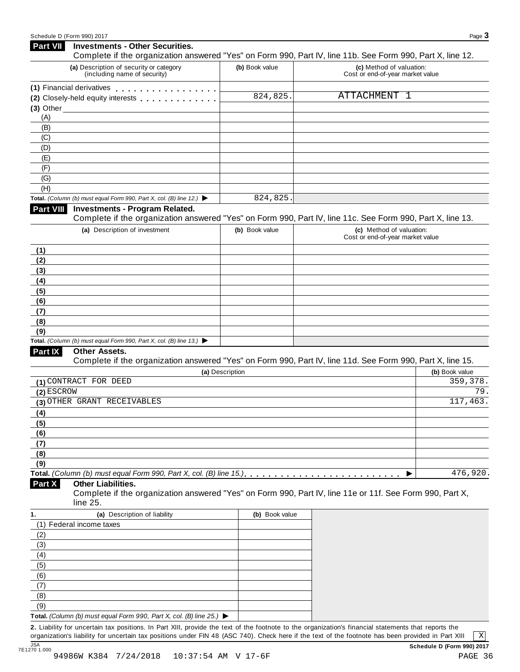| <b>Part VII</b>                             | <b>Investments - Other Securities.</b>                                                                    |                 | Complete if the organization answered "Yes" on Form 990, Part IV, line 11b. See Form 990, Part X, line 12. |
|---------------------------------------------|-----------------------------------------------------------------------------------------------------------|-----------------|------------------------------------------------------------------------------------------------------------|
|                                             | (a) Description of security or category<br>(including name of security)                                   | (b) Book value  | (c) Method of valuation:<br>Cost or end-of-year market value                                               |
|                                             | (1) Financial derivatives                                                                                 |                 |                                                                                                            |
|                                             | (2) Closely-held equity interests                                                                         | 824,825.        | <b>ATTACHMENT 1</b>                                                                                        |
| $(3)$ Other $\overline{\phantom{a}}$<br>(A) |                                                                                                           |                 |                                                                                                            |
| (B)                                         |                                                                                                           |                 |                                                                                                            |
| (C)                                         |                                                                                                           |                 |                                                                                                            |
| (D)                                         |                                                                                                           |                 |                                                                                                            |
| (E)                                         |                                                                                                           |                 |                                                                                                            |
| (F)                                         |                                                                                                           |                 |                                                                                                            |
| (G)                                         |                                                                                                           |                 |                                                                                                            |
| (H)                                         |                                                                                                           |                 |                                                                                                            |
|                                             | Total. (Column (b) must equal Form 990, Part X, col. (B) line 12.) $\blacktriangleright$                  | 824,825.        |                                                                                                            |
| Part VIII                                   | <b>Investments - Program Related.</b>                                                                     |                 | Complete if the organization answered "Yes" on Form 990, Part IV, line 11c. See Form 990, Part X, line 13. |
|                                             | (a) Description of investment                                                                             | (b) Book value  | (c) Method of valuation:<br>Cost or end-of-year market value                                               |
| (1)                                         |                                                                                                           |                 |                                                                                                            |
| (2)                                         |                                                                                                           |                 |                                                                                                            |
| (3)                                         |                                                                                                           |                 |                                                                                                            |
| (4)                                         |                                                                                                           |                 |                                                                                                            |
| (5)                                         |                                                                                                           |                 |                                                                                                            |
| (6)                                         |                                                                                                           |                 |                                                                                                            |
| (7)                                         |                                                                                                           |                 |                                                                                                            |
| (8)                                         |                                                                                                           |                 |                                                                                                            |
| (9)                                         |                                                                                                           |                 |                                                                                                            |
| Part IX                                     | Total. (Column (b) must equal Form 990, Part X, col. (B) line 13.) $\blacktriangleright$<br>Other Assets. |                 | Complete if the organization answered "Yes" on Form 990, Part IV, line 11d. See Form 990, Part X, line 15. |
|                                             |                                                                                                           | (a) Description | (b) Book value                                                                                             |
|                                             | (1) CONTRACT FOR DEED                                                                                     |                 | 359,378.                                                                                                   |
| (2) ESCROW                                  |                                                                                                           |                 |                                                                                                            |
|                                             | (3) OTHER GRANT RECEIVABLES                                                                               |                 | 117,463.                                                                                                   |
| (4)                                         |                                                                                                           |                 |                                                                                                            |
| (5)                                         |                                                                                                           |                 |                                                                                                            |
| (6)                                         |                                                                                                           |                 |                                                                                                            |
| (7)                                         |                                                                                                           |                 |                                                                                                            |
| (8)                                         |                                                                                                           |                 |                                                                                                            |
| (9)                                         |                                                                                                           |                 |                                                                                                            |
|                                             |                                                                                                           |                 | 476,920.                                                                                                   |
| Part X                                      | <b>Other Liabilities.</b><br>line 25.                                                                     |                 | Complete if the organization answered "Yes" on Form 990, Part IV, line 11e or 11f. See Form 990, Part X,   |
| 1.                                          | (a) Description of liability                                                                              | (b) Book value  |                                                                                                            |
|                                             | (1) Federal income taxes                                                                                  |                 |                                                                                                            |
| (2)                                         |                                                                                                           |                 |                                                                                                            |
| (3)                                         |                                                                                                           |                 |                                                                                                            |
| (4)                                         |                                                                                                           |                 |                                                                                                            |
| (5)                                         |                                                                                                           |                 |                                                                                                            |
| (6)                                         |                                                                                                           |                 |                                                                                                            |
| (7)                                         |                                                                                                           |                 |                                                                                                            |
| (8)                                         |                                                                                                           |                 |                                                                                                            |

**2.** Liability for uncertain tax positions. In Part XIII, provide the text of the footnote to the organization's financial statements that reports the organization's liability for uncertain tax positions under FIN 48 (ASC 740). Check here ifthe text of the footnote has been provided in Part XIII

**Total.** *(Column (b) must equal Form 990, Part X, col. (B) line 25.)* I

(9)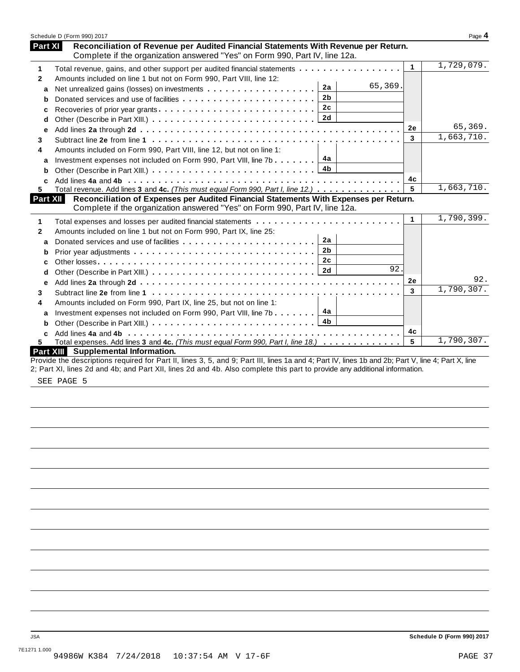|                 | Schedule D (Form 990) 2017                                                                                                                                                                |                | Page 4     |
|-----------------|-------------------------------------------------------------------------------------------------------------------------------------------------------------------------------------------|----------------|------------|
| <b>Part XI</b>  | Reconciliation of Revenue per Audited Financial Statements With Revenue per Return.<br>Complete if the organization answered "Yes" on Form 990, Part IV, line 12a.                        |                |            |
| 1               | Total revenue, gains, and other support per audited financial statements                                                                                                                  | 1              | 1,729,079. |
| $\mathbf{2}$    | Amounts included on line 1 but not on Form 990, Part VIII, line 12:                                                                                                                       |                |            |
| a               | 65,369.<br>2a                                                                                                                                                                             |                |            |
| b               | 2 <sub>b</sub>                                                                                                                                                                            |                |            |
| c               | 2c<br>Recoveries of prior year grants                                                                                                                                                     |                |            |
| d               |                                                                                                                                                                                           |                |            |
| е               |                                                                                                                                                                                           | 2e             | 65,369.    |
| 3               |                                                                                                                                                                                           | $\overline{3}$ | 1,663,710. |
| 4               | Amounts included on Form 990, Part VIII, line 12, but not on line 1:                                                                                                                      |                |            |
| a               | 4a<br>Investment expenses not included on Form 990, Part VIII, line 7b                                                                                                                    |                |            |
| b               | 4 <sub>b</sub>                                                                                                                                                                            |                |            |
| C               |                                                                                                                                                                                           | 4с             |            |
| 5               | Total revenue. Add lines 3 and 4c. (This must equal Form 990, Part I, line 12.)                                                                                                           | 5              | 1,663,710. |
| <b>Part XII</b> | Reconciliation of Expenses per Audited Financial Statements With Expenses per Return.<br>Complete if the organization answered "Yes" on Form 990, Part IV, line 12a.                      |                |            |
|                 |                                                                                                                                                                                           | $\mathbf{1}$   | 1,790,399. |
| 1               |                                                                                                                                                                                           |                |            |
| $\mathbf{2}$    | Amounts included on line 1 but not on Form 990, Part IX, line 25:<br>2a                                                                                                                   |                |            |
| a               | 2 <sub>b</sub>                                                                                                                                                                            |                |            |
| b               | 2c                                                                                                                                                                                        |                |            |
| c               | 92.                                                                                                                                                                                       |                |            |
| d               |                                                                                                                                                                                           | 2e             | 92.        |
| e               |                                                                                                                                                                                           | 3              | 1,790,307. |
| 3               |                                                                                                                                                                                           |                |            |
| 4               | Amounts included on Form 990, Part IX, line 25, but not on line 1:<br>4a                                                                                                                  |                |            |
| a               | Investment expenses not included on Form 990, Part VIII, line 7b<br>4b                                                                                                                    |                |            |
| b               |                                                                                                                                                                                           |                |            |
| C.              |                                                                                                                                                                                           | 4c<br>5        | 1,790,307. |
| 5.              | Total expenses. Add lines 3 and 4c. (This must equal Form 990, Part I, line 18.)                                                                                                          |                |            |
|                 | Part XIII Supplemental Information.<br>Provide the descriptions required for Part II, lines 3, 5, and 9; Part III, lines 1a and 4; Part IV, lines 1b and 2b; Part V, line 4; Part X, line |                |            |
|                 | 2; Part XI, lines 2d and 4b; and Part XII, lines 2d and 4b. Also complete this part to provide any additional information.                                                                |                |            |

SEE PAGE 5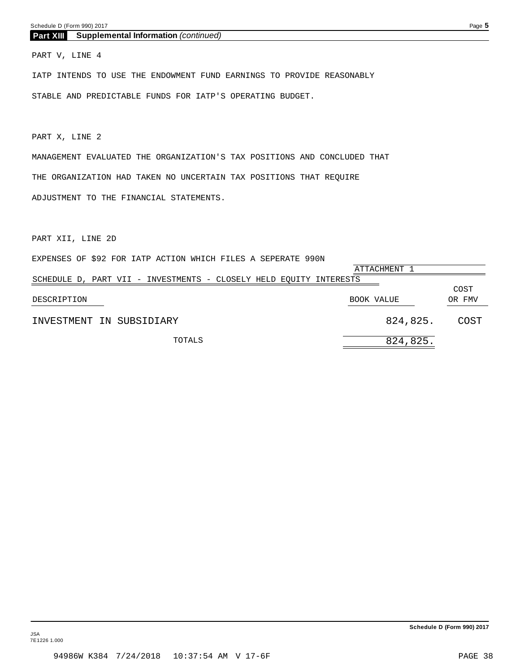#### <span id="page-35-0"></span>**Part XIII Supplemental Information** *(continued)*

PART V, LINE 4

IATP INTENDS TO USE THE ENDOWMENT FUND EARNINGS TO PROVIDE REASONABLY

STABLE AND PREDICTABLE FUNDS FOR IATP'S OPERATING BUDGET.

PART X, LINE 2

MANAGEMENT EVALUATED THE ORGANIZATION'S TAX POSITIONS AND CONCLUDED THAT THE ORGANIZATION HAD TAKEN NO UNCERTAIN TAX POSITIONS THAT REQUIRE ADJUSTMENT TO THE FINANCIAL STATEMENTS.

PART XII, LINE 2D

| EXPENSES OF \$92 FOR IATP ACTION WHICH FILES A SEPERATE 990N       |              |        |
|--------------------------------------------------------------------|--------------|--------|
|                                                                    | ATTACHMENT 1 |        |
| SCHEDULE D, PART VII - INVESTMENTS - CLOSELY HELD EOUITY INTERESTS |              |        |
|                                                                    |              | COST   |
| DESCRIPTION                                                        | BOOK VALUE   | OR FMV |
| INVESTMENT IN SUBSIDIARY                                           | 824,825.     | COST   |
| TOTALS                                                             | 824,825.     |        |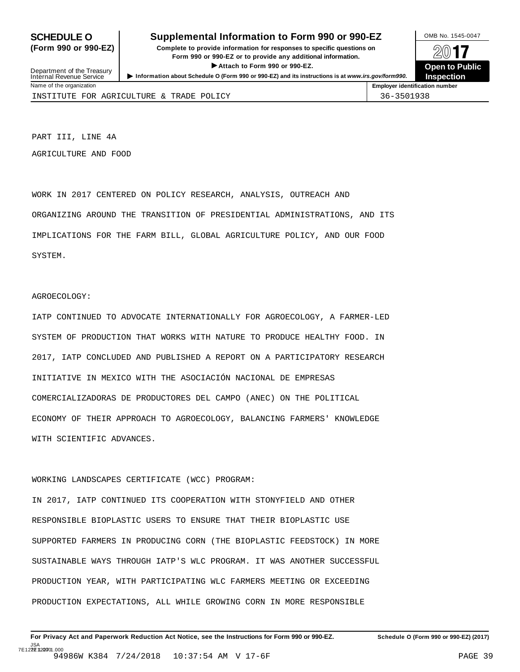## **SCHEDULE O** Supplemental Information to Form 990 or 990-EZ DOMB No. 1545-0047

**(Form 990 or 990-EZ) Complete to provide information for responses to specific questions on** plete to provide information for responses to specific questions on  $\Box$   $\Box$   $\Box$ **EXECTED TO PUBLIC 2012 CONSIDER**<br> **EXECTED EXECTED COPEN COPEN COPEN COPEN COPEN COPEN COPEN COPEN COPEN COPEN COPEN COPEN COPEN COPEN COPEN COPEN COPEN COPEN COPEN COPEN C** 



Department of the Treasury<br>Internal Revenue Service

PART III, LINE 4A

AGRICULTURE AND FOOD

WORK IN 2017 CENTERED ON POLICY RESEARCH, ANALYSIS, OUTREACH AND ORGANIZING AROUND THE TRANSITION OF PRESIDENTIAL ADMINISTRATIONS, AND ITS IMPLICATIONS FOR THE FARM BILL, GLOBAL AGRICULTURE POLICY, AND OUR FOOD SYSTEM.

#### AGROECOLOGY:

IATP CONTINUED TO ADVOCATE INTERNATIONALLY FOR AGROECOLOGY, A FARMER-LED SYSTEM OF PRODUCTION THAT WORKS WITH NATURE TO PRODUCE HEALTHY FOOD. IN 2017, IATP CONCLUDED AND PUBLISHED A REPORT ON A PARTICIPATORY RESEARCH INITIATIVE IN MEXICO WITH THE ASOCIACIÓN NACIONAL DE EMPRESAS COMERCIALIZADORAS DE PRODUCTORES DEL CAMPO (ANEC) ON THE POLITICAL ECONOMY OF THEIR APPROACH TO AGROECOLOGY, BALANCING FARMERS' KNOWLEDGE WITH SCIENTIFIC ADVANCES.

#### WORKING LANDSCAPES CERTIFICATE (WCC) PROGRAM:

IN 2017, IATP CONTINUED ITS COOPERATION WITH STONYFIELD AND OTHER RESPONSIBLE BIOPLASTIC USERS TO ENSURE THAT THEIR BIOPLASTIC USE SUPPORTED FARMERS IN PRODUCING CORN (THE BIOPLASTIC FEEDSTOCK) IN MORE SUSTAINABLE WAYS THROUGH IATP'S WLC PROGRAM. IT WAS ANOTHER SUCCESSFUL PRODUCTION YEAR, WITH PARTICIPATING WLC FARMERS MEETING OR EXCEEDING PRODUCTION EXPECTATIONS, ALL WHILE GROWING CORN IN MORE RESPONSIBLE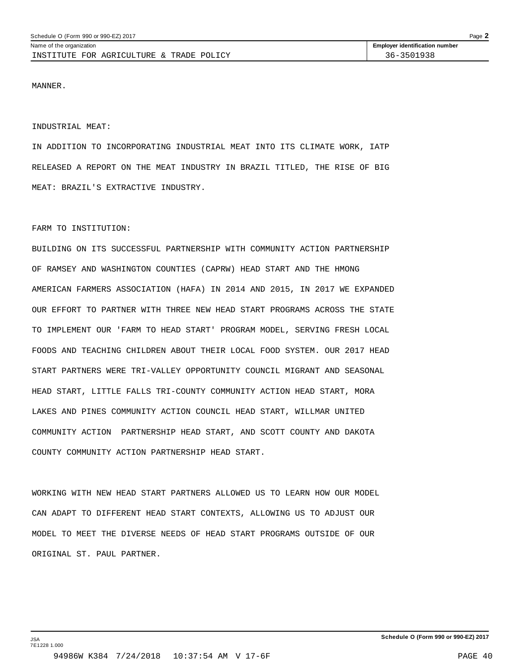MANNER.

#### INDUSTRIAL MEAT:

IN ADDITION TO INCORPORATING INDUSTRIAL MEAT INTO ITS CLIMATE WORK, IATP RELEASED A REPORT ON THE MEAT INDUSTRY IN BRAZIL TITLED, THE RISE OF BIG MEAT: BRAZIL'S EXTRACTIVE INDUSTRY.

#### FARM TO INSTITUTION:

BUILDING ON ITS SUCCESSFUL PARTNERSHIP WITH COMMUNITY ACTION PARTNERSHIP OF RAMSEY AND WASHINGTON COUNTIES (CAPRW) HEAD START AND THE HMONG AMERICAN FARMERS ASSOCIATION (HAFA) IN 2014 AND 2015, IN 2017 WE EXPANDED OUR EFFORT TO PARTNER WITH THREE NEW HEAD START PROGRAMS ACROSS THE STATE TO IMPLEMENT OUR 'FARM TO HEAD START' PROGRAM MODEL, SERVING FRESH LOCAL FOODS AND TEACHING CHILDREN ABOUT THEIR LOCAL FOOD SYSTEM. OUR 2017 HEAD START PARTNERS WERE TRI-VALLEY OPPORTUNITY COUNCIL MIGRANT AND SEASONAL HEAD START, LITTLE FALLS TRI-COUNTY COMMUNITY ACTION HEAD START, MORA LAKES AND PINES COMMUNITY ACTION COUNCIL HEAD START, WILLMAR UNITED COMMUNITY ACTION PARTNERSHIP HEAD START, AND SCOTT COUNTY AND DAKOTA COUNTY COMMUNITY ACTION PARTNERSHIP HEAD START.

WORKING WITH NEW HEAD START PARTNERS ALLOWED US TO LEARN HOW OUR MODEL CAN ADAPT TO DIFFERENT HEAD START CONTEXTS, ALLOWING US TO ADJUST OUR MODEL TO MEET THE DIVERSE NEEDS OF HEAD START PROGRAMS OUTSIDE OF OUR ORIGINAL ST. PAUL PARTNER.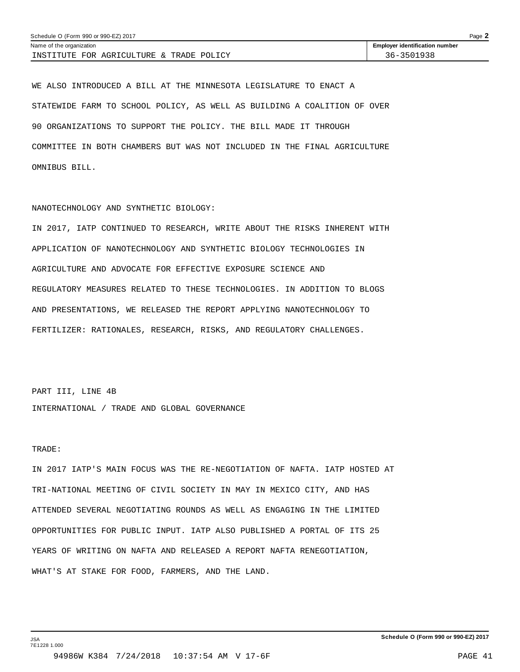| Schedule O (Form 990 or 990-EZ) 2017     |                                       | $Page \triangle$ |
|------------------------------------------|---------------------------------------|------------------|
| Name of the organization                 | <b>Employer identification number</b> |                  |
| INSTITUTE FOR AGRICULTURE & TRADE POLICY | 36-3501938                            |                  |

WE ALSO INTRODUCED A BILL AT THE MINNESOTA LEGISLATURE TO ENACT A STATEWIDE FARM TO SCHOOL POLICY, AS WELL AS BUILDING A COALITION OF OVER 90 ORGANIZATIONS TO SUPPORT THE POLICY. THE BILL MADE IT THROUGH COMMITTEE IN BOTH CHAMBERS BUT WAS NOT INCLUDED IN THE FINAL AGRICULTURE OMNIBUS BILL.

#### NANOTECHNOLOGY AND SYNTHETIC BIOLOGY:

IN 2017, IATP CONTINUED TO RESEARCH, WRITE ABOUT THE RISKS INHERENT WITH APPLICATION OF NANOTECHNOLOGY AND SYNTHETIC BIOLOGY TECHNOLOGIES IN AGRICULTURE AND ADVOCATE FOR EFFECTIVE EXPOSURE SCIENCE AND REGULATORY MEASURES RELATED TO THESE TECHNOLOGIES. IN ADDITION TO BLOGS AND PRESENTATIONS, WE RELEASED THE REPORT APPLYING NANOTECHNOLOGY TO FERTILIZER: RATIONALES, RESEARCH, RISKS, AND REGULATORY CHALLENGES.

PART III, LINE 4B

INTERNATIONAL / TRADE AND GLOBAL GOVERNANCE

#### TRADE:

IN 2017 IATP'S MAIN FOCUS WAS THE RE-NEGOTIATION OF NAFTA. IATP HOSTED AT TRI-NATIONAL MEETING OF CIVIL SOCIETY IN MAY IN MEXICO CITY, AND HAS ATTENDED SEVERAL NEGOTIATING ROUNDS AS WELL AS ENGAGING IN THE LIMITED OPPORTUNITIES FOR PUBLIC INPUT. IATP ALSO PUBLISHED A PORTAL OF ITS 25 YEARS OF WRITING ON NAFTA AND RELEASED A REPORT NAFTA RENEGOTIATION, WHAT'S AT STAKE FOR FOOD, FARMERS, AND THE LAND.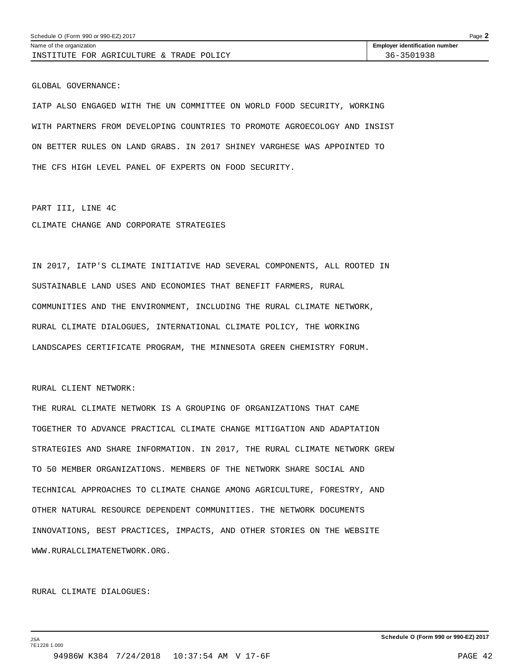GLOBAL GOVERNANCE:

IATP ALSO ENGAGED WITH THE UN COMMITTEE ON WORLD FOOD SECURITY, WORKING WITH PARTNERS FROM DEVELOPING COUNTRIES TO PROMOTE AGROECOLOGY AND INSIST ON BETTER RULES ON LAND GRABS. IN 2017 SHINEY VARGHESE WAS APPOINTED TO THE CFS HIGH LEVEL PANEL OF EXPERTS ON FOOD SECURITY.

PART III, LINE 4C CLIMATE CHANGE AND CORPORATE STRATEGIES

IN 2017, IATP'S CLIMATE INITIATIVE HAD SEVERAL COMPONENTS, ALL ROOTED IN SUSTAINABLE LAND USES AND ECONOMIES THAT BENEFIT FARMERS, RURAL COMMUNITIES AND THE ENVIRONMENT, INCLUDING THE RURAL CLIMATE NETWORK, RURAL CLIMATE DIALOGUES, INTERNATIONAL CLIMATE POLICY, THE WORKING LANDSCAPES CERTIFICATE PROGRAM, THE MINNESOTA GREEN CHEMISTRY FORUM.

#### RURAL CLIENT NETWORK:

THE RURAL CLIMATE NETWORK IS A GROUPING OF ORGANIZATIONS THAT CAME TOGETHER TO ADVANCE PRACTICAL CLIMATE CHANGE MITIGATION AND ADAPTATION STRATEGIES AND SHARE INFORMATION. IN 2017, THE RURAL CLIMATE NETWORK GREW TO 50 MEMBER ORGANIZATIONS. MEMBERS OF THE NETWORK SHARE SOCIAL AND TECHNICAL APPROACHES TO CLIMATE CHANGE AMONG AGRICULTURE, FORESTRY, AND OTHER NATURAL RESOURCE DEPENDENT COMMUNITIES. THE NETWORK DOCUMENTS INNOVATIONS, BEST PRACTICES, IMPACTS, AND OTHER STORIES ON THE WEBSITE WWW.RURALCLIMATENETWORK.ORG.

RURAL CLIMATE DIALOGUES: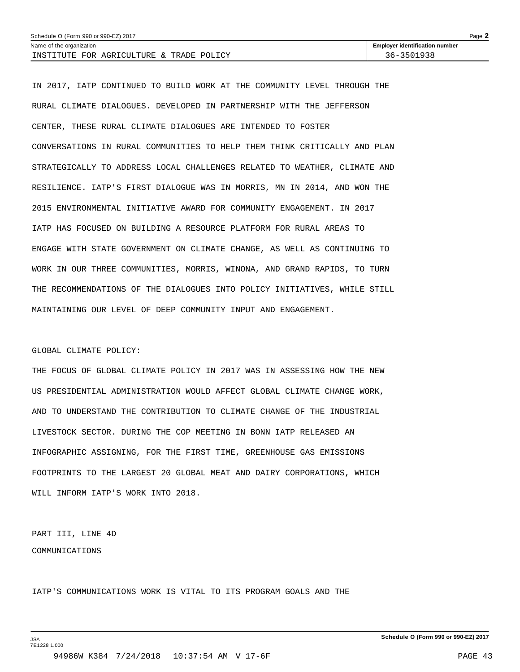| Schedule O (Form 990 or 990-EZ) 2017     | $P$ age $\blacktriangle$              |
|------------------------------------------|---------------------------------------|
| Name of the organization                 | <b>Employer identification number</b> |
| INSTITUTE FOR AGRICULTURE & TRADE POLICY | 36-3501938                            |

IN 2017, IATP CONTINUED TO BUILD WORK AT THE COMMUNITY LEVEL THROUGH THE RURAL CLIMATE DIALOGUES. DEVELOPED IN PARTNERSHIP WITH THE JEFFERSON CENTER, THESE RURAL CLIMATE DIALOGUES ARE INTENDED TO FOSTER CONVERSATIONS IN RURAL COMMUNITIES TO HELP THEM THINK CRITICALLY AND PLAN STRATEGICALLY TO ADDRESS LOCAL CHALLENGES RELATED TO WEATHER, CLIMATE AND RESILIENCE. IATP'S FIRST DIALOGUE WAS IN MORRIS, MN IN 2014, AND WON THE 2015 ENVIRONMENTAL INITIATIVE AWARD FOR COMMUNITY ENGAGEMENT. IN 2017 IATP HAS FOCUSED ON BUILDING A RESOURCE PLATFORM FOR RURAL AREAS TO ENGAGE WITH STATE GOVERNMENT ON CLIMATE CHANGE, AS WELL AS CONTINUING TO WORK IN OUR THREE COMMUNITIES, MORRIS, WINONA, AND GRAND RAPIDS, TO TURN THE RECOMMENDATIONS OF THE DIALOGUES INTO POLICY INITIATIVES, WHILE STILL MAINTAINING OUR LEVEL OF DEEP COMMUNITY INPUT AND ENGAGEMENT.

#### GLOBAL CLIMATE POLICY:

THE FOCUS OF GLOBAL CLIMATE POLICY IN 2017 WAS IN ASSESSING HOW THE NEW US PRESIDENTIAL ADMINISTRATION WOULD AFFECT GLOBAL CLIMATE CHANGE WORK, AND TO UNDERSTAND THE CONTRIBUTION TO CLIMATE CHANGE OF THE INDUSTRIAL LIVESTOCK SECTOR. DURING THE COP MEETING IN BONN IATP RELEASED AN INFOGRAPHIC ASSIGNING, FOR THE FIRST TIME, GREENHOUSE GAS EMISSIONS FOOTPRINTS TO THE LARGEST 20 GLOBAL MEAT AND DAIRY CORPORATIONS, WHICH WILL INFORM IATP'S WORK INTO 2018.

PART III, LINE 4D COMMUNICATIONS

IATP'S COMMUNICATIONS WORK IS VITAL TO ITS PROGRAM GOALS AND THE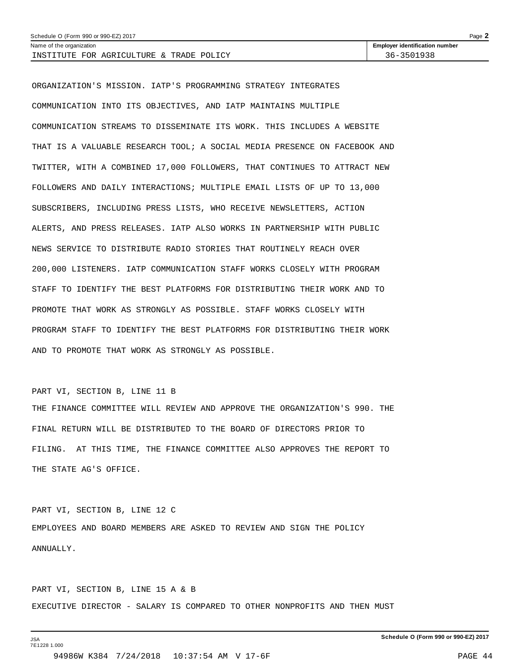| Schedule O (Form 990 or 990-EZ) 2017     | Page $\blacktriangle$                 |  |
|------------------------------------------|---------------------------------------|--|
| Name of the organization                 | <b>Employer identification number</b> |  |
| INSTITUTE FOR AGRICULTURE & TRADE POLICY | 36-3501938                            |  |

ORGANIZATION'S MISSION. IATP'S PROGRAMMING STRATEGY INTEGRATES COMMUNICATION INTO ITS OBJECTIVES, AND IATP MAINTAINS MULTIPLE COMMUNICATION STREAMS TO DISSEMINATE ITS WORK. THIS INCLUDES A WEBSITE THAT IS A VALUABLE RESEARCH TOOL; A SOCIAL MEDIA PRESENCE ON FACEBOOK AND TWITTER, WITH A COMBINED 17,000 FOLLOWERS, THAT CONTINUES TO ATTRACT NEW FOLLOWERS AND DAILY INTERACTIONS; MULTIPLE EMAIL LISTS OF UP TO 13,000 SUBSCRIBERS, INCLUDING PRESS LISTS, WHO RECEIVE NEWSLETTERS, ACTION ALERTS, AND PRESS RELEASES. IATP ALSO WORKS IN PARTNERSHIP WITH PUBLIC NEWS SERVICE TO DISTRIBUTE RADIO STORIES THAT ROUTINELY REACH OVER 200,000 LISTENERS. IATP COMMUNICATION STAFF WORKS CLOSELY WITH PROGRAM STAFF TO IDENTIFY THE BEST PLATFORMS FOR DISTRIBUTING THEIR WORK AND TO PROMOTE THAT WORK AS STRONGLY AS POSSIBLE. STAFF WORKS CLOSELY WITH PROGRAM STAFF TO IDENTIFY THE BEST PLATFORMS FOR DISTRIBUTING THEIR WORK AND TO PROMOTE THAT WORK AS STRONGLY AS POSSIBLE.

PART VI, SECTION B, LINE 11 B THE FINANCE COMMITTEE WILL REVIEW AND APPROVE THE ORGANIZATION'S 990. THE FINAL RETURN WILL BE DISTRIBUTED TO THE BOARD OF DIRECTORS PRIOR TO FILING. AT THIS TIME, THE FINANCE COMMITTEE ALSO APPROVES THE REPORT TO THE STATE AG'S OFFICE.

PART VI, SECTION B, LINE 12 C EMPLOYEES AND BOARD MEMBERS ARE ASKED TO REVIEW AND SIGN THE POLICY ANNUALLY.

PART VI, SECTION B, LINE 15 A & B EXECUTIVE DIRECTOR - SALARY IS COMPARED TO OTHER NONPROFITS AND THEN MUST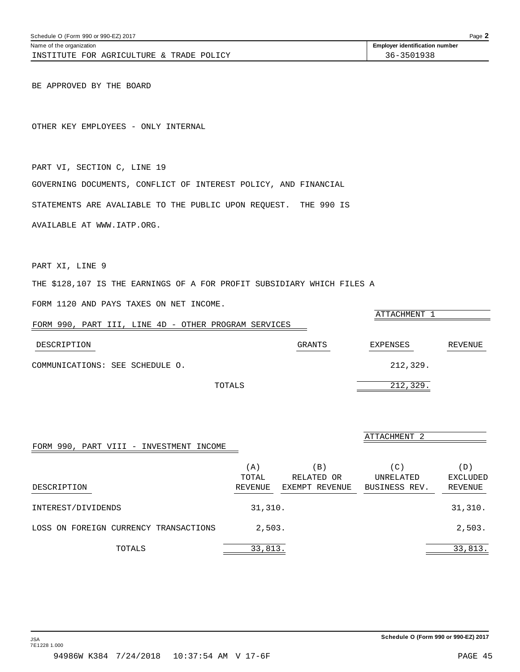<span id="page-42-0"></span>

| -EZ) 2017<br>$\sim$<br>990-E.<br>schedule<br>(Form 990 | Page                                             |
|--------------------------------------------------------|--------------------------------------------------|
| Name<br>organization<br>the                            | $- - -$<br><b>Employer identification number</b> |

INSTITUTE FOR AGRICULTURE & TRADE POLICY  $\vert$  36-3501938

BE APPROVED BY THE BOARD

OTHER KEY EMPLOYEES - ONLY INTERNAL

PART VI, SECTION C, LINE 19

GOVERNING DOCUMENTS, CONFLICT OF INTEREST POLICY, AND FINANCIAL

STATEMENTS ARE AVALIABLE TO THE PUBLIC UPON REQUEST. THE 990 IS

AVAILABLE AT WWW.IATP.ORG.

PART XI, LINE 9

THE \$128,107 IS THE EARNINGS OF A FOR PROFIT SUBSIDIARY WHICH FILES A

FORM 1120 AND PAYS TAXES ON NET INCOME.

|                                                      |        | ATTACHMENT 1 |         |
|------------------------------------------------------|--------|--------------|---------|
| FORM 990, PART III, LINE 4D - OTHER PROGRAM SERVICES |        |              |         |
| DESCRIPTION                                          | GRANTS | EXPENSES     | REVENUE |
| COMMUNICATIONS: SEE SCHEDULE O.                      |        | 212,329.     |         |
| TOTALS                                               |        | 212,329.     |         |

| FORM 990, PART VIII - INVESTMENT INCOME |                        |                                        | ATTACHMENT 2                             |                                   |
|-----------------------------------------|------------------------|----------------------------------------|------------------------------------------|-----------------------------------|
| DESCRIPTION                             | A)<br>TOTAL<br>REVENUE | $\Box$<br>RELATED OR<br>EXEMPT REVENUE | (C)<br><b>UNRELATED</b><br>BUSINESS REV. | (D)<br><b>EXCLUDED</b><br>REVENUE |
| INTEREST/DIVIDENDS                      | 31,310.                |                                        |                                          | 31,310.                           |
| LOSS ON FOREIGN CURRENCY TRANSACTIONS   | 2,503.                 |                                        |                                          | 2,503.                            |
| TOTALS                                  | 33,813.                |                                        |                                          | 33,813.                           |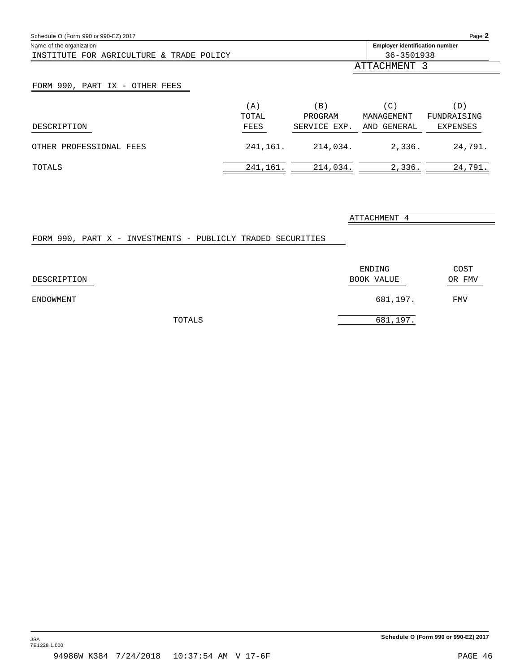<span id="page-43-0"></span>

| Schedule O (Form 990 or 990-EZ) 2017     |          |              |                                | Page 2      |
|------------------------------------------|----------|--------------|--------------------------------|-------------|
| Name of the organization                 |          |              | Employer identification number |             |
| INSTITUTE FOR AGRICULTURE & TRADE POLICY |          |              | 36-3501938                     |             |
|                                          |          |              | ATTACHMENT 3                   |             |
| FORM 990, PART IX - OTHER FEES           |          |              |                                |             |
|                                          | (A)      | (B)          | (C)                            | (D)         |
|                                          | TOTAL    | PROGRAM      | MANAGEMENT                     | FUNDRAISING |
| DESCRIPTION                              | FEES     | SERVICE EXP. | AND GENERAL                    | EXPENSES    |
| OTHER PROFESSIONAL FEES                  | 241,161. | 214,034.     | 2,336.                         | 24,791.     |
| TOTALS                                   | 241,161. | 214,034.     | 2,336.                         | 24,791.     |

ATTACHMENT 4

## FORM 990, PART X - INVESTMENTS - PUBLICLY TRADED SECURITIES

| DESCRIPTION |        | ENDING<br>BOOK VALUE | COST<br>OR FMV |
|-------------|--------|----------------------|----------------|
| ENDOWMENT   |        | 681,197.             | FMV            |
|             | TOTALS | 681,197.             |                |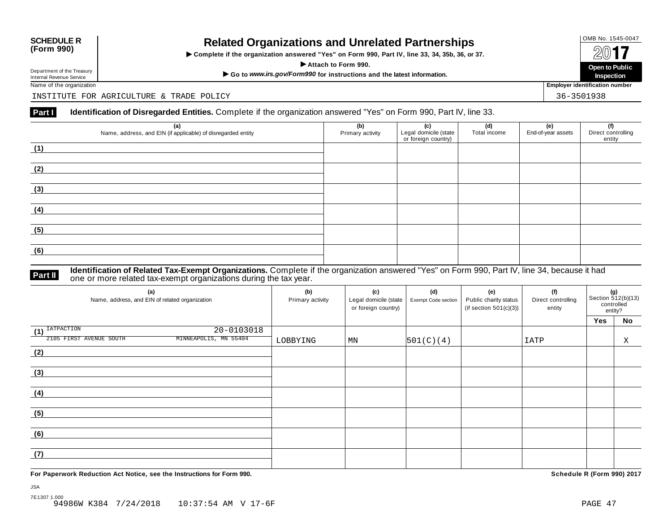## OMB No. 1545-0047 **SCHEDULE R (Form 990) Related Organizations and Unrelated Partnerships**

 $\triangleright$  Complete if the organization answered "Yes" on Form 990, Part IV, line 33, 34, 35b, 36, or 37. IP Attach to Form 990, Part IV, line 33, 34, 35b, 36, or 37.

**Inspection**

Department of the Treasury<br>Internal Revenue Service Department of the Treasury Department of the Treasury Depart to Public<br>
Internal Revenue Service Inspection<br>
Name of the organization **inspection**<br>
Name of the organization

INSTITUTE FOR AGRICULTURE & TRADE POLICY 36-3501938

#### **Part I Identification of Disregarded Entities.** Complete if the organization answered "Yes" on Form 990, Part IV, line 33.

| (a)<br>Name, address, and EIN (if applicable) of disregarded entity | (b)<br>Primary activity | (c)<br>Legal domicile (state<br>or foreign country) | (d)<br>Total income | (e)<br>End-of-year assets | (f)<br>Direct controlling<br>entity |
|---------------------------------------------------------------------|-------------------------|-----------------------------------------------------|---------------------|---------------------------|-------------------------------------|
| (1)                                                                 |                         |                                                     |                     |                           |                                     |
|                                                                     |                         |                                                     |                     |                           |                                     |
| (2)                                                                 |                         |                                                     |                     |                           |                                     |
|                                                                     |                         |                                                     |                     |                           |                                     |
| (3)                                                                 |                         |                                                     |                     |                           |                                     |
|                                                                     |                         |                                                     |                     |                           |                                     |
| (4)                                                                 |                         |                                                     |                     |                           |                                     |
|                                                                     |                         |                                                     |                     |                           |                                     |
| (5)                                                                 |                         |                                                     |                     |                           |                                     |
|                                                                     |                         |                                                     |                     |                           |                                     |
| (6)                                                                 |                         |                                                     |                     |                           |                                     |
|                                                                     |                         |                                                     |                     |                           |                                     |

**Identification of Related Tax-Exempt Organizations.** Complete if the organization answered "Yes" on Form 990, Part IV, line 34, because it had **Part II** one or more related tax-exempt organizations during the tax year.

| (a)<br>Name, address, and EIN of related organization | (b)<br>Primary activity | (c)<br>Legal domicile (state<br>or foreign country) | (d)<br>Exempt Code section | (e)<br>Public charity status<br>(if section $501(c)(3)$ ) | (f)<br>Direct controlling<br>entity | (g)<br>Section $\frac{3}{12(b)(13)}$<br>controlled<br>entity? |    |
|-------------------------------------------------------|-------------------------|-----------------------------------------------------|----------------------------|-----------------------------------------------------------|-------------------------------------|---------------------------------------------------------------|----|
|                                                       |                         |                                                     |                            |                                                           |                                     | Yes                                                           | No |
| <b>IATPACTION</b><br>20-0103018<br>(1)                |                         |                                                     |                            |                                                           |                                     |                                                               |    |
| MINNEAPOLIS, MN 55404<br>2105 FIRST AVENUE SOUTH      | LOBBYING                | MN                                                  | 501(C)(4)                  |                                                           | <b>IATP</b>                         |                                                               | Χ  |
| (2)                                                   |                         |                                                     |                            |                                                           |                                     |                                                               |    |
|                                                       |                         |                                                     |                            |                                                           |                                     |                                                               |    |
| (3)                                                   |                         |                                                     |                            |                                                           |                                     |                                                               |    |
|                                                       |                         |                                                     |                            |                                                           |                                     |                                                               |    |
| (4)                                                   |                         |                                                     |                            |                                                           |                                     |                                                               |    |
|                                                       |                         |                                                     |                            |                                                           |                                     |                                                               |    |
| (5)                                                   |                         |                                                     |                            |                                                           |                                     |                                                               |    |
|                                                       |                         |                                                     |                            |                                                           |                                     |                                                               |    |
| (6)                                                   |                         |                                                     |                            |                                                           |                                     |                                                               |    |
|                                                       |                         |                                                     |                            |                                                           |                                     |                                                               |    |
| (7)                                                   |                         |                                                     |                            |                                                           |                                     |                                                               |    |
|                                                       |                         |                                                     |                            |                                                           |                                     |                                                               |    |

**For Paperwork Reduction Act Notice, see the Instructions for Form 990. Schedule R (Form 990) 2017**

JSA

7E1307 1.000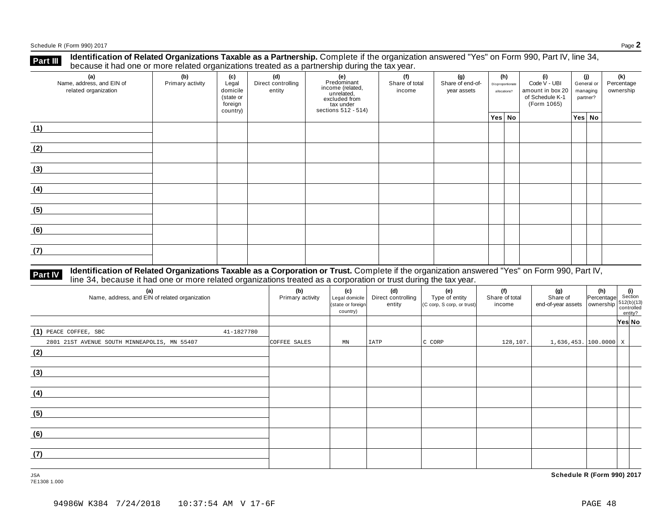Schedule <sup>R</sup> (Form 990) <sup>2017</sup> Page **2**

**Part III** Identification of Related Organizations Taxable as a Partnership. Complete if the organization answered "Yes" on Form 990, Part IV, line 34,<br>because it had one or more related organizations treated as a partners

| (a)<br>Name, address, and EIN of<br>related organization | ັ<br>(b)<br>Primary activity | (c)<br>Legal<br>domicile<br>(state or<br>foreign<br>country) | .<br>(d)<br>Direct controlling<br>entity | ັ<br>(e)<br>Predominant<br>Frecommant<br>income (related,<br>unrelated,<br>excluded from<br>sections 512 - 514) | (f)<br>Share of total<br>income | (g)<br>Share of end-of-<br>year assets | (h)<br>Disproportionate<br>allocations? | (i)<br>Code V - UBI<br>amount in box 20<br>of Schedule K-1<br>(Form 1065) | (j)<br>General or<br>managing<br>partner? | (k)<br>Percentage<br>ownership |
|----------------------------------------------------------|------------------------------|--------------------------------------------------------------|------------------------------------------|-----------------------------------------------------------------------------------------------------------------|---------------------------------|----------------------------------------|-----------------------------------------|---------------------------------------------------------------------------|-------------------------------------------|--------------------------------|
|                                                          |                              |                                                              |                                          |                                                                                                                 |                                 |                                        | Yes No                                  |                                                                           | Yes No                                    |                                |
| (1)                                                      |                              |                                                              |                                          |                                                                                                                 |                                 |                                        |                                         |                                                                           |                                           |                                |
| (2)                                                      |                              |                                                              |                                          |                                                                                                                 |                                 |                                        |                                         |                                                                           |                                           |                                |
| (3)                                                      |                              |                                                              |                                          |                                                                                                                 |                                 |                                        |                                         |                                                                           |                                           |                                |
| (4)                                                      |                              |                                                              |                                          |                                                                                                                 |                                 |                                        |                                         |                                                                           |                                           |                                |
| (5)                                                      |                              |                                                              |                                          |                                                                                                                 |                                 |                                        |                                         |                                                                           |                                           |                                |
| (6)                                                      |                              |                                                              |                                          |                                                                                                                 |                                 |                                        |                                         |                                                                           |                                           |                                |
| (7)                                                      |                              |                                                              |                                          |                                                                                                                 |                                 |                                        |                                         |                                                                           |                                           |                                |

# **Part IV** Identification of Related Organizations Taxable as a Corporation or Trust. Complete if the organization answered "Yes" on Form 990, Part IV,<br>line 34, because it had one or more related organizations treated as a

| (a)<br>Name, address, and EIN of related organization | (b)<br>Primary activity | (c)<br>Legal domicile<br>(state or foreign)<br>country) | (d)<br>Direct controlling<br>entity | (e)<br>Type of entity<br>(C corp, S corp, or trust) | (f)<br>Share of total<br>income | (g)<br>Share of<br>$\left  \begin{array}{c} 0 & 0 & 0 \\ 0 & 0 & 0 \\ 0 & 0 & 0 \end{array} \right $ and-of-year assets $\left  \begin{array}{c} 0 & 0 & 0 \\ 0 & 0 & 0 \\ 0 & 0 & 0 \end{array} \right $ controlled | (h)<br>Percentage | (i)<br>Section<br>entity? |  |
|-------------------------------------------------------|-------------------------|---------------------------------------------------------|-------------------------------------|-----------------------------------------------------|---------------------------------|----------------------------------------------------------------------------------------------------------------------------------------------------------------------------------------------------------------------|-------------------|---------------------------|--|
|                                                       |                         |                                                         |                                     |                                                     |                                 |                                                                                                                                                                                                                      |                   | Yes No                    |  |
| (1) PEACE COFFEE, SBC<br>41-1827780                   |                         |                                                         |                                     |                                                     |                                 |                                                                                                                                                                                                                      |                   |                           |  |
| 2801 21ST AVENUE SOUTH MINNEAPOLIS, MN 55407          | COFFEE SALES            | MN                                                      | IATP                                | C CORP                                              | 128,107.                        | $1,636,453.$ $ 100.0000 $ X                                                                                                                                                                                          |                   |                           |  |
| (2)                                                   |                         |                                                         |                                     |                                                     |                                 |                                                                                                                                                                                                                      |                   |                           |  |
|                                                       |                         |                                                         |                                     |                                                     |                                 |                                                                                                                                                                                                                      |                   |                           |  |
| (3)                                                   |                         |                                                         |                                     |                                                     |                                 |                                                                                                                                                                                                                      |                   |                           |  |
|                                                       |                         |                                                         |                                     |                                                     |                                 |                                                                                                                                                                                                                      |                   |                           |  |
| (4)                                                   |                         |                                                         |                                     |                                                     |                                 |                                                                                                                                                                                                                      |                   |                           |  |
|                                                       |                         |                                                         |                                     |                                                     |                                 |                                                                                                                                                                                                                      |                   |                           |  |
| (5)                                                   |                         |                                                         |                                     |                                                     |                                 |                                                                                                                                                                                                                      |                   |                           |  |
|                                                       |                         |                                                         |                                     |                                                     |                                 |                                                                                                                                                                                                                      |                   |                           |  |
| (6)                                                   |                         |                                                         |                                     |                                                     |                                 |                                                                                                                                                                                                                      |                   |                           |  |
|                                                       |                         |                                                         |                                     |                                                     |                                 |                                                                                                                                                                                                                      |                   |                           |  |
| (7)                                                   |                         |                                                         |                                     |                                                     |                                 |                                                                                                                                                                                                                      |                   |                           |  |
|                                                       |                         |                                                         |                                     |                                                     |                                 |                                                                                                                                                                                                                      |                   |                           |  |

7E1308 1.000

JSA **Schedule R (Form 990) 2017**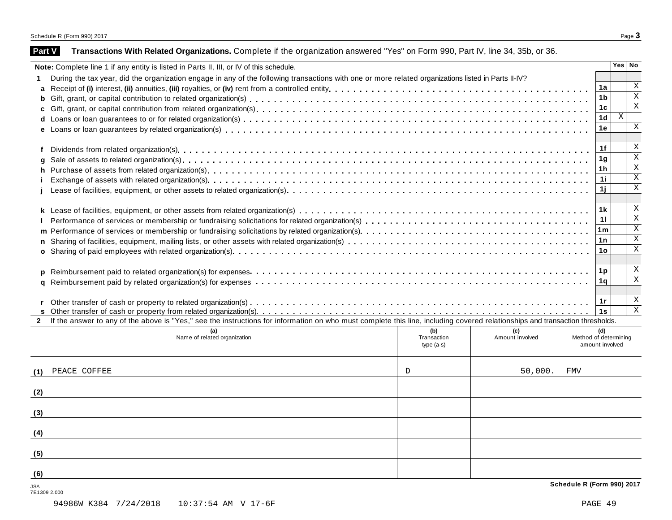| <b>Part V</b>       | Transactions With Related Organizations. Complete if the organization answered "Yes" on Form 990, Part IV, line 34, 35b, or 36.                                              |                                   |                        |                                          |                |              |                         |
|---------------------|------------------------------------------------------------------------------------------------------------------------------------------------------------------------------|-----------------------------------|------------------------|------------------------------------------|----------------|--------------|-------------------------|
|                     | Note: Complete line 1 if any entity is listed in Parts II, III, or IV of this schedule.                                                                                      |                                   |                        |                                          |                | Yes No       |                         |
|                     | During the tax year, did the organization engage in any of the following transactions with one or more related organizations listed in Parts II-IV?                          |                                   |                        |                                          |                |              |                         |
| a                   |                                                                                                                                                                              |                                   |                        |                                          | 1a             |              | Χ                       |
| b                   |                                                                                                                                                                              |                                   |                        |                                          | 1 <sub>b</sub> |              | $\mathbf X$             |
| C                   |                                                                                                                                                                              |                                   |                        |                                          | 1 <sub>c</sub> |              | $\mathbf X$             |
| d                   |                                                                                                                                                                              |                                   |                        |                                          | 1 <sub>d</sub> | $\mathbf{X}$ |                         |
|                     |                                                                                                                                                                              |                                   |                        |                                          | 1e             |              | Χ                       |
| f                   |                                                                                                                                                                              |                                   |                        |                                          | 1f             |              | Χ                       |
| g                   |                                                                                                                                                                              |                                   |                        |                                          | 1 <sub>g</sub> |              | $\overline{\mathbf{x}}$ |
| h                   |                                                                                                                                                                              |                                   |                        |                                          | 1 <sub>h</sub> |              | $\overline{\mathbf{x}}$ |
|                     |                                                                                                                                                                              |                                   |                        |                                          | 11             |              | $\mathbf X$             |
|                     |                                                                                                                                                                              |                                   |                        |                                          | 1j             |              | $\mathbf X$             |
|                     |                                                                                                                                                                              |                                   |                        |                                          | 1k             |              | Χ                       |
|                     |                                                                                                                                                                              |                                   |                        |                                          | 11             |              | $\overline{\mathbf{x}}$ |
| m                   |                                                                                                                                                                              |                                   |                        |                                          | 1 <sub>m</sub> |              | $\mathbf X$             |
| n                   |                                                                                                                                                                              |                                   |                        |                                          | 1n             |              | $\mathbf X$             |
|                     |                                                                                                                                                                              |                                   |                        |                                          | 1o             |              | $\mathbf X$             |
|                     |                                                                                                                                                                              |                                   |                        |                                          |                |              |                         |
| р                   |                                                                                                                                                                              |                                   |                        |                                          | 1 <sub>p</sub> |              | Χ<br>$\mathbf X$        |
| a                   |                                                                                                                                                                              |                                   |                        |                                          | 1q             |              |                         |
|                     |                                                                                                                                                                              |                                   |                        |                                          | 1r             |              | Χ                       |
|                     |                                                                                                                                                                              |                                   |                        |                                          | 1s             |              | $\mathbf X$             |
| $\mathbf{2}$        | If the answer to any of the above is "Yes," see the instructions for information on who must complete this line, including covered relationships and transaction thresholds. |                                   |                        |                                          |                |              |                         |
|                     | (a)<br>Name of related organization                                                                                                                                          | (b)<br>Transaction<br>$type(a-s)$ | (c)<br>Amount involved | Method of determining<br>amount involved | (d)            |              |                         |
| (1)                 | PEACE COFFEE                                                                                                                                                                 | D                                 | 50,000.                | <b>FMV</b>                               |                |              |                         |
| (2)                 |                                                                                                                                                                              |                                   |                        |                                          |                |              |                         |
| (3)                 |                                                                                                                                                                              |                                   |                        |                                          |                |              |                         |
| (4)                 |                                                                                                                                                                              |                                   |                        |                                          |                |              |                         |
| (5)                 |                                                                                                                                                                              |                                   |                        |                                          |                |              |                         |
| (6)                 |                                                                                                                                                                              |                                   |                        |                                          |                |              |                         |
| JSA<br>7E1309 2.000 |                                                                                                                                                                              |                                   |                        | Schedule R (Form 990) 2017               |                |              |                         |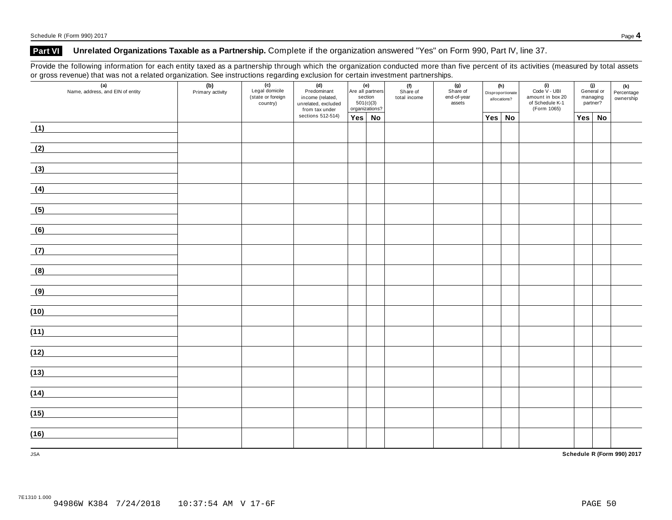## **Part VI Unrelated Organizations Taxable as a Partnership.** Complete if the organization answered "Yes" on Form 990, Part IV, line 37.

Provide the following information for each entity taxed as a partnership through which the organization conducted more than five percent of its activities (measured by total assets or gross revenue) that was not a related organization. See instructions regarding exclusion for certain investment partnerships.

| ັ<br>$\mathbf{z}$<br>(a)<br>Name, address, and EIN of entity | ັ<br>(b)<br>Primary activity | ັ<br>(c)<br>Legal domicile<br>(state or foreign<br>country) | ັ<br>(d)<br>Predominant<br>income (related,<br>unrelated, excluded<br>from tax under | (e)<br>Are all partners<br>section<br>501(c)(3)<br>organizations? |  | . .<br>(f)<br>Share of<br>total income | . .<br>(g)<br>Share of<br>end-of-year<br>assets | (h)<br>Disproportionate<br>allocations? |        | $(i)$<br>Code $\vee$ - UBI<br>amount in box 20<br>of Schedule K-1<br>(Form 1065) | (j)<br>General or<br>managing<br>partner? |    | (k)<br>Percentage<br>ownership |
|--------------------------------------------------------------|------------------------------|-------------------------------------------------------------|--------------------------------------------------------------------------------------|-------------------------------------------------------------------|--|----------------------------------------|-------------------------------------------------|-----------------------------------------|--------|----------------------------------------------------------------------------------|-------------------------------------------|----|--------------------------------|
|                                                              |                              |                                                             | sections 512-514)                                                                    | Yes No                                                            |  |                                        |                                                 |                                         | Yes No |                                                                                  | Yes                                       | No |                                |
| (1)                                                          |                              |                                                             |                                                                                      |                                                                   |  |                                        |                                                 |                                         |        |                                                                                  |                                           |    |                                |
| (2)                                                          |                              |                                                             |                                                                                      |                                                                   |  |                                        |                                                 |                                         |        |                                                                                  |                                           |    |                                |
| (3)                                                          |                              |                                                             |                                                                                      |                                                                   |  |                                        |                                                 |                                         |        |                                                                                  |                                           |    |                                |
| (4)                                                          |                              |                                                             |                                                                                      |                                                                   |  |                                        |                                                 |                                         |        |                                                                                  |                                           |    |                                |
| (5)                                                          |                              |                                                             |                                                                                      |                                                                   |  |                                        |                                                 |                                         |        |                                                                                  |                                           |    |                                |
| (6)                                                          |                              |                                                             |                                                                                      |                                                                   |  |                                        |                                                 |                                         |        |                                                                                  |                                           |    |                                |
| (7)                                                          |                              |                                                             |                                                                                      |                                                                   |  |                                        |                                                 |                                         |        |                                                                                  |                                           |    |                                |
| (8)                                                          |                              |                                                             |                                                                                      |                                                                   |  |                                        |                                                 |                                         |        |                                                                                  |                                           |    |                                |
| (9)                                                          |                              |                                                             |                                                                                      |                                                                   |  |                                        |                                                 |                                         |        |                                                                                  |                                           |    |                                |
| (10)                                                         |                              |                                                             |                                                                                      |                                                                   |  |                                        |                                                 |                                         |        |                                                                                  |                                           |    |                                |
| (11)                                                         |                              |                                                             |                                                                                      |                                                                   |  |                                        |                                                 |                                         |        |                                                                                  |                                           |    |                                |
| (12)                                                         |                              |                                                             |                                                                                      |                                                                   |  |                                        |                                                 |                                         |        |                                                                                  |                                           |    |                                |
| (13)                                                         |                              |                                                             |                                                                                      |                                                                   |  |                                        |                                                 |                                         |        |                                                                                  |                                           |    |                                |
| (14)                                                         |                              |                                                             |                                                                                      |                                                                   |  |                                        |                                                 |                                         |        |                                                                                  |                                           |    |                                |
| (15)                                                         |                              |                                                             |                                                                                      |                                                                   |  |                                        |                                                 |                                         |        |                                                                                  |                                           |    |                                |
| (16)                                                         |                              |                                                             |                                                                                      |                                                                   |  |                                        |                                                 |                                         |        |                                                                                  |                                           |    |                                |
| <b>JSA</b>                                                   |                              |                                                             |                                                                                      |                                                                   |  |                                        |                                                 |                                         |        |                                                                                  |                                           |    | Schedule R (Form 990) 2017     |